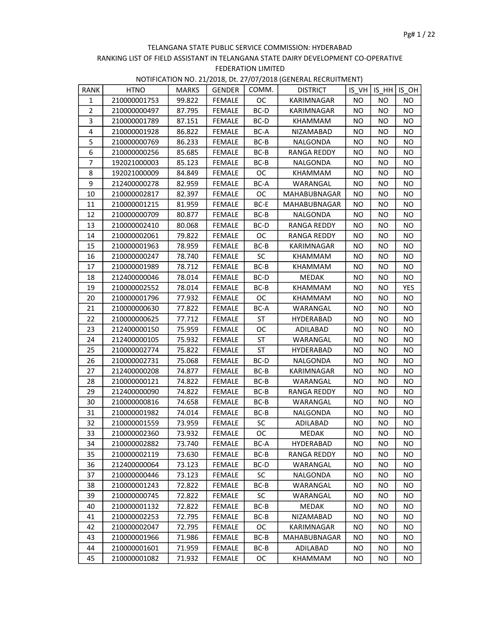| RANK                    | <b>HTNO</b>  | <b>MARKS</b> | <b>GENDER</b> | COMM.     | <b>DISTRICT</b>    |           | $IS VH$ IS $HH$ IS OH |           |
|-------------------------|--------------|--------------|---------------|-----------|--------------------|-----------|-----------------------|-----------|
| $\mathbf{1}$            | 210000001753 | 99.822       | <b>FEMALE</b> | ОC        | KARIMNAGAR         | <b>NO</b> | NO.                   | NO.       |
| $\overline{2}$          | 210000000497 | 87.795       | <b>FEMALE</b> | BC-D      | KARIMNAGAR         | <b>NO</b> | <b>NO</b>             | <b>NO</b> |
| 3                       | 210000001789 | 87.151       | <b>FEMALE</b> | BC-D      | KHAMMAM            | NO        | <b>NO</b>             | <b>NO</b> |
| $\overline{\mathbf{4}}$ | 210000001928 | 86.822       | <b>FEMALE</b> | BC-A      | NIZAMABAD          | <b>NO</b> | <b>NO</b>             | <b>NO</b> |
| 5                       | 210000000769 | 86.233       | <b>FEMALE</b> | $BC-B$    | NALGONDA           | <b>NO</b> | <b>NO</b>             | <b>NO</b> |
| 6                       | 210000000256 | 85.685       | <b>FEMALE</b> | $BC-B$    | <b>RANGA REDDY</b> | <b>NO</b> | NO                    | <b>NO</b> |
| 7                       | 192021000003 | 85.123       | <b>FEMALE</b> | BC-B      | NALGONDA           | <b>NO</b> | <b>NO</b>             | <b>NO</b> |
| 8                       | 192021000009 | 84.849       | FEMALE        | <b>OC</b> | KHAMMAM            | <b>NO</b> | <b>NO</b>             | <b>NO</b> |
| 9                       | 212400000278 | 82.959       | <b>FEMALE</b> | BC-A      | WARANGAL           | <b>NO</b> | NO                    | <b>NO</b> |
| 10                      | 210000002817 | 82.397       | <b>FEMALE</b> | ОC        | MAHABUBNAGAR       | NO        | NO.                   | <b>NO</b> |
| 11                      | 210000001215 | 81.959       | <b>FEMALE</b> | BC-E      | MAHABUBNAGAR       | <b>NO</b> | NO.                   | <b>NO</b> |
| 12                      | 210000000709 | 80.877       | <b>FEMALE</b> | BC-B      | NALGONDA           | <b>NO</b> | <b>NO</b>             | <b>NO</b> |
| 13                      | 210000002410 | 80.068       | <b>FEMALE</b> | BC-D      | <b>RANGA REDDY</b> | <b>NO</b> | <b>NO</b>             | <b>NO</b> |
| 14                      | 210000002061 | 79.822       | <b>FEMALE</b> | ОC        | <b>RANGA REDDY</b> | <b>NO</b> | NO                    | <b>NO</b> |
| 15                      | 210000001963 | 78.959       | <b>FEMALE</b> | BC-B      | KARIMNAGAR         | <b>NO</b> | NO.                   | <b>NO</b> |
| 16                      | 210000000247 | 78.740       | FEMALE        | SC        | KHAMMAM            | <b>NO</b> | NO                    | <b>NO</b> |
| 17                      | 210000001989 | 78.712       | <b>FEMALE</b> | BC-B      | KHAMMAM            | <b>NO</b> | <b>NO</b>             | <b>NO</b> |
| 18                      | 212400000046 | 78.014       | <b>FEMALE</b> | BC-D      | MEDAK              | <b>NO</b> | NO                    | <b>NO</b> |
| 19                      | 210000002552 | 78.014       | <b>FEMALE</b> | $BC-B$    | KHAMMAM            | <b>NO</b> | NO                    | YES       |
| 20                      | 210000001796 | 77.932       | <b>FEMALE</b> | OC.       | KHAMMAM            | <b>NO</b> | NO.                   | <b>NO</b> |
| 21                      | 210000000630 | 77.822       | <b>FEMALE</b> | BC-A      | WARANGAL           | <b>NO</b> | <b>NO</b>             | <b>NO</b> |
| 22                      | 210000000625 | 77.712       | <b>FEMALE</b> | <b>ST</b> | <b>HYDERABAD</b>   | <b>NO</b> | <b>NO</b>             | <b>NO</b> |
| 23                      | 212400000150 | 75.959       | <b>FEMALE</b> | OC        | ADILABAD           | <b>NO</b> | <b>NO</b>             | <b>NO</b> |
| 24                      | 212400000105 | 75.932       | <b>FEMALE</b> | ST        | WARANGAL           | <b>NO</b> | NO                    | <b>NO</b> |
| 25                      | 210000002774 | 75.822       | FEMALE        | <b>ST</b> | <b>HYDERABAD</b>   | <b>NO</b> | NO.                   | <b>NO</b> |
| 26                      | 210000002731 | 75.068       | <b>FEMALE</b> | BC-D      | NALGONDA           | <b>NO</b> | <b>NO</b>             | <b>NO</b> |
| 27                      | 212400000208 | 74.877       | <b>FEMALE</b> | BC-B      | KARIMNAGAR         | <b>NO</b> | NO.                   | <b>NO</b> |
| 28                      | 210000000121 | 74.822       | <b>FEMALE</b> | $BC-B$    | WARANGAL           | <b>NO</b> | NO                    | <b>NO</b> |
| 29                      | 212400000090 | 74.822       | <b>FEMALE</b> | BC-B      | RANGA REDDY        | <b>NO</b> | NO                    | <b>NO</b> |
| 30                      | 210000000816 | 74.658       | <b>FEMALE</b> | $BC-B$    | WARANGAL           | <b>NO</b> | <b>NO</b>             | <b>NO</b> |
| 31                      | 210000001982 | 74.014       | <b>FEMALE</b> | BC-B      | NALGONDA           | <b>NO</b> | <b>NO</b>             | <b>NO</b> |
| 32                      | 210000001559 | 73.959       | <b>FEMALE</b> | SC        | ADILABAD           | <b>NO</b> | NO                    | <b>NO</b> |
| 33                      | 210000002360 | 73.932       | FEMALE        | OC        | MEDAK              | <b>NO</b> | <b>NO</b>             | <b>NO</b> |
| 34                      | 210000002882 | 73.740       | FEMALE        | BC-A      | <b>HYDERABAD</b>   | NO.       | NO.                   | NO.       |
| 35                      | 210000002119 | 73.630       | <b>FEMALE</b> | BC-B      | RANGA REDDY        | NO.       | NO                    | NO.       |
| 36                      | 212400000064 | 73.123       | <b>FEMALE</b> | BC-D      | WARANGAL           | ΝO        | NO                    | NO.       |
| 37                      | 210000000446 | 73.123       | <b>FEMALE</b> | <b>SC</b> | NALGONDA           | NO        | NO.                   | NO.       |
| 38                      | 210000001243 | 72.822       | <b>FEMALE</b> | BC-B      | WARANGAL           | NO.       | NO                    | NO.       |
| 39                      | 210000000745 | 72.822       | FEMALE        | <b>SC</b> | WARANGAL           | <b>NO</b> | NO                    | <b>NO</b> |
| 40                      | 210000001132 | 72.822       | <b>FEMALE</b> | BC-B      | MEDAK              | ΝO        | NO.                   | NO.       |
| 41                      | 210000002253 | 72.795       | FEMALE        | BC-B      | NIZAMABAD          | ΝO        | NO                    | NO.       |
| 42                      | 210000002047 | 72.795       | <b>FEMALE</b> | ОC        | KARIMNAGAR         | NO.       | NO.                   | NO.       |
| 43                      | 210000001966 | 71.986       | <b>FEMALE</b> | BC-B      | MAHABUBNAGAR       | ΝO        | NO.                   | NO.       |
| 44                      | 210000001601 | 71.959       | <b>FEMALE</b> | BC-B      | ADILABAD           | NO.       | NO.                   | NO.       |
| 45                      | 210000001082 | 71.932       | FEMALE        | ОC        | KHAMMAM            | NO.       | NO                    | NO.       |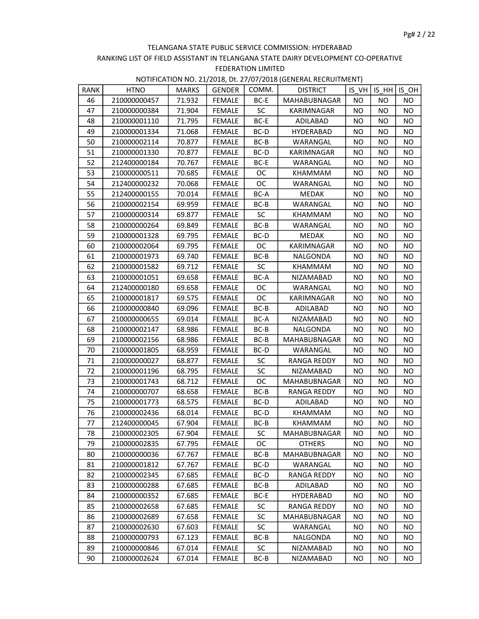| RANK | <b>HTNO</b>  | MARKS  | <b>GENDER</b> | COMM.     | <b>DISTRICT</b>  |           | IS VH IS HH IS OH |           |
|------|--------------|--------|---------------|-----------|------------------|-----------|-------------------|-----------|
| 46   | 210000000457 | 71.932 | <b>FEMALE</b> | BC-E      | MAHABUBNAGAR     | <b>NO</b> | <b>NO</b>         | NO.       |
| 47   | 210000000384 | 71.904 | <b>FEMALE</b> | <b>SC</b> | KARIMNAGAR       | NO.       | NO.               | <b>NO</b> |
| 48   | 210000001110 | 71.795 | <b>FEMALE</b> | BC-E      | ADILABAD         | <b>NO</b> | <b>NO</b>         | NO.       |
| 49   | 210000001334 | 71.068 | <b>FEMALE</b> | BC-D      | <b>HYDERABAD</b> | <b>NO</b> | NO                | <b>NO</b> |
| 50   | 210000002114 | 70.877 | <b>FEMALE</b> | BC-B      | WARANGAL         | <b>NO</b> | NO.               | NO        |
| 51   | 210000001330 | 70.877 | <b>FEMALE</b> | BC-D      | KARIMNAGAR       | NO        | <b>NO</b>         | <b>NO</b> |
| 52   | 212400000184 | 70.767 | <b>FEMALE</b> | BC-E      | WARANGAL         | NO        | NO                | NO.       |
| 53   | 210000000511 | 70.685 | <b>FEMALE</b> | ОC        | KHAMMAM          | <b>NO</b> | NO                | <b>NO</b> |
| 54   | 212400000232 | 70.068 | <b>FEMALE</b> | <b>OC</b> | WARANGAL         | <b>NO</b> | <b>NO</b>         | <b>NO</b> |
| 55   | 212400000155 | 70.014 | <b>FEMALE</b> | BC-A      | MEDAK            | <b>NO</b> | <b>NO</b>         | <b>NO</b> |
| 56   | 210000002154 | 69.959 | <b>FEMALE</b> | BC-B      | WARANGAL         | NO.       | NO                | NO.       |
| 57   | 210000000314 | 69.877 | <b>FEMALE</b> | <b>SC</b> | KHAMMAM          | <b>NO</b> | NO                | <b>NO</b> |
| 58   | 210000000264 | 69.849 | <b>FEMALE</b> | $BC-B$    | WARANGAL         | <b>NO</b> | NO                | NO        |
| 59   | 210000001328 | 69.795 | <b>FEMALE</b> | BC-D      | <b>MEDAK</b>     | NO.       | NO.               | NO        |
| 60   | 210000002064 | 69.795 | FEMALE        | ОC        | KARIMNAGAR       | <b>NO</b> | <b>NO</b>         | <b>NO</b> |
| 61   | 210000001973 | 69.740 | <b>FEMALE</b> | BC-B      | NALGONDA         | <b>NO</b> | <b>NO</b>         | NO        |
| 62   | 210000001582 | 69.712 | <b>FEMALE</b> | <b>SC</b> | KHAMMAM          | <b>NO</b> | <b>NO</b>         | <b>NO</b> |
| 63   | 210000001051 | 69.658 | <b>FEMALE</b> | BC-A      | NIZAMABAD        | <b>NO</b> | NO                | <b>NO</b> |
| 64   | 212400000180 | 69.658 | <b>FEMALE</b> | <b>OC</b> | WARANGAL         | <b>NO</b> | NO.               | NO.       |
| 65   | 210000001817 | 69.575 | FEMALE        | OC        | KARIMNAGAR       | <b>NO</b> | NO                | NO        |
| 66   | 210000000840 | 69.096 | <b>FEMALE</b> | BC-B      | ADILABAD         | <b>NO</b> | <b>NO</b>         | NO.       |
| 67   | 210000000655 | 69.014 | <b>FEMALE</b> | BC-A      | NIZAMABAD        | <b>NO</b> | NO.               | <b>NO</b> |
| 68   | 210000002147 | 68.986 | <b>FEMALE</b> | $BC-B$    | NALGONDA         | <b>NO</b> | <b>NO</b>         | NO        |
| 69   | 210000002156 | 68.986 | <b>FEMALE</b> | BC-B      | MAHABUBNAGAR     | NO        | NO.               | <b>NO</b> |
| 70   | 210000001805 | 68.959 | <b>FEMALE</b> | BC-D      | WARANGAL         | NO        | NO                | NO        |
| 71   | 210000000027 | 68.877 | <b>FEMALE</b> | <b>SC</b> | RANGA REDDY      | <b>NO</b> | NO                | <b>NO</b> |
| 72   | 210000001196 | 68.795 | <b>FEMALE</b> | <b>SC</b> | NIZAMABAD        | <b>NO</b> | NO                | <b>NO</b> |
| 73   | 210000001743 | 68.712 | FEMALE        | ОC        | MAHABUBNAGAR     | <b>NO</b> | NO.               | <b>NO</b> |
| 74   | 210000000707 | 68.658 | <b>FEMALE</b> | BC-B      | RANGA REDDY      | NO.       | NO                | NO.       |
| 75   | 210000001773 | 68.575 | <b>FEMALE</b> | BC-D      | ADILABAD         | <b>NO</b> | <b>NO</b>         | NO.       |
| 76   | 210000002436 | 68.014 | <b>FEMALE</b> | BC-D      | KHAMMAM          | <b>NO</b> | <b>NO</b>         | NO.       |
| 77   | 212400000045 | 67.904 | <b>FEMALE</b> | BC-B      | KHAMMAM          | <b>NO</b> | NO                | <b>NO</b> |
| 78   | 210000002305 | 67.904 | FEMALE        | SC        | MAHABUBNAGAR     | <b>NO</b> | <b>NO</b>         | <b>NO</b> |
| 79   | 210000002835 | 67.795 | <b>FEMALE</b> | ОC        | <b>OTHERS</b>    | NO        | NO                | NO.       |
| 80   | 210000000036 | 67.767 | <b>FEMALE</b> | BC-B      | MAHABUBNAGAR     | ΝO        | NO                | ΝO        |
| 81   | 210000001812 | 67.767 | <b>FEMALE</b> | BC-D      | WARANGAL         | NO.       | NO.               | NO.       |
| 82   | 210000002345 | 67.685 | <b>FEMALE</b> | BC-D      | RANGA REDDY      | NO.       | NO.               | NO.       |
| 83   | 210000000288 | 67.685 | <b>FEMALE</b> | BC-B      | ADILABAD         | NO.       | NO.               | NO.       |
| 84   | 210000000352 | 67.685 | <b>FEMALE</b> | BC-E      | <b>HYDERABAD</b> | NO.       | NO.               | NO.       |
| 85   | 210000002658 | 67.685 | <b>FEMALE</b> | <b>SC</b> | RANGA REDDY      | NO.       | NO                | NO.       |
| 86   | 210000002689 | 67.658 | <b>FEMALE</b> | SC        | MAHABUBNAGAR     | NO.       | NO.               | NO.       |
| 87   | 210000002630 | 67.603 | <b>FEMALE</b> | <b>SC</b> | WARANGAL         | NO.       | NO.               | NO.       |
| 88   | 210000000793 | 67.123 | <b>FEMALE</b> | BC-B      | NALGONDA         | NO.       | NO                | NO.       |
| 89   | 210000000846 | 67.014 | <b>FEMALE</b> | <b>SC</b> | NIZAMABAD        | ΝO        | ΝO                | NO.       |
| 90   | 210000002624 | 67.014 | FEMALE        | BC-B      | NIZAMABAD        | NO        | NO                | NO.       |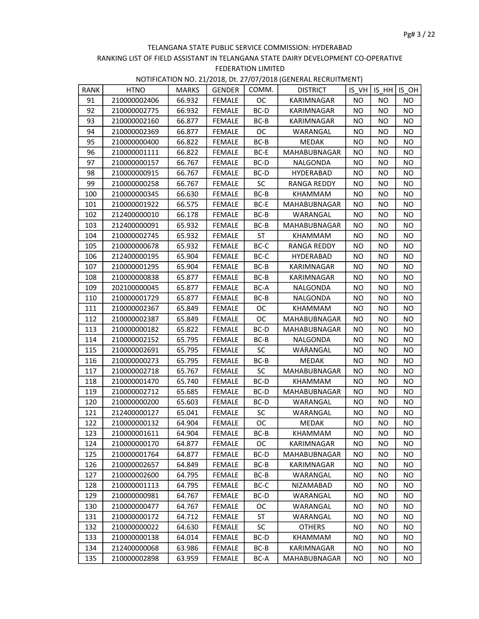| RANK | <b>HTNO</b>  | <b>MARKS</b> | <b>GENDER</b> | COMM.     | <b>DISTRICT</b>     | IS VH     | ISHH      | IS OH     |
|------|--------------|--------------|---------------|-----------|---------------------|-----------|-----------|-----------|
| 91   | 210000002406 | 66.932       | <b>FEMALE</b> | ОC        | KARIMNAGAR          | NO.       | NO.       | NO.       |
| 92   | 210000002775 | 66.932       | FEMALE        | BC-D      | KARIMNAGAR          | <b>NO</b> | NO.       | <b>NO</b> |
| 93   | 210000002160 | 66.877       | <b>FEMALE</b> | BC-B      | KARIMNAGAR          | <b>NO</b> | NO.       | <b>NO</b> |
| 94   | 210000002369 | 66.877       | <b>FEMALE</b> | <b>OC</b> | WARANGAL            | <b>NO</b> | <b>NO</b> | <b>NO</b> |
| 95   | 210000000400 | 66.822       | <b>FEMALE</b> | $BC-B$    | <b>MEDAK</b>        | NO.       | NO        | <b>NO</b> |
| 96   | 210000001111 | 66.822       | FEMALE        | BC-E      | MAHABUBNAGAR        | NO.       | NO.       | <b>NO</b> |
| 97   | 210000000157 | 66.767       | <b>FEMALE</b> | BC-D      | NALGONDA            | NO.       | NO.       | <b>NO</b> |
| 98   | 210000000915 | 66.767       | <b>FEMALE</b> | BC-D      | <b>HYDERABAD</b>    | <b>NO</b> | <b>NO</b> | <b>NO</b> |
| 99   | 210000000258 | 66.767       | <b>FEMALE</b> | <b>SC</b> | <b>RANGA REDDY</b>  | <b>NO</b> | NO        | <b>NO</b> |
| 100  | 210000000345 | 66.630       | FEMALE        | $BC-B$    | KHAMMAM             | <b>NO</b> | NO        | <b>NO</b> |
| 101  | 210000001922 | 66.575       | <b>FEMALE</b> | BC-E      | MAHABUBNAGAR        | <b>NO</b> | NO        | <b>NO</b> |
| 102  | 212400000010 | 66.178       | <b>FEMALE</b> | $BC-B$    | WARANGAL            | <b>NO</b> | NO        | <b>NO</b> |
| 103  | 212400000091 | 65.932       | <b>FEMALE</b> | BC-B      | <b>MAHABUBNAGAR</b> | NO        | <b>NO</b> | <b>NO</b> |
| 104  | 210000002745 | 65.932       | FEMALE        | ST        | KHAMMAM             | <b>NO</b> | NO.       | <b>NO</b> |
| 105  | 210000000678 | 65.932       | <b>FEMALE</b> | BC-C      | <b>RANGA REDDY</b>  | NO.       | NO        | <b>NO</b> |
| 106  | 212400000195 | 65.904       | <b>FEMALE</b> | BC-C      | <b>HYDERABAD</b>    | <b>NO</b> | <b>NO</b> | <b>NO</b> |
| 107  | 210000001295 | 65.904       | <b>FEMALE</b> | $BC-B$    | KARIMNAGAR          | NO        | NO        | NO.       |
| 108  | 210000000838 | 65.877       | <b>FEMALE</b> | BC-B      | KARIMNAGAR          | <b>NO</b> | <b>NO</b> | <b>NO</b> |
| 109  | 202100000045 | 65.877       | <b>FEMALE</b> | BC-A      | NALGONDA            | <b>NO</b> | <b>NO</b> | <b>NO</b> |
| 110  | 210000001729 | 65.877       | <b>FEMALE</b> | BC-B      | NALGONDA            | <b>NO</b> | NO        | <b>NO</b> |
| 111  | 210000002367 | 65.849       | FEMALE        | <b>OC</b> | KHAMMAM             | <b>NO</b> | NO.       | NO.       |
| 112  | 210000002387 | 65.849       | <b>FEMALE</b> | <b>OC</b> | <b>MAHABUBNAGAR</b> | NO        | <b>NO</b> | <b>NO</b> |
| 113  | 210000000182 | 65.822       | FEMALE        | BC-D      | MAHABUBNAGAR        | <b>NO</b> | <b>NO</b> | <b>NO</b> |
| 114  | 210000002152 | 65.795       | FEMALE        | BC-B      | NALGONDA            | NO.       | NO        | <b>NO</b> |
| 115  | 210000002691 | 65.795       | <b>FEMALE</b> | SC        | WARANGAL            | <b>NO</b> | <b>NO</b> | NO.       |
| 116  | 210000000273 | 65.795       | FEMALE        | $BC-B$    | <b>MEDAK</b>        | <b>NO</b> | NO        | NO.       |
| 117  | 210000002718 | 65.767       | <b>FEMALE</b> | <b>SC</b> | MAHABUBNAGAR        | NO        | <b>NO</b> | <b>NO</b> |
| 118  | 210000001470 | 65.740       | <b>FEMALE</b> | BC-D      | KHAMMAM             | <b>NO</b> | NO        | <b>NO</b> |
| 119  | 210000002712 | 65.685       | <b>FEMALE</b> | BC-D      | <b>MAHABUBNAGAR</b> | <b>NO</b> | NO        | <b>NO</b> |
| 120  | 210000000200 | 65.603       | <b>FEMALE</b> | BC-D      | WARANGAL            | <b>NO</b> | NO        | NO.       |
| 121  | 212400000127 | 65.041       | <b>FEMALE</b> | <b>SC</b> | WARANGAL            | <b>NO</b> | <b>NO</b> | <b>NO</b> |
| 122  | 210000000132 | 64.904       | <b>FEMALE</b> | OC        | <b>MEDAK</b>        | <b>NO</b> | NO.       | <b>NO</b> |
| 123  | 210000001611 | 64.904       | FEMALE        | BC-B      | KHAMMAM             | <b>NO</b> | <b>NO</b> | <b>NO</b> |
| 124  | 210000000170 | 64.877       | <b>FEMALE</b> | OC.       | KARIMNAGAR          | ΝO        | NO.       | ΝO        |
| 125  | 210000001764 | 64.877       | FEMALE        | BC-D      | MAHABUBNAGAR        | ΝO        | NO        | ΝO        |
| 126  | 210000002657 | 64.849       | <b>FEMALE</b> | BC-B      | KARIMNAGAR          | <b>NO</b> | <b>NO</b> | NO        |
| 127  | 210000002600 | 64.795       | <b>FEMALE</b> | $BC-B$    | WARANGAL            | <b>NO</b> | NO.       | <b>NO</b> |
| 128  | 210000001113 | 64.795       | <b>FEMALE</b> | BC-C      | <b>NIZAMABAD</b>    | NO.       | NO.       | <b>NO</b> |
| 129  | 210000000981 | 64.767       | FEMALE        | BC-D      | WARANGAL            | <b>NO</b> | NO        | <b>NO</b> |
| 130  | 210000000477 | 64.767       | <b>FEMALE</b> | OС        | WARANGAL            | ΝO        | NO        | NO.       |
| 131  | 210000000172 | 64.712       | <b>FEMALE</b> | ST        | WARANGAL            | NO        | NO        | <b>NO</b> |
| 132  | 210000000022 | 64.630       | <b>FEMALE</b> | SC        | <b>OTHERS</b>       | NO        | NO.       | NO.       |
| 133  | 210000000138 | 64.014       | FEMALE        | BC-D      | KHAMMAM             | ΝO        | NO.       | ΝO        |
| 134  | 212400000068 | 63.986       | FEMALE        | BC-B      | KARIMNAGAR          | NO        | NO        | <b>NO</b> |
| 135  | 210000002898 | 63.959       | <b>FEMALE</b> | BC-A      | MAHABUBNAGAR        | ΝO        | NO        | NO        |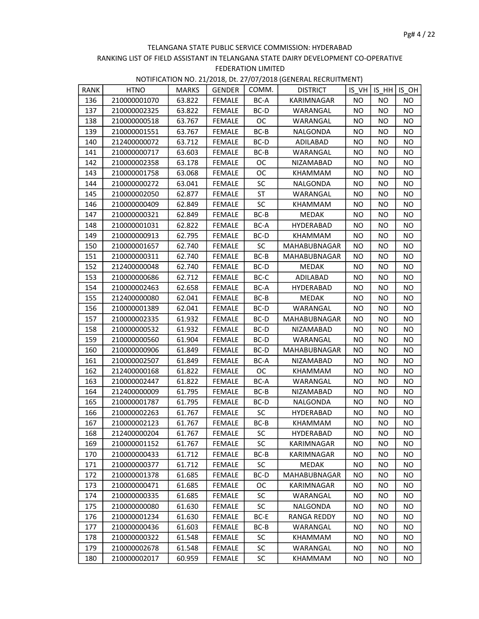| RANK | <b>HTNO</b>  | <b>MARKS</b> | GENDER        | COMM.     | <b>DISTRICT</b>     |           |           | $IS VH$ IS $HH$ IS OH |
|------|--------------|--------------|---------------|-----------|---------------------|-----------|-----------|-----------------------|
| 136  | 210000001070 | 63.822       | <b>FEMALE</b> | BC-A      | KARIMNAGAR          | NO.       | NO.       | NO.                   |
| 137  | 210000002325 | 63.822       | FEMALE        | BC-D      | WARANGAL            | NO.       | NO        | <b>NO</b>             |
| 138  | 210000000518 | 63.767       | <b>FEMALE</b> | <b>OC</b> | WARANGAL            | <b>NO</b> | NO.       | <b>NO</b>             |
| 139  | 210000001551 | 63.767       | <b>FEMALE</b> | $BC-B$    | <b>NALGONDA</b>     | <b>NO</b> | NO        | <b>NO</b>             |
| 140  | 212400000072 | 63.712       | <b>FEMALE</b> | BC-D      | ADILABAD            | <b>NO</b> | NO.       | <b>NO</b>             |
| 141  | 210000000717 | 63.603       | <b>FEMALE</b> | BC-B      | WARANGAL            | <b>NO</b> | NO.       | <b>NO</b>             |
| 142  | 210000002358 | 63.178       | <b>FEMALE</b> | ОC        | NIZAMABAD           | NO.       | <b>NO</b> | <b>NO</b>             |
| 143  | 210000001758 | 63.068       | <b>FEMALE</b> | ОC        | KHAMMAM             | <b>NO</b> | <b>NO</b> | <b>NO</b>             |
| 144  | 210000000272 | 63.041       | <b>FEMALE</b> | SC        | NALGONDA            | NO.       | NO        | NO.                   |
| 145  | 210000002050 | 62.877       | FEMALE        | ST        | WARANGAL            | NO.       | NO        | <b>NO</b>             |
| 146  | 210000000409 | 62.849       | <b>FEMALE</b> | <b>SC</b> | KHAMMAM             | <b>NO</b> | NO.       | <b>NO</b>             |
| 147  | 210000000321 | 62.849       | <b>FEMALE</b> | BC-B      | <b>MEDAK</b>        | <b>NO</b> | NO.       | NO.                   |
| 148  | 210000001031 | 62.822       | <b>FEMALE</b> | BC-A      | HYDERABAD           | <b>NO</b> | NO        | <b>NO</b>             |
| 149  | 210000000913 | 62.795       | FEMALE        | BC-D      | KHAMMAM             | <b>NO</b> | NO        | <b>NO</b>             |
| 150  | 210000001657 | 62.740       | FEMALE        | <b>SC</b> | MAHABUBNAGAR        | <b>NO</b> | NO        | <b>NO</b>             |
| 151  | 210000000311 | 62.740       | <b>FEMALE</b> | $BC-B$    | MAHABUBNAGAR        | NO        | NO.       | NO                    |
| 152  | 212400000048 | 62.740       | <b>FEMALE</b> | BC-D      | MEDAK               | <b>NO</b> | <b>NO</b> | <b>NO</b>             |
| 153  | 210000000686 | 62.712       | <b>FEMALE</b> | BC-C      | ADILABAD            | <b>NO</b> | NO        | <b>NO</b>             |
| 154  | 210000002463 | 62.658       | <b>FEMALE</b> | BC-A      | HYDERABAD           | NO.       | NO.       | <b>NO</b>             |
| 155  | 212400000080 | 62.041       | <b>FEMALE</b> | BC-B      | MEDAK               | <b>NO</b> | NO.       | <b>NO</b>             |
| 156  | 210000001389 | 62.041       | <b>FEMALE</b> | BC-D      | WARANGAL            | <b>NO</b> | <b>NO</b> | <b>NO</b>             |
| 157  | 210000002335 | 61.932       | <b>FEMALE</b> | BC-D      | <b>MAHABUBNAGAR</b> | <b>NO</b> | <b>NO</b> | <b>NO</b>             |
| 158  | 210000000532 | 61.932       | <b>FEMALE</b> | BC-D      | NIZAMABAD           | <b>NO</b> | <b>NO</b> | <b>NO</b>             |
| 159  | 210000000560 | 61.904       | FEMALE        | BC-D      | WARANGAL            | <b>NO</b> | NO.       | <b>NO</b>             |
| 160  | 210000000906 | 61.849       | <b>FEMALE</b> | BC-D      | MAHABUBNAGAR        | NO.       | NO        | <b>NO</b>             |
| 161  | 210000002507 | 61.849       | <b>FEMALE</b> | BC-A      | NIZAMABAD           | <b>NO</b> | <b>NO</b> | <b>NO</b>             |
| 162  | 212400000168 | 61.822       | <b>FEMALE</b> | OC.       | KHAMMAM             | <b>NO</b> | NO.       | NO.                   |
| 163  | 210000002447 | 61.822       | FEMALE        | BC-A      | WARANGAL            | NO.       | NO.       | <b>NO</b>             |
| 164  | 212400000009 | 61.795       | <b>FEMALE</b> | BC-B      | NIZAMABAD           | <b>NO</b> | NO.       | <b>NO</b>             |
| 165  | 210000001787 | 61.795       | <b>FEMALE</b> | BC-D      | NALGONDA            | <b>NO</b> | NO        | <b>NO</b>             |
| 166  | 210000002263 | 61.767       | <b>FEMALE</b> | <b>SC</b> | <b>HYDERABAD</b>    | <b>NO</b> | <b>NO</b> | <b>NO</b>             |
| 167  | 210000002123 | 61.767       | <b>FEMALE</b> | $BC-B$    | <b>KHAMMAM</b>      | <b>NO</b> | <b>NO</b> | <b>NO</b>             |
| 168  | 212400000204 | 61.767       | FEMALE        | SC        | HYDERABAD           | <b>NO</b> | <b>NO</b> | <b>NO</b>             |
| 169  | 210000001152 | 61.767       | <b>FEMALE</b> | SC        | KARIMNAGAR          | ΝO        | NO.       | NO.                   |
| 170  | 210000000433 | 61.712       | <b>FEMALE</b> | BC-B      | KARIMNAGAR          | ΝO        | <b>NO</b> | NO.                   |
| 171  | 210000000377 | 61.712       | <b>FEMALE</b> | <b>SC</b> | MEDAK               | NO        | <b>NO</b> | <b>NO</b>             |
| 172  | 210000001378 | 61.685       | <b>FEMALE</b> | BC-D      | MAHABUBNAGAR        | NO.       | NO.       | NO.                   |
| 173  | 210000000471 | 61.685       | <b>FEMALE</b> | ОC        | KARIMNAGAR          | NO        | NO.       | <b>NO</b>             |
| 174  | 210000000335 | 61.685       | <b>FEMALE</b> | SC        | WARANGAL            | NO        | <b>NO</b> | NO.                   |
| 175  | 210000000080 | 61.630       | <b>FEMALE</b> | <b>SC</b> | NALGONDA            | <b>NO</b> | <b>NO</b> | NO.                   |
| 176  | 210000001234 | 61.630       | FEMALE        | BC-E      | RANGA REDDY         | NO        | NO        | <b>NO</b>             |
| 177  | 210000000436 | 61.603       | FEMALE        | BC-B      | WARANGAL            | NO.       | <b>NO</b> | <b>NO</b>             |
| 178  | 210000000322 | 61.548       | FEMALE        | <b>SC</b> | KHAMMAM             | <b>NO</b> | NO.       | NO.                   |
| 179  | 210000002678 | 61.548       | <b>FEMALE</b> | SC        | WARANGAL            | ΝO        | NO        | NO.                   |
| 180  | 210000002017 | 60.959       | <b>FEMALE</b> | <b>SC</b> | <b>KHAMMAM</b>      | NO        | NO        | NO.                   |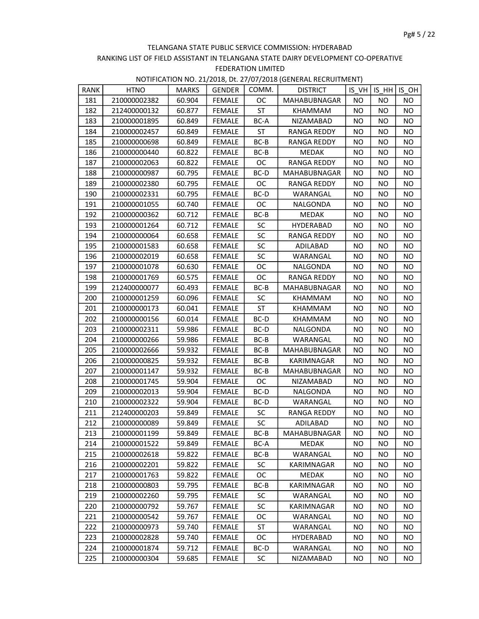| RANK | <b>HTNO</b>  | <b>MARKS</b> | <b>GENDER</b> | COMM.     | <b>DISTRICT</b> |           | IS VH   IS HH   ISOH |           |
|------|--------------|--------------|---------------|-----------|-----------------|-----------|----------------------|-----------|
| 181  | 210000002382 | 60.904       | <b>FEMALE</b> | ОC        | MAHABUBNAGAR    | <b>NO</b> | NO.                  | NO.       |
| 182  | 212400000132 | 60.877       | FEMALE        | <b>ST</b> | <b>KHAMMAM</b>  | NO.       | NO.                  | NO.       |
| 183  | 210000001895 | 60.849       | <b>FEMALE</b> | BC-A      | NIZAMABAD       | <b>NO</b> | <b>NO</b>            | NO.       |
| 184  | 210000002457 | 60.849       | <b>FEMALE</b> | <b>ST</b> | RANGA REDDY     | <b>NO</b> | NO                   | <b>NO</b> |
| 185  | 210000000698 | 60.849       | <b>FEMALE</b> | $BC-B$    | RANGA REDDY     | <b>NO</b> | NO.                  | NO.       |
| 186  | 210000000440 | 60.822       | FEMALE        | BC-B      | <b>MEDAK</b>    | <b>NO</b> | NO.                  | NO        |
| 187  | 210000002063 | 60.822       | <b>FEMALE</b> | ОC        | RANGA REDDY     | <b>NO</b> | <b>NO</b>            | <b>NO</b> |
| 188  | 210000000987 | 60.795       | <b>FEMALE</b> | BC-D      | MAHABUBNAGAR    | <b>NO</b> | <b>NO</b>            | <b>NO</b> |
| 189  | 210000002380 | 60.795       | <b>FEMALE</b> | ОC        | RANGA REDDY     | <b>NO</b> | NO.                  | <b>NO</b> |
| 190  | 210000002331 | 60.795       | <b>FEMALE</b> | BC-D      | WARANGAL        | <b>NO</b> | NO.                  | NO        |
| 191  | 210000001055 | 60.740       | <b>FEMALE</b> | OC.       | NALGONDA        | <b>NO</b> | <b>NO</b>            | NO        |
| 192  | 210000000362 | 60.712       | <b>FEMALE</b> | BC-B      | <b>MEDAK</b>    | <b>NO</b> | NO                   | NO.       |
| 193  | 210000001264 | 60.712       | <b>FEMALE</b> | SC        | HYDERABAD       | <b>NO</b> | <b>NO</b>            | NO        |
| 194  | 210000000064 | 60.658       | <b>FEMALE</b> | SC        | RANGA REDDY     | <b>NO</b> | <b>NO</b>            | <b>NO</b> |
| 195  | 210000001583 | 60.658       | FEMALE        | <b>SC</b> | ADILABAD        | <b>NO</b> | NO.                  | NO        |
| 196  | 210000002019 | 60.658       | <b>FEMALE</b> | SC        | WARANGAL        | <b>NO</b> | NO.                  | <b>NO</b> |
| 197  | 210000001078 | 60.630       | <b>FEMALE</b> | ОC        | NALGONDA        | <b>NO</b> | NO                   | NO.       |
| 198  | 210000001769 | 60.575       | <b>FEMALE</b> | OC.       | RANGA REDDY     | <b>NO</b> | NO                   | NO.       |
| 199  | 212400000077 | 60.493       | <b>FEMALE</b> | BC-B      | MAHABUBNAGAR    | <b>NO</b> | NO.                  | <b>NO</b> |
| 200  | 210000001259 | 60.096       | <b>FEMALE</b> | SC        | KHAMMAM         | <b>NO</b> | <b>NO</b>            | <b>NO</b> |
| 201  | 210000000173 | 60.041       | <b>FEMALE</b> | ST        | KHAMMAM         | <b>NO</b> | <b>NO</b>            | NO.       |
| 202  | 210000000156 | 60.014       | <b>FEMALE</b> | BC-D      | KHAMMAM         | <b>NO</b> | <b>NO</b>            | <b>NO</b> |
| 203  | 210000002311 | 59.986       | <b>FEMALE</b> | BC-D      | NALGONDA        | <b>NO</b> | <b>NO</b>            | <b>NO</b> |
| 204  | 210000000266 | 59.986       | FEMALE        | BC-B      | WARANGAL        | <b>NO</b> | NO.                  | <b>NO</b> |
| 205  | 210000002666 | 59.932       | <b>FEMALE</b> | $BC-B$    | MAHABUBNAGAR    | <b>NO</b> | NO.                  | <b>NO</b> |
| 206  | 210000000825 | 59.932       | <b>FEMALE</b> | BC-B      | KARIMNAGAR      | <b>NO</b> | NO.                  | NO.       |
| 207  | 210000001147 | 59.932       | <b>FEMALE</b> | BC-B      | MAHABUBNAGAR    | <b>NO</b> | <b>NO</b>            | <b>NO</b> |
| 208  | 210000001745 | 59.904       | <b>FEMALE</b> | <b>OC</b> | NIZAMABAD       | <b>NO</b> | NO.                  | <b>NO</b> |
| 209  | 210000002013 | 59.904       | <b>FEMALE</b> | BC-D      | NALGONDA        | <b>NO</b> | <b>NO</b>            | <b>NO</b> |
| 210  | 210000002322 | 59.904       | <b>FEMALE</b> | BC-D      | WARANGAL        | <b>NO</b> | <b>NO</b>            | NO        |
| 211  | 212400000203 | 59.849       | <b>FEMALE</b> | <b>SC</b> | RANGA REDDY     | <b>NO</b> | NO                   | NO.       |
| 212  | 210000000089 | 59.849       | <b>FEMALE</b> | SC        | ADILABAD        | <b>NO</b> | <b>NO</b>            | <b>NO</b> |
| 213  | 210000001199 | 59.849       | FEMALE        | $BC-B$    | MAHABUBNAGAR    | <b>NO</b> | <b>NO</b>            | <b>NO</b> |
| 214  | 210000001522 | 59.849       | <b>FEMALE</b> | BC-A      | MEDAK           | NO.       | ΝO                   | NO.       |
| 215  | 210000002618 | 59.822       | <b>FEMALE</b> | BC-B      | WARANGAL        | ΝO        | NO                   | NO.       |
| 216  | 210000002201 | 59.822       | <b>FEMALE</b> | <b>SC</b> | KARIMNAGAR      | <b>NO</b> | NO.                  | <b>NO</b> |
| 217  | 210000001763 | 59.822       | <b>FEMALE</b> | ОC        | <b>MEDAK</b>    | NO.       | NO.                  | NO.       |
| 218  | 210000000803 | 59.795       | <b>FEMALE</b> | BC-B      | KARIMNAGAR      | NO.       | NO.                  | NO.       |
| 219  | 210000002260 | 59.795       | <b>FEMALE</b> | <b>SC</b> | WARANGAL        | NO        | NO                   | NO.       |
| 220  | 210000000792 | 59.767       | <b>FEMALE</b> | <b>SC</b> | KARIMNAGAR      | <b>NO</b> | <b>NO</b>            | NO.       |
| 221  | 210000000542 | 59.767       | FEMALE        | ОC        | WARANGAL        | NO.       | NO                   | NO.       |
| 222  | 210000000973 | 59.740       | <b>FEMALE</b> | ST        | WARANGAL        | NO.       | NO.                  | NO.       |
| 223  | 210000002828 | 59.740       | FEMALE        | <b>OC</b> | HYDERABAD       | NO.       | NO.                  | NO.       |
| 224  | 210000001874 | 59.712       | <b>FEMALE</b> | BC-D      | WARANGAL        | NO        | ΝO                   | NO.       |
| 225  | 210000000304 | 59.685       | <b>FEMALE</b> | <b>SC</b> | NIZAMABAD       | NO        | NO                   | NO        |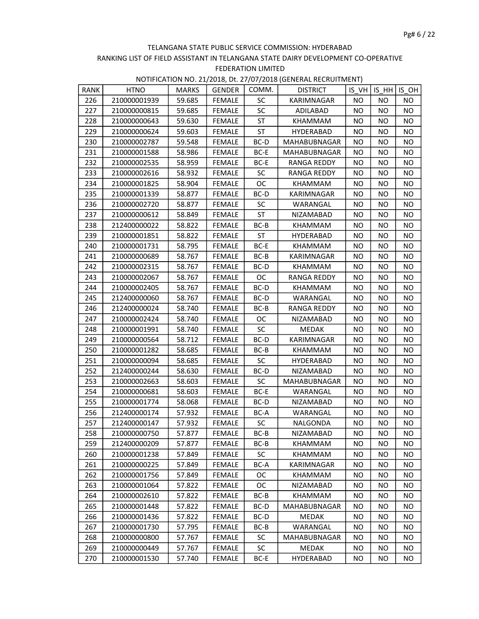| RANK<br>COMM.<br>IS VH IS HH IS OH<br><b>HTNO</b><br><b>MARKS</b><br><b>GENDER</b><br>226<br><b>NO</b><br>210000001939<br>59.685<br><b>FEMALE</b><br>SC<br>KARIMNAGAR<br>NO.<br>NO.<br>SC<br>227<br>210000000815<br>59.685<br><b>FEMALE</b><br>ADILABAD<br>NO.<br>NO<br><b>NO</b><br>228<br>210000000643<br>59.630<br><b>FEMALE</b><br>ST<br><b>NO</b><br><b>NO</b><br><b>NO</b><br>KHAMMAM<br>229<br>FEMALE<br>ST<br>210000000624<br>59.603<br>HYDERABAD<br><b>NO</b><br>NO.<br><b>NO</b><br>59.548<br>230<br>210000002787<br><b>FEMALE</b><br>BC-D<br>MAHABUBNAGAR<br>NO.<br>NO.<br><b>NO</b><br>231<br><b>NO</b><br><b>NO</b><br>210000001588<br>58.986<br><b>FEMALE</b><br>BC-E<br>MAHABUBNAGAR<br>NO.<br>232<br>58.959<br><b>FEMALE</b><br>BC-E<br>NO<br>NO<br><b>NO</b><br>210000002535<br>RANGA REDDY<br>233<br>58.932<br><b>FEMALE</b><br><b>SC</b><br>210000002616<br><b>RANGA REDDY</b><br><b>NO</b><br><b>NO</b><br><b>NO</b><br>234<br>58.904<br><b>FEMALE</b><br>ОC<br><b>NO</b><br><b>NO</b><br><b>NO</b><br>210000001825<br>KHAMMAM<br>235<br>210000001339<br>58.877<br><b>FEMALE</b><br>BC-D<br><b>NO</b><br>NO.<br><b>NO</b><br>KARIMNAGAR<br>236<br>SC<br>210000002720<br>58.877<br><b>FEMALE</b><br>WARANGAL<br>NO.<br>NO.<br><b>NO</b><br>237<br>ST<br>210000000612<br>58.849<br><b>FEMALE</b><br>NO<br><b>NO</b><br><b>NO</b><br>NIZAMABAD<br>238<br>212400000022<br>58.822<br><b>FEMALE</b><br>BC-B<br><b>KHAMMAM</b><br><b>NO</b><br>NO.<br><b>NO</b><br>239<br>58.822<br>ST<br>210000001851<br><b>FEMALE</b><br>NO.<br>NO.<br><b>NO</b><br><b>HYDERABAD</b><br>240<br>BC-E<br>NO<br><b>NO</b><br>210000001731<br>58.795<br><b>FEMALE</b><br><b>NO</b><br>KHAMMAM<br>241<br>210000000689<br>58.767<br><b>FEMALE</b><br>BC-B<br>NO<br>NO<br><b>NO</b><br>KARIMNAGAR<br>BC-D<br>242<br>210000002315<br>58.767<br><b>FEMALE</b><br>KHAMMAM<br><b>NO</b><br><b>NO</b><br><b>NO</b><br>243<br>58.767<br><b>FEMALE</b><br>ОC<br>210000002067<br>RANGA REDDY<br><b>NO</b><br>NO<br><b>NO</b><br>244<br>FEMALE<br>BC-D<br>210000002405<br>58.767<br><b>NO</b><br>NO.<br><b>NO</b><br>KHAMMAM<br>245<br>212400000060<br>58.767<br><b>FEMALE</b><br>BC-D<br>WARANGAL<br>NO.<br>NO.<br><b>NO</b><br>246<br>212400000024<br>58.740<br><b>FEMALE</b><br>BC-B<br>NO<br><b>RANGA REDDY</b><br>NO.<br>NO.<br>247<br>58.740<br><b>FEMALE</b><br><b>OC</b><br>210000002424<br>NIZAMABAD<br><b>NO</b><br>NO.<br><b>NO</b><br><b>SC</b><br>248<br>58.740<br>FEMALE<br><b>MEDAK</b><br><b>NO</b><br>210000001991<br>NO.<br><b>NO</b><br>249<br><b>NO</b><br>210000000564<br>58.712<br>FEMALE<br>BC-D<br>KARIMNAGAR<br>NO.<br><b>NO</b><br>250<br>58.685<br>BC-B<br>210000001282<br><b>FEMALE</b><br>KHAMMAM<br><b>NO</b><br>NO<br><b>NO</b><br>251<br>58.685<br><b>SC</b><br>210000000094<br><b>FEMALE</b><br>HYDERABAD<br><b>NO</b><br><b>NO</b><br><b>NO</b><br>252<br>58.630<br><b>FEMALE</b><br>BC-D<br><b>NO</b><br><b>NO</b><br>212400000244<br>NIZAMABAD<br>NO<br>253<br><b>SC</b><br>210000002663<br>58.603<br>FEMALE<br>MAHABUBNAGAR<br>NO<br>NO.<br><b>NO</b><br>254<br>210000000681<br>58.603<br>FEMALE<br>BC-E<br>WARANGAL<br>NO.<br>NO<br><b>NO</b><br>255<br>210000001774<br>58.068<br><b>FEMALE</b><br>BC-D<br><b>NO</b><br><b>NO</b><br>NIZAMABAD<br>NO.<br>256<br>212400000174<br>57.932<br><b>FEMALE</b><br>BC-A<br>WARANGAL<br><b>NO</b><br>NO.<br><b>NO</b><br><b>SC</b><br>257<br>57.932<br><b>FEMALE</b><br><b>NO</b><br><b>NO</b><br>212400000147<br>NALGONDA<br>NO.<br>258<br>57.877<br>$BC-B$<br><b>NO</b><br><b>NO</b><br><b>NO</b><br>210000000750<br>FEMALE<br>NIZAMABAD<br>259<br>212400000209<br>57.877<br><b>FEMALE</b><br>BC-B<br>KHAMMAM<br><b>NO</b><br>ΝO<br>NO<br>260<br>210000001238<br>57.849<br><b>FEMALE</b><br><b>SC</b><br>KHAMMAM<br>ΝO<br>ΝO<br>NO.<br>261<br>FEMALE<br>210000000225<br>57.849<br>BC-A<br>KARIMNAGAR<br>NO.<br>NO.<br><b>NO</b><br>262<br><b>FEMALE</b><br>ОC<br>210000001756<br>57.849<br><b>KHAMMAM</b><br>NO.<br>NO.<br><b>NO</b><br><b>FEMALE</b><br>263<br>210000001064<br>57.822<br><b>OC</b><br>NO.<br>NO.<br><b>NO</b><br>NIZAMABAD<br>264<br>210000002610<br>57.822<br><b>FEMALE</b><br>BC-B<br>KHAMMAM<br>ΝO<br>NO.<br>NO.<br>265<br>57.822<br><b>FEMALE</b><br>210000001448<br>BC-D<br>MAHABUBNAGAR<br>NO.<br>NO<br>NO<br>266<br>210000001436<br>57.822<br><b>FEMALE</b><br>BC-D<br><b>MEDAK</b><br>NO.<br>NO.<br>NO.<br>267<br>210000001730<br>57.795<br><b>FEMALE</b><br>BC-B<br>WARANGAL<br>NO.<br>NO.<br>NO.<br><b>FEMALE</b><br>268<br>210000000800<br>57.767<br>SC<br>MAHABUBNAGAR<br>NO<br>NO.<br>NO.<br>269<br>57.767<br><b>FEMALE</b><br>210000000449<br>SC<br>MEDAK<br>NO<br>NO.<br>NO.<br>270<br>210000001530<br>57.740<br>FEMALE<br>BC-E<br><b>HYDERABAD</b><br>NO<br>NO<br>NO |  |  |                 |  |  |
|---------------------------------------------------------------------------------------------------------------------------------------------------------------------------------------------------------------------------------------------------------------------------------------------------------------------------------------------------------------------------------------------------------------------------------------------------------------------------------------------------------------------------------------------------------------------------------------------------------------------------------------------------------------------------------------------------------------------------------------------------------------------------------------------------------------------------------------------------------------------------------------------------------------------------------------------------------------------------------------------------------------------------------------------------------------------------------------------------------------------------------------------------------------------------------------------------------------------------------------------------------------------------------------------------------------------------------------------------------------------------------------------------------------------------------------------------------------------------------------------------------------------------------------------------------------------------------------------------------------------------------------------------------------------------------------------------------------------------------------------------------------------------------------------------------------------------------------------------------------------------------------------------------------------------------------------------------------------------------------------------------------------------------------------------------------------------------------------------------------------------------------------------------------------------------------------------------------------------------------------------------------------------------------------------------------------------------------------------------------------------------------------------------------------------------------------------------------------------------------------------------------------------------------------------------------------------------------------------------------------------------------------------------------------------------------------------------------------------------------------------------------------------------------------------------------------------------------------------------------------------------------------------------------------------------------------------------------------------------------------------------------------------------------------------------------------------------------------------------------------------------------------------------------------------------------------------------------------------------------------------------------------------------------------------------------------------------------------------------------------------------------------------------------------------------------------------------------------------------------------------------------------------------------------------------------------------------------------------------------------------------------------------------------------------------------------------------------------------------------------------------------------------------------------------------------------------------------------------------------------------------------------------------------------------------------------------------------------------------------------------------------------------------------------------------------------------------------------------------------------------------------------------------------------------------------------------------------------------------------------------------------------------------------------------------------------------------------------------------------------------------------------------------------------------------------------------------------------------------------------------------------------------------------------------------------------------------------------------------------------------------------------------------------------------------------------------------------------------------------------------------------------|--|--|-----------------|--|--|
|                                                                                                                                                                                                                                                                                                                                                                                                                                                                                                                                                                                                                                                                                                                                                                                                                                                                                                                                                                                                                                                                                                                                                                                                                                                                                                                                                                                                                                                                                                                                                                                                                                                                                                                                                                                                                                                                                                                                                                                                                                                                                                                                                                                                                                                                                                                                                                                                                                                                                                                                                                                                                                                                                                                                                                                                                                                                                                                                                                                                                                                                                                                                                                                                                                                                                                                                                                                                                                                                                                                                                                                                                                                                                                                                                                                                                                                                                                                                                                                                                                                                                                                                                                                                                                                                                                                                                                                                                                                                                                                                                                                                                                                                                                                                                                     |  |  | <b>DISTRICT</b> |  |  |
|                                                                                                                                                                                                                                                                                                                                                                                                                                                                                                                                                                                                                                                                                                                                                                                                                                                                                                                                                                                                                                                                                                                                                                                                                                                                                                                                                                                                                                                                                                                                                                                                                                                                                                                                                                                                                                                                                                                                                                                                                                                                                                                                                                                                                                                                                                                                                                                                                                                                                                                                                                                                                                                                                                                                                                                                                                                                                                                                                                                                                                                                                                                                                                                                                                                                                                                                                                                                                                                                                                                                                                                                                                                                                                                                                                                                                                                                                                                                                                                                                                                                                                                                                                                                                                                                                                                                                                                                                                                                                                                                                                                                                                                                                                                                                                     |  |  |                 |  |  |
|                                                                                                                                                                                                                                                                                                                                                                                                                                                                                                                                                                                                                                                                                                                                                                                                                                                                                                                                                                                                                                                                                                                                                                                                                                                                                                                                                                                                                                                                                                                                                                                                                                                                                                                                                                                                                                                                                                                                                                                                                                                                                                                                                                                                                                                                                                                                                                                                                                                                                                                                                                                                                                                                                                                                                                                                                                                                                                                                                                                                                                                                                                                                                                                                                                                                                                                                                                                                                                                                                                                                                                                                                                                                                                                                                                                                                                                                                                                                                                                                                                                                                                                                                                                                                                                                                                                                                                                                                                                                                                                                                                                                                                                                                                                                                                     |  |  |                 |  |  |
|                                                                                                                                                                                                                                                                                                                                                                                                                                                                                                                                                                                                                                                                                                                                                                                                                                                                                                                                                                                                                                                                                                                                                                                                                                                                                                                                                                                                                                                                                                                                                                                                                                                                                                                                                                                                                                                                                                                                                                                                                                                                                                                                                                                                                                                                                                                                                                                                                                                                                                                                                                                                                                                                                                                                                                                                                                                                                                                                                                                                                                                                                                                                                                                                                                                                                                                                                                                                                                                                                                                                                                                                                                                                                                                                                                                                                                                                                                                                                                                                                                                                                                                                                                                                                                                                                                                                                                                                                                                                                                                                                                                                                                                                                                                                                                     |  |  |                 |  |  |
|                                                                                                                                                                                                                                                                                                                                                                                                                                                                                                                                                                                                                                                                                                                                                                                                                                                                                                                                                                                                                                                                                                                                                                                                                                                                                                                                                                                                                                                                                                                                                                                                                                                                                                                                                                                                                                                                                                                                                                                                                                                                                                                                                                                                                                                                                                                                                                                                                                                                                                                                                                                                                                                                                                                                                                                                                                                                                                                                                                                                                                                                                                                                                                                                                                                                                                                                                                                                                                                                                                                                                                                                                                                                                                                                                                                                                                                                                                                                                                                                                                                                                                                                                                                                                                                                                                                                                                                                                                                                                                                                                                                                                                                                                                                                                                     |  |  |                 |  |  |
|                                                                                                                                                                                                                                                                                                                                                                                                                                                                                                                                                                                                                                                                                                                                                                                                                                                                                                                                                                                                                                                                                                                                                                                                                                                                                                                                                                                                                                                                                                                                                                                                                                                                                                                                                                                                                                                                                                                                                                                                                                                                                                                                                                                                                                                                                                                                                                                                                                                                                                                                                                                                                                                                                                                                                                                                                                                                                                                                                                                                                                                                                                                                                                                                                                                                                                                                                                                                                                                                                                                                                                                                                                                                                                                                                                                                                                                                                                                                                                                                                                                                                                                                                                                                                                                                                                                                                                                                                                                                                                                                                                                                                                                                                                                                                                     |  |  |                 |  |  |
|                                                                                                                                                                                                                                                                                                                                                                                                                                                                                                                                                                                                                                                                                                                                                                                                                                                                                                                                                                                                                                                                                                                                                                                                                                                                                                                                                                                                                                                                                                                                                                                                                                                                                                                                                                                                                                                                                                                                                                                                                                                                                                                                                                                                                                                                                                                                                                                                                                                                                                                                                                                                                                                                                                                                                                                                                                                                                                                                                                                                                                                                                                                                                                                                                                                                                                                                                                                                                                                                                                                                                                                                                                                                                                                                                                                                                                                                                                                                                                                                                                                                                                                                                                                                                                                                                                                                                                                                                                                                                                                                                                                                                                                                                                                                                                     |  |  |                 |  |  |
|                                                                                                                                                                                                                                                                                                                                                                                                                                                                                                                                                                                                                                                                                                                                                                                                                                                                                                                                                                                                                                                                                                                                                                                                                                                                                                                                                                                                                                                                                                                                                                                                                                                                                                                                                                                                                                                                                                                                                                                                                                                                                                                                                                                                                                                                                                                                                                                                                                                                                                                                                                                                                                                                                                                                                                                                                                                                                                                                                                                                                                                                                                                                                                                                                                                                                                                                                                                                                                                                                                                                                                                                                                                                                                                                                                                                                                                                                                                                                                                                                                                                                                                                                                                                                                                                                                                                                                                                                                                                                                                                                                                                                                                                                                                                                                     |  |  |                 |  |  |
|                                                                                                                                                                                                                                                                                                                                                                                                                                                                                                                                                                                                                                                                                                                                                                                                                                                                                                                                                                                                                                                                                                                                                                                                                                                                                                                                                                                                                                                                                                                                                                                                                                                                                                                                                                                                                                                                                                                                                                                                                                                                                                                                                                                                                                                                                                                                                                                                                                                                                                                                                                                                                                                                                                                                                                                                                                                                                                                                                                                                                                                                                                                                                                                                                                                                                                                                                                                                                                                                                                                                                                                                                                                                                                                                                                                                                                                                                                                                                                                                                                                                                                                                                                                                                                                                                                                                                                                                                                                                                                                                                                                                                                                                                                                                                                     |  |  |                 |  |  |
|                                                                                                                                                                                                                                                                                                                                                                                                                                                                                                                                                                                                                                                                                                                                                                                                                                                                                                                                                                                                                                                                                                                                                                                                                                                                                                                                                                                                                                                                                                                                                                                                                                                                                                                                                                                                                                                                                                                                                                                                                                                                                                                                                                                                                                                                                                                                                                                                                                                                                                                                                                                                                                                                                                                                                                                                                                                                                                                                                                                                                                                                                                                                                                                                                                                                                                                                                                                                                                                                                                                                                                                                                                                                                                                                                                                                                                                                                                                                                                                                                                                                                                                                                                                                                                                                                                                                                                                                                                                                                                                                                                                                                                                                                                                                                                     |  |  |                 |  |  |
|                                                                                                                                                                                                                                                                                                                                                                                                                                                                                                                                                                                                                                                                                                                                                                                                                                                                                                                                                                                                                                                                                                                                                                                                                                                                                                                                                                                                                                                                                                                                                                                                                                                                                                                                                                                                                                                                                                                                                                                                                                                                                                                                                                                                                                                                                                                                                                                                                                                                                                                                                                                                                                                                                                                                                                                                                                                                                                                                                                                                                                                                                                                                                                                                                                                                                                                                                                                                                                                                                                                                                                                                                                                                                                                                                                                                                                                                                                                                                                                                                                                                                                                                                                                                                                                                                                                                                                                                                                                                                                                                                                                                                                                                                                                                                                     |  |  |                 |  |  |
|                                                                                                                                                                                                                                                                                                                                                                                                                                                                                                                                                                                                                                                                                                                                                                                                                                                                                                                                                                                                                                                                                                                                                                                                                                                                                                                                                                                                                                                                                                                                                                                                                                                                                                                                                                                                                                                                                                                                                                                                                                                                                                                                                                                                                                                                                                                                                                                                                                                                                                                                                                                                                                                                                                                                                                                                                                                                                                                                                                                                                                                                                                                                                                                                                                                                                                                                                                                                                                                                                                                                                                                                                                                                                                                                                                                                                                                                                                                                                                                                                                                                                                                                                                                                                                                                                                                                                                                                                                                                                                                                                                                                                                                                                                                                                                     |  |  |                 |  |  |
|                                                                                                                                                                                                                                                                                                                                                                                                                                                                                                                                                                                                                                                                                                                                                                                                                                                                                                                                                                                                                                                                                                                                                                                                                                                                                                                                                                                                                                                                                                                                                                                                                                                                                                                                                                                                                                                                                                                                                                                                                                                                                                                                                                                                                                                                                                                                                                                                                                                                                                                                                                                                                                                                                                                                                                                                                                                                                                                                                                                                                                                                                                                                                                                                                                                                                                                                                                                                                                                                                                                                                                                                                                                                                                                                                                                                                                                                                                                                                                                                                                                                                                                                                                                                                                                                                                                                                                                                                                                                                                                                                                                                                                                                                                                                                                     |  |  |                 |  |  |
|                                                                                                                                                                                                                                                                                                                                                                                                                                                                                                                                                                                                                                                                                                                                                                                                                                                                                                                                                                                                                                                                                                                                                                                                                                                                                                                                                                                                                                                                                                                                                                                                                                                                                                                                                                                                                                                                                                                                                                                                                                                                                                                                                                                                                                                                                                                                                                                                                                                                                                                                                                                                                                                                                                                                                                                                                                                                                                                                                                                                                                                                                                                                                                                                                                                                                                                                                                                                                                                                                                                                                                                                                                                                                                                                                                                                                                                                                                                                                                                                                                                                                                                                                                                                                                                                                                                                                                                                                                                                                                                                                                                                                                                                                                                                                                     |  |  |                 |  |  |
|                                                                                                                                                                                                                                                                                                                                                                                                                                                                                                                                                                                                                                                                                                                                                                                                                                                                                                                                                                                                                                                                                                                                                                                                                                                                                                                                                                                                                                                                                                                                                                                                                                                                                                                                                                                                                                                                                                                                                                                                                                                                                                                                                                                                                                                                                                                                                                                                                                                                                                                                                                                                                                                                                                                                                                                                                                                                                                                                                                                                                                                                                                                                                                                                                                                                                                                                                                                                                                                                                                                                                                                                                                                                                                                                                                                                                                                                                                                                                                                                                                                                                                                                                                                                                                                                                                                                                                                                                                                                                                                                                                                                                                                                                                                                                                     |  |  |                 |  |  |
|                                                                                                                                                                                                                                                                                                                                                                                                                                                                                                                                                                                                                                                                                                                                                                                                                                                                                                                                                                                                                                                                                                                                                                                                                                                                                                                                                                                                                                                                                                                                                                                                                                                                                                                                                                                                                                                                                                                                                                                                                                                                                                                                                                                                                                                                                                                                                                                                                                                                                                                                                                                                                                                                                                                                                                                                                                                                                                                                                                                                                                                                                                                                                                                                                                                                                                                                                                                                                                                                                                                                                                                                                                                                                                                                                                                                                                                                                                                                                                                                                                                                                                                                                                                                                                                                                                                                                                                                                                                                                                                                                                                                                                                                                                                                                                     |  |  |                 |  |  |
|                                                                                                                                                                                                                                                                                                                                                                                                                                                                                                                                                                                                                                                                                                                                                                                                                                                                                                                                                                                                                                                                                                                                                                                                                                                                                                                                                                                                                                                                                                                                                                                                                                                                                                                                                                                                                                                                                                                                                                                                                                                                                                                                                                                                                                                                                                                                                                                                                                                                                                                                                                                                                                                                                                                                                                                                                                                                                                                                                                                                                                                                                                                                                                                                                                                                                                                                                                                                                                                                                                                                                                                                                                                                                                                                                                                                                                                                                                                                                                                                                                                                                                                                                                                                                                                                                                                                                                                                                                                                                                                                                                                                                                                                                                                                                                     |  |  |                 |  |  |
|                                                                                                                                                                                                                                                                                                                                                                                                                                                                                                                                                                                                                                                                                                                                                                                                                                                                                                                                                                                                                                                                                                                                                                                                                                                                                                                                                                                                                                                                                                                                                                                                                                                                                                                                                                                                                                                                                                                                                                                                                                                                                                                                                                                                                                                                                                                                                                                                                                                                                                                                                                                                                                                                                                                                                                                                                                                                                                                                                                                                                                                                                                                                                                                                                                                                                                                                                                                                                                                                                                                                                                                                                                                                                                                                                                                                                                                                                                                                                                                                                                                                                                                                                                                                                                                                                                                                                                                                                                                                                                                                                                                                                                                                                                                                                                     |  |  |                 |  |  |
|                                                                                                                                                                                                                                                                                                                                                                                                                                                                                                                                                                                                                                                                                                                                                                                                                                                                                                                                                                                                                                                                                                                                                                                                                                                                                                                                                                                                                                                                                                                                                                                                                                                                                                                                                                                                                                                                                                                                                                                                                                                                                                                                                                                                                                                                                                                                                                                                                                                                                                                                                                                                                                                                                                                                                                                                                                                                                                                                                                                                                                                                                                                                                                                                                                                                                                                                                                                                                                                                                                                                                                                                                                                                                                                                                                                                                                                                                                                                                                                                                                                                                                                                                                                                                                                                                                                                                                                                                                                                                                                                                                                                                                                                                                                                                                     |  |  |                 |  |  |
|                                                                                                                                                                                                                                                                                                                                                                                                                                                                                                                                                                                                                                                                                                                                                                                                                                                                                                                                                                                                                                                                                                                                                                                                                                                                                                                                                                                                                                                                                                                                                                                                                                                                                                                                                                                                                                                                                                                                                                                                                                                                                                                                                                                                                                                                                                                                                                                                                                                                                                                                                                                                                                                                                                                                                                                                                                                                                                                                                                                                                                                                                                                                                                                                                                                                                                                                                                                                                                                                                                                                                                                                                                                                                                                                                                                                                                                                                                                                                                                                                                                                                                                                                                                                                                                                                                                                                                                                                                                                                                                                                                                                                                                                                                                                                                     |  |  |                 |  |  |
|                                                                                                                                                                                                                                                                                                                                                                                                                                                                                                                                                                                                                                                                                                                                                                                                                                                                                                                                                                                                                                                                                                                                                                                                                                                                                                                                                                                                                                                                                                                                                                                                                                                                                                                                                                                                                                                                                                                                                                                                                                                                                                                                                                                                                                                                                                                                                                                                                                                                                                                                                                                                                                                                                                                                                                                                                                                                                                                                                                                                                                                                                                                                                                                                                                                                                                                                                                                                                                                                                                                                                                                                                                                                                                                                                                                                                                                                                                                                                                                                                                                                                                                                                                                                                                                                                                                                                                                                                                                                                                                                                                                                                                                                                                                                                                     |  |  |                 |  |  |
|                                                                                                                                                                                                                                                                                                                                                                                                                                                                                                                                                                                                                                                                                                                                                                                                                                                                                                                                                                                                                                                                                                                                                                                                                                                                                                                                                                                                                                                                                                                                                                                                                                                                                                                                                                                                                                                                                                                                                                                                                                                                                                                                                                                                                                                                                                                                                                                                                                                                                                                                                                                                                                                                                                                                                                                                                                                                                                                                                                                                                                                                                                                                                                                                                                                                                                                                                                                                                                                                                                                                                                                                                                                                                                                                                                                                                                                                                                                                                                                                                                                                                                                                                                                                                                                                                                                                                                                                                                                                                                                                                                                                                                                                                                                                                                     |  |  |                 |  |  |
|                                                                                                                                                                                                                                                                                                                                                                                                                                                                                                                                                                                                                                                                                                                                                                                                                                                                                                                                                                                                                                                                                                                                                                                                                                                                                                                                                                                                                                                                                                                                                                                                                                                                                                                                                                                                                                                                                                                                                                                                                                                                                                                                                                                                                                                                                                                                                                                                                                                                                                                                                                                                                                                                                                                                                                                                                                                                                                                                                                                                                                                                                                                                                                                                                                                                                                                                                                                                                                                                                                                                                                                                                                                                                                                                                                                                                                                                                                                                                                                                                                                                                                                                                                                                                                                                                                                                                                                                                                                                                                                                                                                                                                                                                                                                                                     |  |  |                 |  |  |
|                                                                                                                                                                                                                                                                                                                                                                                                                                                                                                                                                                                                                                                                                                                                                                                                                                                                                                                                                                                                                                                                                                                                                                                                                                                                                                                                                                                                                                                                                                                                                                                                                                                                                                                                                                                                                                                                                                                                                                                                                                                                                                                                                                                                                                                                                                                                                                                                                                                                                                                                                                                                                                                                                                                                                                                                                                                                                                                                                                                                                                                                                                                                                                                                                                                                                                                                                                                                                                                                                                                                                                                                                                                                                                                                                                                                                                                                                                                                                                                                                                                                                                                                                                                                                                                                                                                                                                                                                                                                                                                                                                                                                                                                                                                                                                     |  |  |                 |  |  |
|                                                                                                                                                                                                                                                                                                                                                                                                                                                                                                                                                                                                                                                                                                                                                                                                                                                                                                                                                                                                                                                                                                                                                                                                                                                                                                                                                                                                                                                                                                                                                                                                                                                                                                                                                                                                                                                                                                                                                                                                                                                                                                                                                                                                                                                                                                                                                                                                                                                                                                                                                                                                                                                                                                                                                                                                                                                                                                                                                                                                                                                                                                                                                                                                                                                                                                                                                                                                                                                                                                                                                                                                                                                                                                                                                                                                                                                                                                                                                                                                                                                                                                                                                                                                                                                                                                                                                                                                                                                                                                                                                                                                                                                                                                                                                                     |  |  |                 |  |  |
|                                                                                                                                                                                                                                                                                                                                                                                                                                                                                                                                                                                                                                                                                                                                                                                                                                                                                                                                                                                                                                                                                                                                                                                                                                                                                                                                                                                                                                                                                                                                                                                                                                                                                                                                                                                                                                                                                                                                                                                                                                                                                                                                                                                                                                                                                                                                                                                                                                                                                                                                                                                                                                                                                                                                                                                                                                                                                                                                                                                                                                                                                                                                                                                                                                                                                                                                                                                                                                                                                                                                                                                                                                                                                                                                                                                                                                                                                                                                                                                                                                                                                                                                                                                                                                                                                                                                                                                                                                                                                                                                                                                                                                                                                                                                                                     |  |  |                 |  |  |
|                                                                                                                                                                                                                                                                                                                                                                                                                                                                                                                                                                                                                                                                                                                                                                                                                                                                                                                                                                                                                                                                                                                                                                                                                                                                                                                                                                                                                                                                                                                                                                                                                                                                                                                                                                                                                                                                                                                                                                                                                                                                                                                                                                                                                                                                                                                                                                                                                                                                                                                                                                                                                                                                                                                                                                                                                                                                                                                                                                                                                                                                                                                                                                                                                                                                                                                                                                                                                                                                                                                                                                                                                                                                                                                                                                                                                                                                                                                                                                                                                                                                                                                                                                                                                                                                                                                                                                                                                                                                                                                                                                                                                                                                                                                                                                     |  |  |                 |  |  |
|                                                                                                                                                                                                                                                                                                                                                                                                                                                                                                                                                                                                                                                                                                                                                                                                                                                                                                                                                                                                                                                                                                                                                                                                                                                                                                                                                                                                                                                                                                                                                                                                                                                                                                                                                                                                                                                                                                                                                                                                                                                                                                                                                                                                                                                                                                                                                                                                                                                                                                                                                                                                                                                                                                                                                                                                                                                                                                                                                                                                                                                                                                                                                                                                                                                                                                                                                                                                                                                                                                                                                                                                                                                                                                                                                                                                                                                                                                                                                                                                                                                                                                                                                                                                                                                                                                                                                                                                                                                                                                                                                                                                                                                                                                                                                                     |  |  |                 |  |  |
|                                                                                                                                                                                                                                                                                                                                                                                                                                                                                                                                                                                                                                                                                                                                                                                                                                                                                                                                                                                                                                                                                                                                                                                                                                                                                                                                                                                                                                                                                                                                                                                                                                                                                                                                                                                                                                                                                                                                                                                                                                                                                                                                                                                                                                                                                                                                                                                                                                                                                                                                                                                                                                                                                                                                                                                                                                                                                                                                                                                                                                                                                                                                                                                                                                                                                                                                                                                                                                                                                                                                                                                                                                                                                                                                                                                                                                                                                                                                                                                                                                                                                                                                                                                                                                                                                                                                                                                                                                                                                                                                                                                                                                                                                                                                                                     |  |  |                 |  |  |
|                                                                                                                                                                                                                                                                                                                                                                                                                                                                                                                                                                                                                                                                                                                                                                                                                                                                                                                                                                                                                                                                                                                                                                                                                                                                                                                                                                                                                                                                                                                                                                                                                                                                                                                                                                                                                                                                                                                                                                                                                                                                                                                                                                                                                                                                                                                                                                                                                                                                                                                                                                                                                                                                                                                                                                                                                                                                                                                                                                                                                                                                                                                                                                                                                                                                                                                                                                                                                                                                                                                                                                                                                                                                                                                                                                                                                                                                                                                                                                                                                                                                                                                                                                                                                                                                                                                                                                                                                                                                                                                                                                                                                                                                                                                                                                     |  |  |                 |  |  |
|                                                                                                                                                                                                                                                                                                                                                                                                                                                                                                                                                                                                                                                                                                                                                                                                                                                                                                                                                                                                                                                                                                                                                                                                                                                                                                                                                                                                                                                                                                                                                                                                                                                                                                                                                                                                                                                                                                                                                                                                                                                                                                                                                                                                                                                                                                                                                                                                                                                                                                                                                                                                                                                                                                                                                                                                                                                                                                                                                                                                                                                                                                                                                                                                                                                                                                                                                                                                                                                                                                                                                                                                                                                                                                                                                                                                                                                                                                                                                                                                                                                                                                                                                                                                                                                                                                                                                                                                                                                                                                                                                                                                                                                                                                                                                                     |  |  |                 |  |  |
|                                                                                                                                                                                                                                                                                                                                                                                                                                                                                                                                                                                                                                                                                                                                                                                                                                                                                                                                                                                                                                                                                                                                                                                                                                                                                                                                                                                                                                                                                                                                                                                                                                                                                                                                                                                                                                                                                                                                                                                                                                                                                                                                                                                                                                                                                                                                                                                                                                                                                                                                                                                                                                                                                                                                                                                                                                                                                                                                                                                                                                                                                                                                                                                                                                                                                                                                                                                                                                                                                                                                                                                                                                                                                                                                                                                                                                                                                                                                                                                                                                                                                                                                                                                                                                                                                                                                                                                                                                                                                                                                                                                                                                                                                                                                                                     |  |  |                 |  |  |
|                                                                                                                                                                                                                                                                                                                                                                                                                                                                                                                                                                                                                                                                                                                                                                                                                                                                                                                                                                                                                                                                                                                                                                                                                                                                                                                                                                                                                                                                                                                                                                                                                                                                                                                                                                                                                                                                                                                                                                                                                                                                                                                                                                                                                                                                                                                                                                                                                                                                                                                                                                                                                                                                                                                                                                                                                                                                                                                                                                                                                                                                                                                                                                                                                                                                                                                                                                                                                                                                                                                                                                                                                                                                                                                                                                                                                                                                                                                                                                                                                                                                                                                                                                                                                                                                                                                                                                                                                                                                                                                                                                                                                                                                                                                                                                     |  |  |                 |  |  |
|                                                                                                                                                                                                                                                                                                                                                                                                                                                                                                                                                                                                                                                                                                                                                                                                                                                                                                                                                                                                                                                                                                                                                                                                                                                                                                                                                                                                                                                                                                                                                                                                                                                                                                                                                                                                                                                                                                                                                                                                                                                                                                                                                                                                                                                                                                                                                                                                                                                                                                                                                                                                                                                                                                                                                                                                                                                                                                                                                                                                                                                                                                                                                                                                                                                                                                                                                                                                                                                                                                                                                                                                                                                                                                                                                                                                                                                                                                                                                                                                                                                                                                                                                                                                                                                                                                                                                                                                                                                                                                                                                                                                                                                                                                                                                                     |  |  |                 |  |  |
|                                                                                                                                                                                                                                                                                                                                                                                                                                                                                                                                                                                                                                                                                                                                                                                                                                                                                                                                                                                                                                                                                                                                                                                                                                                                                                                                                                                                                                                                                                                                                                                                                                                                                                                                                                                                                                                                                                                                                                                                                                                                                                                                                                                                                                                                                                                                                                                                                                                                                                                                                                                                                                                                                                                                                                                                                                                                                                                                                                                                                                                                                                                                                                                                                                                                                                                                                                                                                                                                                                                                                                                                                                                                                                                                                                                                                                                                                                                                                                                                                                                                                                                                                                                                                                                                                                                                                                                                                                                                                                                                                                                                                                                                                                                                                                     |  |  |                 |  |  |
|                                                                                                                                                                                                                                                                                                                                                                                                                                                                                                                                                                                                                                                                                                                                                                                                                                                                                                                                                                                                                                                                                                                                                                                                                                                                                                                                                                                                                                                                                                                                                                                                                                                                                                                                                                                                                                                                                                                                                                                                                                                                                                                                                                                                                                                                                                                                                                                                                                                                                                                                                                                                                                                                                                                                                                                                                                                                                                                                                                                                                                                                                                                                                                                                                                                                                                                                                                                                                                                                                                                                                                                                                                                                                                                                                                                                                                                                                                                                                                                                                                                                                                                                                                                                                                                                                                                                                                                                                                                                                                                                                                                                                                                                                                                                                                     |  |  |                 |  |  |
|                                                                                                                                                                                                                                                                                                                                                                                                                                                                                                                                                                                                                                                                                                                                                                                                                                                                                                                                                                                                                                                                                                                                                                                                                                                                                                                                                                                                                                                                                                                                                                                                                                                                                                                                                                                                                                                                                                                                                                                                                                                                                                                                                                                                                                                                                                                                                                                                                                                                                                                                                                                                                                                                                                                                                                                                                                                                                                                                                                                                                                                                                                                                                                                                                                                                                                                                                                                                                                                                                                                                                                                                                                                                                                                                                                                                                                                                                                                                                                                                                                                                                                                                                                                                                                                                                                                                                                                                                                                                                                                                                                                                                                                                                                                                                                     |  |  |                 |  |  |
|                                                                                                                                                                                                                                                                                                                                                                                                                                                                                                                                                                                                                                                                                                                                                                                                                                                                                                                                                                                                                                                                                                                                                                                                                                                                                                                                                                                                                                                                                                                                                                                                                                                                                                                                                                                                                                                                                                                                                                                                                                                                                                                                                                                                                                                                                                                                                                                                                                                                                                                                                                                                                                                                                                                                                                                                                                                                                                                                                                                                                                                                                                                                                                                                                                                                                                                                                                                                                                                                                                                                                                                                                                                                                                                                                                                                                                                                                                                                                                                                                                                                                                                                                                                                                                                                                                                                                                                                                                                                                                                                                                                                                                                                                                                                                                     |  |  |                 |  |  |
|                                                                                                                                                                                                                                                                                                                                                                                                                                                                                                                                                                                                                                                                                                                                                                                                                                                                                                                                                                                                                                                                                                                                                                                                                                                                                                                                                                                                                                                                                                                                                                                                                                                                                                                                                                                                                                                                                                                                                                                                                                                                                                                                                                                                                                                                                                                                                                                                                                                                                                                                                                                                                                                                                                                                                                                                                                                                                                                                                                                                                                                                                                                                                                                                                                                                                                                                                                                                                                                                                                                                                                                                                                                                                                                                                                                                                                                                                                                                                                                                                                                                                                                                                                                                                                                                                                                                                                                                                                                                                                                                                                                                                                                                                                                                                                     |  |  |                 |  |  |
|                                                                                                                                                                                                                                                                                                                                                                                                                                                                                                                                                                                                                                                                                                                                                                                                                                                                                                                                                                                                                                                                                                                                                                                                                                                                                                                                                                                                                                                                                                                                                                                                                                                                                                                                                                                                                                                                                                                                                                                                                                                                                                                                                                                                                                                                                                                                                                                                                                                                                                                                                                                                                                                                                                                                                                                                                                                                                                                                                                                                                                                                                                                                                                                                                                                                                                                                                                                                                                                                                                                                                                                                                                                                                                                                                                                                                                                                                                                                                                                                                                                                                                                                                                                                                                                                                                                                                                                                                                                                                                                                                                                                                                                                                                                                                                     |  |  |                 |  |  |
|                                                                                                                                                                                                                                                                                                                                                                                                                                                                                                                                                                                                                                                                                                                                                                                                                                                                                                                                                                                                                                                                                                                                                                                                                                                                                                                                                                                                                                                                                                                                                                                                                                                                                                                                                                                                                                                                                                                                                                                                                                                                                                                                                                                                                                                                                                                                                                                                                                                                                                                                                                                                                                                                                                                                                                                                                                                                                                                                                                                                                                                                                                                                                                                                                                                                                                                                                                                                                                                                                                                                                                                                                                                                                                                                                                                                                                                                                                                                                                                                                                                                                                                                                                                                                                                                                                                                                                                                                                                                                                                                                                                                                                                                                                                                                                     |  |  |                 |  |  |
|                                                                                                                                                                                                                                                                                                                                                                                                                                                                                                                                                                                                                                                                                                                                                                                                                                                                                                                                                                                                                                                                                                                                                                                                                                                                                                                                                                                                                                                                                                                                                                                                                                                                                                                                                                                                                                                                                                                                                                                                                                                                                                                                                                                                                                                                                                                                                                                                                                                                                                                                                                                                                                                                                                                                                                                                                                                                                                                                                                                                                                                                                                                                                                                                                                                                                                                                                                                                                                                                                                                                                                                                                                                                                                                                                                                                                                                                                                                                                                                                                                                                                                                                                                                                                                                                                                                                                                                                                                                                                                                                                                                                                                                                                                                                                                     |  |  |                 |  |  |
|                                                                                                                                                                                                                                                                                                                                                                                                                                                                                                                                                                                                                                                                                                                                                                                                                                                                                                                                                                                                                                                                                                                                                                                                                                                                                                                                                                                                                                                                                                                                                                                                                                                                                                                                                                                                                                                                                                                                                                                                                                                                                                                                                                                                                                                                                                                                                                                                                                                                                                                                                                                                                                                                                                                                                                                                                                                                                                                                                                                                                                                                                                                                                                                                                                                                                                                                                                                                                                                                                                                                                                                                                                                                                                                                                                                                                                                                                                                                                                                                                                                                                                                                                                                                                                                                                                                                                                                                                                                                                                                                                                                                                                                                                                                                                                     |  |  |                 |  |  |
|                                                                                                                                                                                                                                                                                                                                                                                                                                                                                                                                                                                                                                                                                                                                                                                                                                                                                                                                                                                                                                                                                                                                                                                                                                                                                                                                                                                                                                                                                                                                                                                                                                                                                                                                                                                                                                                                                                                                                                                                                                                                                                                                                                                                                                                                                                                                                                                                                                                                                                                                                                                                                                                                                                                                                                                                                                                                                                                                                                                                                                                                                                                                                                                                                                                                                                                                                                                                                                                                                                                                                                                                                                                                                                                                                                                                                                                                                                                                                                                                                                                                                                                                                                                                                                                                                                                                                                                                                                                                                                                                                                                                                                                                                                                                                                     |  |  |                 |  |  |
|                                                                                                                                                                                                                                                                                                                                                                                                                                                                                                                                                                                                                                                                                                                                                                                                                                                                                                                                                                                                                                                                                                                                                                                                                                                                                                                                                                                                                                                                                                                                                                                                                                                                                                                                                                                                                                                                                                                                                                                                                                                                                                                                                                                                                                                                                                                                                                                                                                                                                                                                                                                                                                                                                                                                                                                                                                                                                                                                                                                                                                                                                                                                                                                                                                                                                                                                                                                                                                                                                                                                                                                                                                                                                                                                                                                                                                                                                                                                                                                                                                                                                                                                                                                                                                                                                                                                                                                                                                                                                                                                                                                                                                                                                                                                                                     |  |  |                 |  |  |
|                                                                                                                                                                                                                                                                                                                                                                                                                                                                                                                                                                                                                                                                                                                                                                                                                                                                                                                                                                                                                                                                                                                                                                                                                                                                                                                                                                                                                                                                                                                                                                                                                                                                                                                                                                                                                                                                                                                                                                                                                                                                                                                                                                                                                                                                                                                                                                                                                                                                                                                                                                                                                                                                                                                                                                                                                                                                                                                                                                                                                                                                                                                                                                                                                                                                                                                                                                                                                                                                                                                                                                                                                                                                                                                                                                                                                                                                                                                                                                                                                                                                                                                                                                                                                                                                                                                                                                                                                                                                                                                                                                                                                                                                                                                                                                     |  |  |                 |  |  |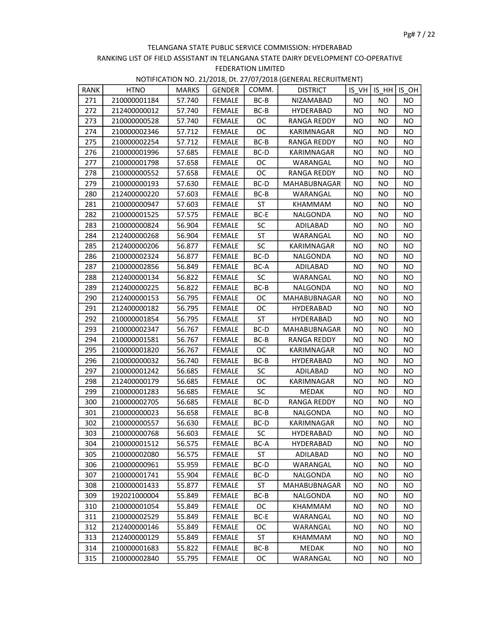| RANK | <b>HTNO</b>  | <b>MARKS</b> | GENDER        | COMM.     | <b>DISTRICT</b>     |           |           | IS VH IS HH IS OH |
|------|--------------|--------------|---------------|-----------|---------------------|-----------|-----------|-------------------|
| 271  | 210000001184 | 57.740       | <b>FEMALE</b> | BC-B      | NIZAMABAD           | NO.       | NO.       | NO.               |
| 272  | 212400000012 | 57.740       | <b>FEMALE</b> | $BC-B$    | <b>HYDERABAD</b>    | NO.       | NO.       | <b>NO</b>         |
| 273  | 210000000528 | 57.740       | <b>FEMALE</b> | <b>OC</b> | RANGA REDDY         | NO        | <b>NO</b> | <b>NO</b>         |
| 274  | 210000002346 | 57.712       | <b>FEMALE</b> | ОC        | KARIMNAGAR          | NO        | NO.       | <b>NO</b>         |
| 275  | 210000002254 | 57.712       | FEMALE        | BC-B      | RANGA REDDY         | NO        | NO.       | <b>NO</b>         |
| 276  | 210000001996 | 57.685       | FEMALE        | BC-D      | KARIMNAGAR          | NO.       | <b>NO</b> | <b>NO</b>         |
| 277  | 210000001798 | 57.658       | FEMALE        | <b>OC</b> | WARANGAL            | NO        | NO        | NO.               |
| 278  | 210000000552 | 57.658       | <b>FEMALE</b> | ОC        | RANGA REDDY         | <b>NO</b> | <b>NO</b> | NO                |
| 279  | 210000000193 | 57.630       | <b>FEMALE</b> | BC-D      | MAHABUBNAGAR        | <b>NO</b> | <b>NO</b> | <b>NO</b>         |
| 280  | 212400000220 | 57.603       | FEMALE        | BC-B      | WARANGAL            | NO.       | NO.       | <b>NO</b>         |
| 281  | 210000000947 | 57.603       | FEMALE        | ST        | KHAMMAM             | <b>NO</b> | NO.       | <b>NO</b>         |
| 282  | 210000001525 | 57.575       | <b>FEMALE</b> | BC-E      | NALGONDA            | NO        | <b>NO</b> | <b>NO</b>         |
| 283  | 210000000824 | 56.904       | <b>FEMALE</b> | <b>SC</b> | ADILABAD            | NO        | NO.       | <b>NO</b>         |
| 284  | 212400000268 | 56.904       | <b>FEMALE</b> | ST        | WARANGAL            | NO.       | NO.       | <b>NO</b>         |
| 285  | 212400000206 | 56.877       | <b>FEMALE</b> | <b>SC</b> | KARIMNAGAR          | <b>NO</b> | <b>NO</b> | <b>NO</b>         |
| 286  | 210000002324 | 56.877       | FEMALE        | BC-D      | NALGONDA            | <b>NO</b> | NO        | <b>NO</b>         |
| 287  | 210000002856 | 56.849       | <b>FEMALE</b> | BC-A      | ADILABAD            | <b>NO</b> | <b>NO</b> | <b>NO</b>         |
| 288  | 212400000134 | 56.822       | <b>FEMALE</b> | <b>SC</b> | WARANGAL            | <b>NO</b> | NO        | <b>NO</b>         |
| 289  | 212400000225 | 56.822       | <b>FEMALE</b> | $BC-B$    | NALGONDA            | <b>NO</b> | NO        | <b>NO</b>         |
| 290  | 212400000153 | 56.795       | <b>FEMALE</b> | ОC        | MAHABUBNAGAR        | NO        | NO.       | NO                |
| 291  | 212400000182 | 56.795       | <b>FEMALE</b> | <b>OC</b> | HYDERABAD           | NO        | <b>NO</b> | <b>NO</b>         |
| 292  | 210000001854 | 56.795       | <b>FEMALE</b> | ST        | HYDERABAD           | <b>NO</b> | NO.       | <b>NO</b>         |
| 293  | 210000002347 | 56.767       | <b>FEMALE</b> | BC-D      | MAHABUBNAGAR        | <b>NO</b> | NO.       | <b>NO</b>         |
| 294  | 210000001581 | 56.767       | FEMALE        | BC-B      | <b>RANGA REDDY</b>  | NO        | NO.       | <b>NO</b>         |
| 295  | 210000001820 | 56.767       | FEMALE        | OC        | KARIMNAGAR          | NO        | NO        | <b>NO</b>         |
| 296  | 210000000032 | 56.740       | <b>FEMALE</b> | BC-B      | HYDERABAD           | <b>NO</b> | <b>NO</b> | <b>NO</b>         |
| 297  | 210000001242 | 56.685       | <b>FEMALE</b> | <b>SC</b> | ADILABAD            | <b>NO</b> | NO        | <b>NO</b>         |
| 298  | 212400000179 | 56.685       | FEMALE        | ОC        | KARIMNAGAR          | NO.       | NO.       | <b>NO</b>         |
| 299  | 210000001283 | 56.685       | <b>FEMALE</b> | SC        | MEDAK               | NO.       | NO        | <b>NO</b>         |
| 300  | 210000002705 | 56.685       | <b>FEMALE</b> | BC-D      | RANGA REDDY         | <b>NO</b> | NO.       | <b>NO</b>         |
| 301  | 210000000023 | 56.658       | <b>FEMALE</b> | $BC-B$    | NALGONDA            | <b>NO</b> | NO        | <b>NO</b>         |
| 302  | 210000000557 | 56.630       | FEMALE        | BC-D      | KARIMNAGAR          | <b>NO</b> | NO.       | <b>NO</b>         |
| 303  | 210000000768 | 56.603       | FEMALE        | SC        | HYDERABAD           | <b>NO</b> | <b>NO</b> | <b>NO</b>         |
| 304  | 210000001512 | 56.575       | <b>FEMALE</b> | BC-A      | HYDERABAD           | ΝO        | <b>NO</b> | NO.               |
| 305  | 210000002080 | 56.575       | <b>FEMALE</b> | ST        | ADILABAD            | ΝO        | ΝO        | NO.               |
| 306  | 210000000961 | 55.959       | FEMALE        | BC-D      | WARANGAL            | NO.       | NO        | NO.               |
| 307  | 210000001741 | 55.904       | <b>FEMALE</b> | BC-D      | NALGONDA            | NO.       | NO.       | <b>NO</b>         |
| 308  | 210000001433 | 55.877       | <b>FEMALE</b> | ST        | <b>MAHABUBNAGAR</b> | NO.       | NO.       | ΝO                |
| 309  | 192021000004 | 55.849       | <b>FEMALE</b> | BC-B      | NALGONDA            | NO.       | NO        | ΝO                |
| 310  | 210000001054 | 55.849       | <b>FEMALE</b> | OC.       | KHAMMAM             | NO        | NO        | NO.               |
| 311  | 210000002529 | 55.849       | FEMALE        | BC-E      | WARANGAL            | NO        | NO.       | <b>NO</b>         |
| 312  | 212400000146 | 55.849       | <b>FEMALE</b> | OC.       | WARANGAL            | NO.       | NO        | NO.               |
| 313  | 212400000129 | 55.849       | <b>FEMALE</b> | ST        | KHAMMAM             | NO.       | NO        | <b>NO</b>         |
| 314  | 210000001683 | 55.822       | <b>FEMALE</b> | BC-B      | MEDAK               | ΝO        | <b>NO</b> | NO.               |
| 315  | 210000002840 | 55.795       | <b>FEMALE</b> | ОC        | WARANGAL            | NO.       | NO        | NO.               |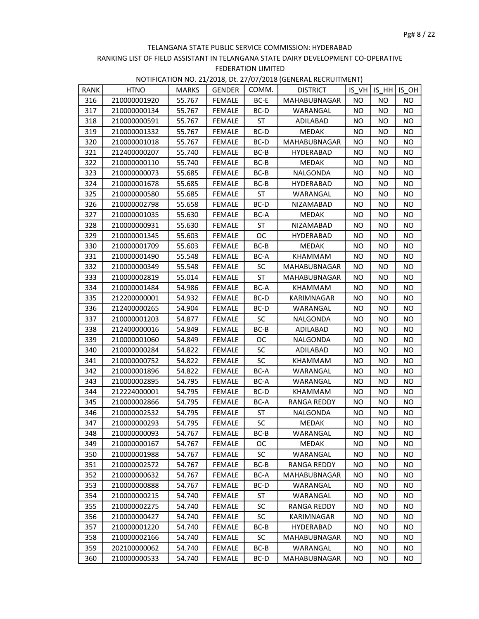| RANK | <b>HTNO</b>  | <b>MARKS</b> | <b>GENDER</b> | COMM.     | <b>DISTRICT</b>     |           | $IS VH$ IS $HH$ | $IS_OH$   |
|------|--------------|--------------|---------------|-----------|---------------------|-----------|-----------------|-----------|
| 316  | 210000001920 | 55.767       | <b>FEMALE</b> | BC-E      | MAHABUBNAGAR        | NO.       | NO.             | NO.       |
| 317  | 210000000134 | 55.767       | FEMALE        | BC-D      | WARANGAL            | NO.       | NO              | <b>NO</b> |
| 318  | 210000000591 | 55.767       | <b>FEMALE</b> | ST        | ADILABAD            | <b>NO</b> | NO.             | <b>NO</b> |
| 319  | 210000001332 | 55.767       | <b>FEMALE</b> | BC-D      | <b>MEDAK</b>        | <b>NO</b> | <b>NO</b>       | <b>NO</b> |
| 320  | 210000001018 | 55.767       | <b>FEMALE</b> | BC-D      | <b>MAHABUBNAGAR</b> | <b>NO</b> | NO.             | <b>NO</b> |
| 321  | 212400000207 | 55.740       | FEMALE        | BC-B      | HYDERABAD           | NO.       | NO.             | <b>NO</b> |
| 322  | 210000000110 | 55.740       | <b>FEMALE</b> | $BC-B$    | <b>MEDAK</b>        | <b>NO</b> | <b>NO</b>       | NO.       |
| 323  | 210000000073 | 55.685       | <b>FEMALE</b> | BC-B      | NALGONDA            | <b>NO</b> | <b>NO</b>       | <b>NO</b> |
| 324  | 210000001678 | 55.685       | <b>FEMALE</b> | $BC-B$    | <b>HYDERABAD</b>    | <b>NO</b> | NO.             | NO.       |
| 325  | 210000000580 | 55.685       | FEMALE        | <b>ST</b> | WARANGAL            | NO.       | NO              | <b>NO</b> |
| 326  | 210000002798 | 55.658       | FEMALE        | BC-D      | NIZAMABAD           | <b>NO</b> | NO.             | <b>NO</b> |
| 327  | 210000001035 | 55.630       | <b>FEMALE</b> | BC-A      | <b>MEDAK</b>        | <b>NO</b> | NO.             | NO.       |
| 328  | 210000000931 | 55.630       | <b>FEMALE</b> | ST        | NIZAMABAD           | <b>NO</b> | <b>NO</b>       | <b>NO</b> |
| 329  | 210000001345 | 55.603       | FEMALE        | <b>OC</b> | HYDERABAD           | <b>NO</b> | NO              | <b>NO</b> |
| 330  | 210000001709 | 55.603       | FEMALE        | BC-B      | MEDAK               | <b>NO</b> | NO              | <b>NO</b> |
| 331  | 210000001490 | 55.548       | <b>FEMALE</b> | BC-A      | KHAMMAM             | <b>NO</b> | NO.             | <b>NO</b> |
| 332  | 210000000349 | 55.548       | <b>FEMALE</b> | <b>SC</b> | MAHABUBNAGAR        | NO        | <b>NO</b>       | <b>NO</b> |
| 333  | 210000002819 | 55.014       | <b>FEMALE</b> | ST        | MAHABUBNAGAR        | NO        | NO              | <b>NO</b> |
| 334  | 210000001484 | 54.986       | <b>FEMALE</b> | BC-A      | KHAMMAM             | NO.       | NO.             | <b>NO</b> |
| 335  | 212200000001 | 54.932       | <b>FEMALE</b> | BC-D      | KARIMNAGAR          | <b>NO</b> | NO.             | <b>NO</b> |
| 336  | 212400000265 | 54.904       | <b>FEMALE</b> | BC-D      | WARANGAL            | <b>NO</b> | <b>NO</b>       | <b>NO</b> |
| 337  | 210000001203 | 54.877       | <b>FEMALE</b> | <b>SC</b> | NALGONDA            | <b>NO</b> | <b>NO</b>       | <b>NO</b> |
| 338  | 212400000016 | 54.849       | <b>FEMALE</b> | $BC-B$    | ADILABAD            | <b>NO</b> | <b>NO</b>       | <b>NO</b> |
| 339  | 210000001060 | 54.849       | FEMALE        | <b>OC</b> | NALGONDA            | <b>NO</b> | NO              | <b>NO</b> |
| 340  | 210000000284 | 54.822       | <b>FEMALE</b> | SC        | ADILABAD            | <b>NO</b> | NO              | <b>NO</b> |
| 341  | 210000000752 | 54.822       | <b>FEMALE</b> | SC        | KHAMMAM             | <b>NO</b> | <b>NO</b>       | <b>NO</b> |
| 342  | 210000001896 | 54.822       | FEMALE        | BC-A      | WARANGAL            | <b>NO</b> | <b>NO</b>       | NO.       |
| 343  | 210000002895 | 54.795       | FEMALE        | BC-A      | WARANGAL            | NO.       | NO.             | <b>NO</b> |
| 344  | 212224000001 | 54.795       | <b>FEMALE</b> | BC-D      | KHAMMAM             | <b>NO</b> | NO.             | <b>NO</b> |
| 345  | 210000002866 | 54.795       | <b>FEMALE</b> | BC-A      | RANGA REDDY         | NO        | NO              | <b>NO</b> |
| 346  | 210000002532 | 54.795       | <b>FEMALE</b> | ST        | NALGONDA            | <b>NO</b> | <b>NO</b>       | <b>NO</b> |
| 347  | 210000000293 | 54.795       | <b>FEMALE</b> | SC        | <b>MEDAK</b>        | <b>NO</b> | <b>NO</b>       | <b>NO</b> |
| 348  | 210000000093 | 54.767       | FEMALE        | BC-B      | WARANGAL            | <b>NO</b> | <b>NO</b>       | <b>NO</b> |
| 349  | 210000000167 | 54.767       | <b>FEMALE</b> | OC.       | MEDAK               | ΝO        | NO              | NO.       |
| 350  | 210000001988 | 54.767       | <b>FEMALE</b> | <b>SC</b> | WARANGAL            | ΝO        | NO              | NO.       |
| 351  | 210000002572 | 54.767       | <b>FEMALE</b> | BC-B      | <b>RANGA REDDY</b>  | NO        | <b>NO</b>       | <b>NO</b> |
| 352  | 210000000632 | 54.767       | <b>FEMALE</b> | BC-A      | MAHABUBNAGAR        | ΝO        | NO.             | ΝO        |
| 353  | 210000000888 | 54.767       | <b>FEMALE</b> | BC-D      | WARANGAL            | NO.       | NO              | <b>NO</b> |
| 354  | 210000000215 | 54.740       | <b>FEMALE</b> | ST        | WARANGAL            | NO        | NO              | NO.       |
| 355  | 210000002275 | 54.740       | <b>FEMALE</b> | <b>SC</b> | RANGA REDDY         | ΝO        | <b>NO</b>       | ΝO        |
| 356  | 210000000427 | 54.740       | <b>FEMALE</b> | SC        | KARIMNAGAR          | NO        | NO              | <b>NO</b> |
| 357  | 210000001220 | 54.740       | <b>FEMALE</b> | BC-B      | HYDERABAD           | <b>NO</b> | <b>NO</b>       | <b>NO</b> |
| 358  | 210000002166 | 54.740       | FEMALE        | <b>SC</b> | MAHABUBNAGAR        | ΝO        | NO.             | ΝO        |
| 359  | 202100000062 | 54.740       | <b>FEMALE</b> | BC-B      | WARANGAL            | ΝO        | NO              | NO.       |
| 360  | 210000000533 | 54.740       | <b>FEMALE</b> | BC-D      | MAHABUBNAGAR        | NO        | NO              | NO        |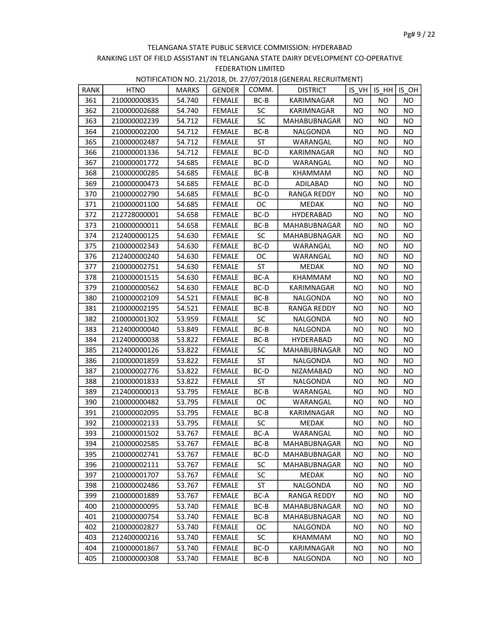| RANK | <b>HTNO</b>  | <b>MARKS</b> | <b>GENDER</b> | COMM.     | <b>DISTRICT</b>     |           | IS VH   IS HH   ISOH |           |
|------|--------------|--------------|---------------|-----------|---------------------|-----------|----------------------|-----------|
| 361  | 210000000835 | 54.740       | <b>FEMALE</b> | BC-B      | KARIMNAGAR          | <b>NO</b> | NO.                  | NO.       |
| 362  | 210000002688 | 54.740       | FEMALE        | <b>SC</b> | KARIMNAGAR          | <b>NO</b> | NO.                  | NO.       |
| 363  | 210000002239 | 54.712       | <b>FEMALE</b> | <b>SC</b> | MAHABUBNAGAR        | NO        | <b>NO</b>            | NO.       |
| 364  | 210000002200 | 54.712       | <b>FEMALE</b> | BC-B      | NALGONDA            | <b>NO</b> | NO                   | NO.       |
| 365  | 210000002487 | 54.712       | <b>FEMALE</b> | ST        | WARANGAL            | <b>NO</b> | NO.                  | NO        |
| 366  | 210000001336 | 54.712       | FEMALE        | BC-D      | KARIMNAGAR          | <b>NO</b> | NO.                  | NO.       |
| 367  | 210000001772 | 54.685       | <b>FEMALE</b> | BC-D      | WARANGAL            | <b>NO</b> | <b>NO</b>            | <b>NO</b> |
| 368  | 210000000285 | 54.685       | <b>FEMALE</b> | BC-B      | KHAMMAM             | <b>NO</b> | <b>NO</b>            | <b>NO</b> |
| 369  | 210000000473 | 54.685       | <b>FEMALE</b> | BC-D      | ADILABAD            | <b>NO</b> | NO                   | <b>NO</b> |
| 370  | 210000002790 | 54.685       | FEMALE        | BC-D      | RANGA REDDY         | <b>NO</b> | NO.                  | NO.       |
| 371  | 210000001100 | 54.685       | FEMALE        | ОC        | MEDAK               | <b>NO</b> | NO.                  | NO        |
| 372  | 212728000001 | 54.658       | <b>FEMALE</b> | BC-D      | <b>HYDERABAD</b>    | ΝO        | ΝO                   | NO.       |
| 373  | 210000000011 | 54.658       | <b>FEMALE</b> | BC-B      | MAHABUBNAGAR        | <b>NO</b> | <b>NO</b>            | NO.       |
| 374  | 212400000125 | 54.630       | FEMALE        | <b>SC</b> | MAHABUBNAGAR        | <b>NO</b> | NO.                  | NO.       |
| 375  | 210000002343 | 54.630       | <b>FEMALE</b> | BC-D      | WARANGAL            | <b>NO</b> | NO.                  | NO        |
| 376  | 212400000240 | 54.630       | <b>FEMALE</b> | ОC        | WARANGAL            | <b>NO</b> | NO.                  | <b>NO</b> |
| 377  | 210000002751 | 54.630       | FEMALE        | ST        | <b>MEDAK</b>        | <b>NO</b> | NO                   | NO        |
| 378  | 210000001515 | 54.630       | <b>FEMALE</b> | BC-A      | KHAMMAM             | <b>NO</b> | NO                   | NO.       |
| 379  | 210000000562 | 54.630       | <b>FEMALE</b> | BC-D      | KARIMNAGAR          | <b>NO</b> | NO.                  | <b>NO</b> |
| 380  | 210000002109 | 54.521       | <b>FEMALE</b> | BC-B      | NALGONDA            | <b>NO</b> | <b>NO</b>            | NO.       |
| 381  | 210000002195 | 54.521       | <b>FEMALE</b> | BC-B      | RANGA REDDY         | <b>NO</b> | <b>NO</b>            | NO.       |
| 382  | 210000001302 | 53.959       | <b>FEMALE</b> | <b>SC</b> | NALGONDA            | <b>NO</b> | NO                   | <b>NO</b> |
| 383  | 212400000040 | 53.849       | <b>FEMALE</b> | $BC-B$    | NALGONDA            | <b>NO</b> | <b>NO</b>            | <b>NO</b> |
| 384  | 212400000038 | 53.822       | <b>FEMALE</b> | BC-B      | <b>HYDERABAD</b>    | <b>NO</b> | NO.                  | NO.       |
| 385  | 212400000126 | 53.822       | <b>FEMALE</b> | <b>SC</b> | MAHABUBNAGAR        | <b>NO</b> | NO.                  | <b>NO</b> |
| 386  | 210000001859 | 53.822       | <b>FEMALE</b> | ST        | NALGONDA            | <b>NO</b> | NO.                  | NO.       |
| 387  | 210000002776 | 53.822       | <b>FEMALE</b> | $BC-D$    | NIZAMABAD           | <b>NO</b> | <b>NO</b>            | NO        |
| 388  | 210000001833 | 53.822       | <b>FEMALE</b> | ST        | NALGONDA            | <b>NO</b> | NO.                  | <b>NO</b> |
| 389  | 212400000013 | 53.795       | <b>FEMALE</b> | BC-B      | WARANGAL            | <b>NO</b> | <b>NO</b>            | NO        |
| 390  | 210000000482 | 53.795       | <b>FEMALE</b> | OC        | WARANGAL            | <b>NO</b> | <b>NO</b>            | NO        |
| 391  | 210000002095 | 53.795       | <b>FEMALE</b> | BC-B      | KARIMNAGAR          | <b>NO</b> | <b>NO</b>            | NO.       |
| 392  | 210000002133 | 53.795       | <b>FEMALE</b> | <b>SC</b> | <b>MEDAK</b>        | <b>NO</b> | <b>NO</b>            | <b>NO</b> |
| 393  | 210000001502 | 53.767       | FEMALE        | BC-A      | WARANGAL            | <b>NO</b> | <b>NO</b>            | <b>NO</b> |
| 394  | 210000002585 | 53.767       | <b>FEMALE</b> | BC-B      | MAHABUBNAGAR        | NO.       | ΝO                   | NO.       |
| 395  | 210000002741 | 53.767       | <b>FEMALE</b> | BC-D      | <b>MAHABUBNAGAR</b> | ΝO        | NO                   | NO.       |
| 396  | 210000002111 | 53.767       | <b>FEMALE</b> | <b>SC</b> | MAHABUBNAGAR        | NO        | <b>NO</b>            | <b>NO</b> |
| 397  | 210000001707 | 53.767       | <b>FEMALE</b> | SC        | MEDAK               | NO.       | NO.                  | NO.       |
| 398  | 210000002486 | 53.767       | <b>FEMALE</b> | ST        | NALGONDA            | NO.       | NO.                  | NO.       |
| 399  | 210000001889 | 53.767       | <b>FEMALE</b> | BC-A      | <b>RANGA REDDY</b>  | NO        | NO                   | NO.       |
| 400  | 210000000095 | 53.740       | <b>FEMALE</b> | BC-B      | MAHABUBNAGAR        | ΝO        | <b>NO</b>            | NO.       |
| 401  | 210000000754 | 53.740       | <b>FEMALE</b> | BC-B      | MAHABUBNAGAR        | NO.       | NO                   | <b>NO</b> |
| 402  | 210000002827 | 53.740       | <b>FEMALE</b> | <b>OC</b> | NALGONDA            | <b>NO</b> | NO.                  | NO.       |
| 403  | 212400000216 | 53.740       | <b>FEMALE</b> | SC        | KHAMMAM             | NO.       | NO                   | NO.       |
| 404  | 210000001867 | 53.740       | <b>FEMALE</b> | BC-D      | KARIMNAGAR          | ΝO        | ΝO                   | NO.       |
| 405  | 210000000308 | 53.740       | <b>FEMALE</b> | BC-B      | NALGONDA            | NO        | NO                   | NO        |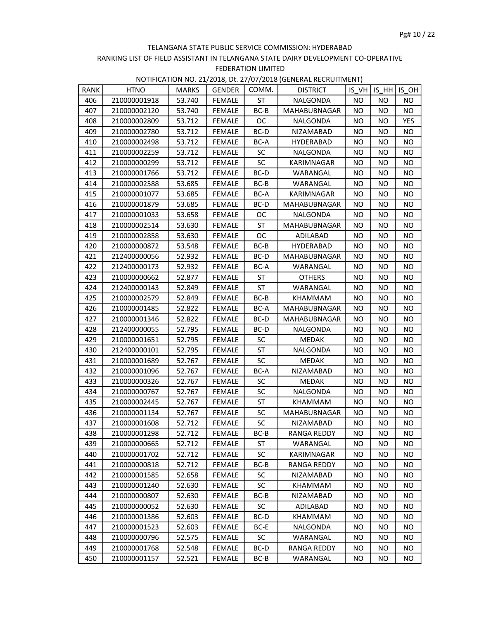| RANK | <b>HTNO</b>  | <b>MARKS</b> | <b>GENDER</b> | COMM.     | <b>DISTRICT</b>     | IS VH     | ISHH      | IS OH     |
|------|--------------|--------------|---------------|-----------|---------------------|-----------|-----------|-----------|
| 406  | 210000001918 | 53.740       | <b>FEMALE</b> | ST        | NALGONDA            | NO.       | NO.       | NO.       |
| 407  | 210000002120 | 53.740       | FEMALE        | BC-B      | MAHABUBNAGAR        | NO.       | NO.       | NO.       |
| 408  | 210000002809 | 53.712       | FEMALE        | OC.       | NALGONDA            | NO.       | NO.       | YES       |
| 409  | 210000002780 | 53.712       | <b>FEMALE</b> | BC-D      | NIZAMABAD           | ΝO        | <b>NO</b> | NO.       |
| 410  | 210000002498 | 53.712       | <b>FEMALE</b> | BC-A      | <b>HYDERABAD</b>    | <b>NO</b> | NO        | NO.       |
| 411  | 210000002259 | 53.712       | <b>FEMALE</b> | <b>SC</b> | NALGONDA            | NO.       | NO.       | <b>NO</b> |
| 412  | 210000000299 | 53.712       | <b>FEMALE</b> | <b>SC</b> | KARIMNAGAR          | NO.       | NO.       | NO.       |
| 413  | 210000001766 | 53.712       | <b>FEMALE</b> | BC-D      | WARANGAL            | NO.       | <b>NO</b> | NO.       |
| 414  | 210000002588 | 53.685       | <b>FEMALE</b> | BC-B      | WARANGAL            | <b>NO</b> | NO.       | NO.       |
| 415  | 210000001077 | 53.685       | <b>FEMALE</b> | BC-A      | KARIMNAGAR          | NO.       | NO        | NO.       |
| 416  | 210000001879 | 53.685       | FEMALE        | BC-D      | <b>MAHABUBNAGAR</b> | NO.       | NO.       | NO.       |
| 417  | 210000001033 | 53.658       | FEMALE        | OC.       | NALGONDA            | NO.       | NO.       | NO.       |
| 418  | 210000002514 | 53.630       | <b>FEMALE</b> | ST        | MAHABUBNAGAR        | NO        | NO.       | NO.       |
| 419  | 210000002858 | 53.630       | <b>FEMALE</b> | ОC        | ADILABAD            | <b>NO</b> | <b>NO</b> | NO.       |
| 420  | 210000000872 | 53.548       | <b>FEMALE</b> | $BC-B$    | <b>HYDERABAD</b>    | <b>NO</b> | <b>NO</b> | <b>NO</b> |
| 421  | 212400000056 | 52.932       | <b>FEMALE</b> | BC-D      | <b>MAHABUBNAGAR</b> | NO.       | NO.       | NO.       |
| 422  | 212400000173 | 52.932       | FEMALE        | BC-A      | WARANGAL            | NO.       | NO.       | NO.       |
| 423  | 210000000662 | 52.877       | <b>FEMALE</b> | ST        | <b>OTHERS</b>       | <b>NO</b> | NO.       | NO.       |
| 424  | 212400000143 | 52.849       | <b>FEMALE</b> | <b>ST</b> | WARANGAL            | NO.       | NO        | NO.       |
| 425  | 210000002579 | 52.849       | FEMALE        | BC-B      | KHAMMAM             | NO.       | NO.       | NO.       |
| 426  | 210000001485 | 52.822       | FEMALE        | BC-A      | MAHABUBNAGAR        | NO        | NO.       | NO.       |
| 427  | 210000001346 | 52.822       | <b>FEMALE</b> | BC-D      | <b>MAHABUBNAGAR</b> | <b>NO</b> | <b>NO</b> | NO.       |
| 428  | 212400000055 | 52.795       | <b>FEMALE</b> | BC-D      | NALGONDA            | <b>NO</b> | NO        | NO        |
| 429  | 210000001651 | 52.795       | <b>FEMALE</b> | <b>SC</b> | <b>MEDAK</b>        | NO.       | NO.       | NO.       |
| 430  | 212400000101 | 52.795       | <b>FEMALE</b> | <b>ST</b> | NALGONDA            | NO.       | NO.       | NO.       |
| 431  | 210000001689 | 52.767       | FEMALE        | <b>SC</b> | MEDAK               | NO.       | NO.       | NO.       |
| 432  | 210000001096 | 52.767       | <b>FEMALE</b> | BC-A      | NIZAMABAD           | <b>NO</b> | NO        | NO.       |
| 433  | 210000000326 | 52.767       | <b>FEMALE</b> | <b>SC</b> | MEDAK               | NO.       | NO        | NO.       |
| 434  | 210000000767 | 52.767       | <b>FEMALE</b> | <b>SC</b> | NALGONDA            | NO.       | NO.       | NO.       |
| 435  | 210000002445 | 52.767       | FEMALE        | ST        | KHAMMAM             | NO.       | NO.       | NO.       |
| 436  | 210000001134 | 52.767       | <b>FEMALE</b> | <b>SC</b> | MAHABUBNAGAR        | NO        | NO.       | NO.       |
| 437  | 210000001608 | 52.712       | <b>FEMALE</b> | <b>SC</b> | NIZAMABAD           | <b>NO</b> | NO        | NO.       |
| 438  | 210000001298 | 52.712       | FEMALE        | BC-B      | RANGA REDDY         | <b>NO</b> | NO        | NO.       |
| 439  | 210000000665 | 52.712       | FEMALE        | ST        | WARANGAL            | NO.       | NO.       | NO.       |
| 440  | 210000001702 | 52.712       | <b>FEMALE</b> | SC        | KARIMNAGAR          | NO.       | NO.       | ΝO        |
| 441  | 210000000818 | 52.712       | <b>FEMALE</b> | BC-B      | RANGA REDDY         | ΝO        | ΝO        | ΝO        |
| 442  | 210000001585 | 52.658       | <b>FEMALE</b> | <b>SC</b> | NIZAMABAD           | <b>NO</b> | NO        | ΝO        |
| 443  | 210000001240 | 52.630       | <b>FEMALE</b> | <b>SC</b> | KHAMMAM             | NO.       | NO.       | NO.       |
| 444  | 210000000807 | 52.630       | FEMALE        | BC-B      | NIZAMABAD           | NO.       | NO.       | ΝO        |
| 445  | 210000000052 | 52.630       | <b>FEMALE</b> | <b>SC</b> | ADILABAD            | <b>NO</b> | NO.       | NO.       |
| 446  | 210000001386 | 52.603       | <b>FEMALE</b> | BC-D      | KHAMMAM             | ΝO        | NO        | ΝO        |
| 447  | 210000001523 | 52.603       | <b>FEMALE</b> | BC-E      | NALGONDA            | NO        | NO        | NO.       |
| 448  | 210000000796 | 52.575       | FEMALE        | <b>SC</b> | WARANGAL            | NO.       | NO.       | NO.       |
| 449  | 210000001768 | 52.548       | FEMALE        | BC-D      | RANGA REDDY         | NO.       | NO        | NO.       |
| 450  | 210000001157 | 52.521       | <b>FEMALE</b> | BC-B      | WARANGAL            | NO.       | NO.       | NO.       |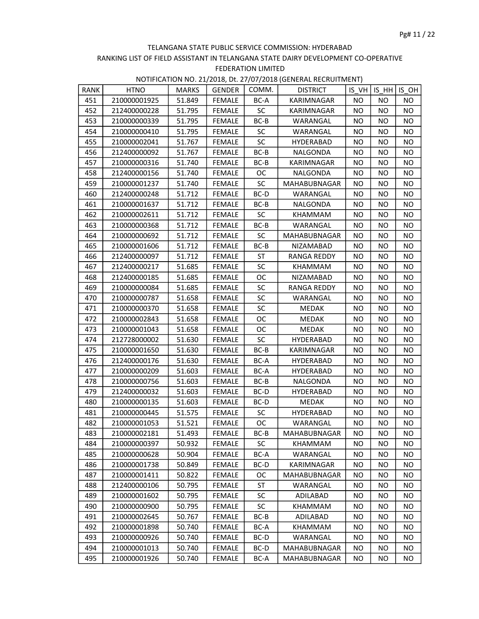| RANK | <b>HTNO</b>  | <b>MARKS</b> | <b>GENDER</b> | COMM.     | <b>DISTRICT</b>    |           | IS VHIIS HH | IS OH     |
|------|--------------|--------------|---------------|-----------|--------------------|-----------|-------------|-----------|
| 451  | 210000001925 | 51.849       | <b>FEMALE</b> | BC-A      | KARIMNAGAR         | NO.       | NO.         | NO.       |
| 452  | 212400000228 | 51.795       | FEMALE        | <b>SC</b> | KARIMNAGAR         | NO.       | NO.         | NO.       |
| 453  | 210000000339 | 51.795       | FEMALE        | BC-B      | WARANGAL           | NO.       | NO.         | NO        |
| 454  | 210000000410 | 51.795       | <b>FEMALE</b> | <b>SC</b> | WARANGAL           | <b>NO</b> | NO          | NO.       |
| 455  | 210000002041 | 51.767       | <b>FEMALE</b> | <b>SC</b> | <b>HYDERABAD</b>   | NO.       | NO          | NO.       |
| 456  | 212400000092 | 51.767       | <b>FEMALE</b> | $BC-B$    | NALGONDA           | <b>NO</b> | NO.         | <b>NO</b> |
| 457  | 210000000316 | 51.740       | <b>FEMALE</b> | BC-B      | KARIMNAGAR         | NO.       | NO.         | NO.       |
| 458  | 212400000156 | 51.740       | <b>FEMALE</b> | <b>OC</b> | NALGONDA           | NO.       | NO.         | NO.       |
| 459  | 210000001237 | 51.740       | FEMALE        | <b>SC</b> | MAHABUBNAGAR       | NO        | NO.         | NO.       |
| 460  | 212400000248 | 51.712       | <b>FEMALE</b> | BC-D      | WARANGAL           | NO.       | NO          | NO        |
| 461  | 210000001637 | 51.712       | FEMALE        | BC-B      | NALGONDA           | NO.       | NO.         | NO.       |
| 462  | 210000002611 | 51.712       | FEMALE        | <b>SC</b> | KHAMMAM            | NO.       | NO.         | NO.       |
| 463  | 210000000368 | 51.712       | <b>FEMALE</b> | BC-B      | WARANGAL           | <b>NO</b> | NO.         | NO.       |
| 464  | 210000000692 | 51.712       | <b>FEMALE</b> | <b>SC</b> | MAHABUBNAGAR       | NO        | <b>NO</b>   | NO.       |
| 465  | 210000001606 | 51.712       | <b>FEMALE</b> | $BC-B$    | NIZAMABAD          | NO.       | <b>NO</b>   | <b>NO</b> |
| 466  | 212400000097 | 51.712       | <b>FEMALE</b> | ST        | <b>RANGA REDDY</b> | NO.       | NO.         | NO.       |
| 467  | 212400000217 | 51.685       | FEMALE        | <b>SC</b> | KHAMMAM            | NO.       | <b>NO</b>   | NO        |
| 468  | 212400000185 | 51.685       | FEMALE        | ОC        | <b>NIZAMABAD</b>   | <b>NO</b> | NO          | NO.       |
| 469  | 210000000084 | 51.685       | <b>FEMALE</b> | <b>SC</b> | <b>RANGA REDDY</b> | NO.       | NO.         | NO.       |
| 470  | 210000000787 | 51.658       | FEMALE        | <b>SC</b> | WARANGAL           | NO.       | NO.         | NO        |
| 471  | 210000000370 | 51.658       | FEMALE        | <b>SC</b> | MEDAK              | NO.       | NO.         | NO.       |
| 472  | 210000002843 | 51.658       | <b>FEMALE</b> | ОC        | <b>MEDAK</b>       | <b>NO</b> | NO          | NO.       |
| 473  | 210000001043 | 51.658       | <b>FEMALE</b> | ОC        | MEDAK              | <b>NO</b> | NO          | NO        |
| 474  | 212728000002 | 51.630       | <b>FEMALE</b> | <b>SC</b> | HYDERABAD          | NO.       | NO.         | NO.       |
| 475  | 210000001650 | 51.630       | <b>FEMALE</b> | $BC-B$    | KARIMNAGAR         | NO.       | NO.         | NO.       |
| 476  | 212400000176 | 51.630       | FEMALE        | BC-A      | HYDERABAD          | NO.       | NO.         | NO        |
| 477  | 210000000209 | 51.603       | <b>FEMALE</b> | BC-A      | HYDERABAD          | <b>NO</b> | NO          | NO.       |
| 478  | 210000000756 | 51.603       | <b>FEMALE</b> | BC-B      | NALGONDA           | NO.       | NO          | NO.       |
| 479  | 212400000032 | 51.603       | FEMALE        | BC-D      | <b>HYDERABAD</b>   | NO.       | NO.         | NO.       |
| 480  | 210000000135 | 51.603       | FEMALE        | BC-D      | MEDAK              | NO.       | NO.         | NO.       |
| 481  | 210000000445 | 51.575       | FEMALE        | <b>SC</b> | <b>HYDERABAD</b>   | <b>NO</b> | NO.         | NO        |
| 482  | 210000001053 | 51.521       | <b>FEMALE</b> | ОC        | WARANGAL           | <b>NO</b> | NO          | NO.       |
| 483  | 210000002181 | 51.493       | FEMALE        | BC-B      | MAHABUBNAGAR       | <b>NO</b> | NO          | NO.       |
| 484  | 210000000397 | 50.932       | FEMALE        | <b>SC</b> | KHAMMAM            | NO.       | NO.         | <b>NO</b> |
| 485  | 210000000628 | 50.904       | FEMALE        | BC-A      | WARANGAL           | NO.       | NO.         | NO.       |
| 486  | 210000001738 | 50.849       | <b>FEMALE</b> | BC-D      | KARIMNAGAR         | ΝO        | ΝO          | NO        |
| 487  | 210000001411 | 50.822       | <b>FEMALE</b> | OC.       | MAHABUBNAGAR       | NO        | NO          | ΝO        |
| 488  | 212400000106 | 50.795       | <b>FEMALE</b> | ST        | WARANGAL           | NO.       | NO.         | NO.       |
| 489  | 210000001602 | 50.795       | <b>FEMALE</b> | SC        | ADILABAD           | NO        | NO.         | NO.       |
| 490  | 210000000900 | 50.795       | FEMALE        | SC        | KHAMMAM            | <b>NO</b> | NO          | NO.       |
| 491  | 210000002645 | 50.767       | <b>FEMALE</b> | BC-B      | ADILABAD           | ΝO        | NO          | NO.       |
| 492  | 210000001898 | 50.740       | <b>FEMALE</b> | BC-A      | KHAMMAM            | NO        | NO          | NO.       |
| 493  | 210000000926 | 50.740       | <b>FEMALE</b> | BC-D      | WARANGAL           | NO        | NO.         | NO.       |
| 494  | 210000001013 | 50.740       | FEMALE        | BC-D      | MAHABUBNAGAR       | NO.       | NO          | NO.       |
| 495  | 210000001926 | 50.740       | <b>FEMALE</b> | BC-A      | MAHABUBNAGAR       | NO.       | NO.         | NO.       |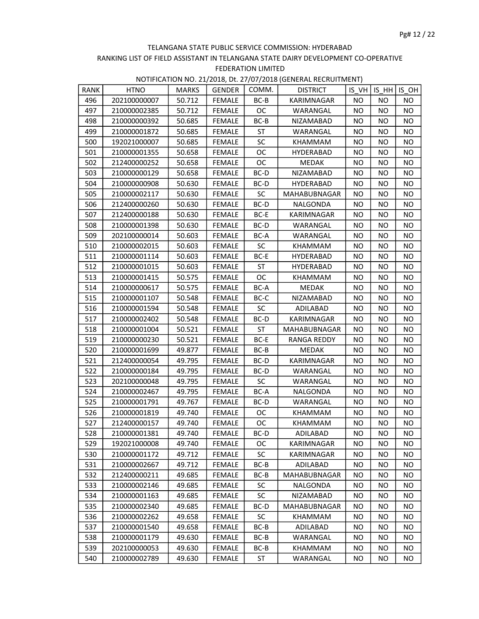| RANK | <b>HTNO</b>  | <b>MARKS</b> | GENDER        | COMM.     | <b>DISTRICT</b>    |           | IS VH IS HH IS OH |           |
|------|--------------|--------------|---------------|-----------|--------------------|-----------|-------------------|-----------|
| 496  | 202100000007 | 50.712       | FEMALE        | BC-B      | KARIMNAGAR         | <b>NO</b> | NO.               | NO.       |
| 497  | 210000002385 | 50.712       | <b>FEMALE</b> | <b>OC</b> | WARANGAL           | NO.       | NO.               | NO        |
| 498  | 210000000392 | 50.685       | <b>FEMALE</b> | BC-B      | NIZAMABAD          | <b>NO</b> | NO                | NO.       |
| 499  | 210000001872 | 50.685       | <b>FEMALE</b> | ST        | WARANGAL           | <b>NO</b> | NO.               | NO        |
| 500  | 192021000007 | 50.685       | FEMALE        | <b>SC</b> | KHAMMAM            | NO.       | NO.               | <b>NO</b> |
| 501  | 210000001355 | 50.658       | FEMALE        | ОC        | HYDERABAD          | NO.       | NO.               | NO        |
| 502  | 212400000252 | 50.658       | <b>FEMALE</b> | ОC        | <b>MEDAK</b>       | NO        | NO                | NO.       |
| 503  | 210000000129 | 50.658       | <b>FEMALE</b> | BC-D      | NIZAMABAD          | <b>NO</b> | NO                | NO.       |
| 504  | 210000000908 | 50.630       | <b>FEMALE</b> | BC-D      | HYDERABAD          | NO.       | NO.               | <b>NO</b> |
| 505  | 210000002117 | 50.630       | FEMALE        | <b>SC</b> | MAHABUBNAGAR       | NO        | NO.               | <b>NO</b> |
| 506  | 212400000260 | 50.630       | FEMALE        | BC-D      | NALGONDA           | NO.       | NO.               | NO.       |
| 507  | 212400000188 | 50.630       | <b>FEMALE</b> | BC-E      | KARIMNAGAR         | <b>NO</b> | NO                | <b>NO</b> |
| 508  | 210000001398 | 50.630       | <b>FEMALE</b> | BC-D      | WARANGAL           | <b>NO</b> | NO                | NO        |
| 509  | 202100000014 | 50.603       | FEMALE        | BC-A      | WARANGAL           | NO.       | NO.               | NO        |
| 510  | 210000002015 | 50.603       | FEMALE        | <b>SC</b> | KHAMMAM            | NO.       | NO.               | NO.       |
| 511  | 210000001114 | 50.603       | FEMALE        | BC-E      | <b>HYDERABAD</b>   | NO        | NO                | NO        |
| 512  | 210000001015 | 50.603       | <b>FEMALE</b> | ST        | HYDERABAD          | <b>NO</b> | NO                | NO        |
| 513  | 210000001415 | 50.575       | <b>FEMALE</b> | OC        | KHAMMAM            | NO.       | NO                | <b>NO</b> |
| 514  | 210000000617 | 50.575       | <b>FEMALE</b> | BC-A      | MEDAK              | <b>NO</b> | NO                | NO.       |
| 515  | 210000001107 | 50.548       | FEMALE        | BC-C      | NIZAMABAD          | NO.       | NO.               | NO        |
| 516  | 210000001594 | 50.548       | <b>FEMALE</b> | <b>SC</b> | ADILABAD           | <b>NO</b> | NO                | NO.       |
| 517  | 210000002402 | 50.548       | <b>FEMALE</b> | BC-D      | KARIMNAGAR         | <b>NO</b> | NO                | NO.       |
| 518  | 210000001004 | 50.521       | FEMALE        | ST        | MAHABUBNAGAR       | NO.       | NO.               | NO.       |
| 519  | 210000000230 | 50.521       | FEMALE        | BC-E      | <b>RANGA REDDY</b> | NO.       | NO                | NO.       |
| 520  | 210000001699 | 49.877       | FEMALE        | BC-B      | MEDAK              | NO        | NO.               | NO        |
| 521  | 212400000054 | 49.795       | <b>FEMALE</b> | BC-D      | KARIMNAGAR         | <b>NO</b> | <b>NO</b>         | <b>NO</b> |
| 522  | 210000000184 | 49.795       | <b>FEMALE</b> | BC-D      | WARANGAL           | NO.       | NO                | <b>NO</b> |
| 523  | 202100000048 | 49.795       | FEMALE        | <b>SC</b> | WARANGAL           | NO.       | NO                | NO.       |
| 524  | 210000002467 | 49.795       | FEMALE        | BC-A      | NALGONDA           | NO.       | NO                | NO.       |
| 525  | 210000001791 | 49.767       | <b>FEMALE</b> | BC-D      | WARANGAL           | <b>NO</b> | NO                | NO.       |
| 526  | 210000001819 | 49.740       | <b>FEMALE</b> | OC.       | KHAMMAM            | <b>NO</b> | NO.               | NO        |
| 527  | 212400000157 | 49.740       | <b>FEMALE</b> | OC        | KHAMMAM            | <b>NO</b> | NO.               | <b>NO</b> |
| 528  | 210000001381 | 49.740       | FEMALE        | BC-D      | ADILABAD           | <b>NO</b> | <b>NO</b>         | <b>NO</b> |
| 529  | 192021000008 | 49.740       | <b>FEMALE</b> | OC.       | KARIMNAGAR         | ΝO        | NO                | NO.       |
| 530  | 210000001172 | 49.712       | <b>FEMALE</b> | <b>SC</b> | <b>KARIMNAGAR</b>  | ΝO        | ΝO                | NO.       |
| 531  | 210000002667 | 49.712       | <b>FEMALE</b> | BC-B      | ADILABAD           | NO.       | NO                | NO.       |
| 532  | 212400000211 | 49.685       | FEMALE        | $BC-B$    | MAHABUBNAGAR       | NO.       | NO.               | <b>NO</b> |
| 533  | 210000002146 | 49.685       | FEMALE        | SC        | NALGONDA           | NO.       | NO.               | NO.       |
| 534  | 210000001163 | 49.685       | <b>FEMALE</b> | <b>SC</b> | NIZAMABAD          | NO.       | NO.               | NO.       |
| 535  | 210000002340 | 49.685       | FEMALE        | BC-D      | MAHABUBNAGAR       | NO.       | NO                | NO.       |
| 536  | 210000002262 | 49.658       | <b>FEMALE</b> | <b>SC</b> | KHAMMAM            | NO.       | NO.               | NO.       |
| 537  | 210000001540 | 49.658       | <b>FEMALE</b> | BC-B      | ADILABAD           | NO.       | NO.               | NO.       |
| 538  | 210000001179 | 49.630       | <b>FEMALE</b> | BC-B      | WARANGAL           | NO.       | NO                | NO.       |
| 539  | 202100000053 | 49.630       | <b>FEMALE</b> | BC-B      | KHAMMAM            | ΝO        | ΝO                | NO.       |
| 540  | 210000002789 | 49.630       | <b>FEMALE</b> | ST        | WARANGAL           | NO.       | NO                | NO        |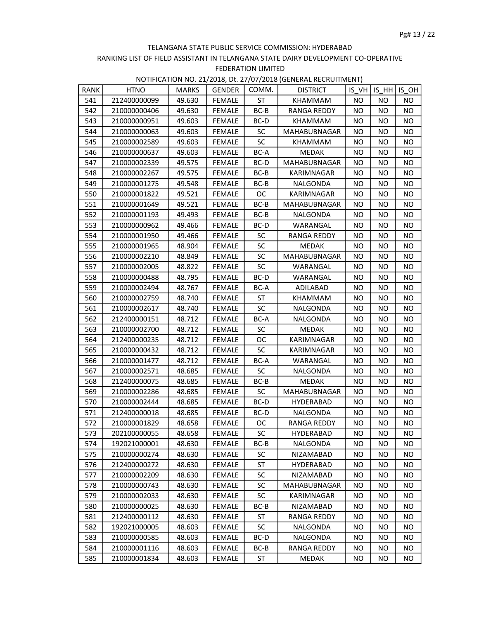| RANK | <b>HTNO</b>  | MARKS  | <b>GENDER</b> | COMM.     | <b>DISTRICT</b>    |           | IS VH IS HH IS OH |           |
|------|--------------|--------|---------------|-----------|--------------------|-----------|-------------------|-----------|
| 541  | 212400000099 | 49.630 | <b>FEMALE</b> | ST        | KHAMMAM            | NO.       | <b>NO</b>         | NO.       |
| 542  | 210000000406 | 49.630 | FEMALE        | $BC-B$    | RANGA REDDY        | NO.       | NO.               | NO.       |
| 543  | 210000000951 | 49.603 | FEMALE        | BC-D      | KHAMMAM            | NO.       | NO.               | NO.       |
| 544  | 210000000063 | 49.603 | <b>FEMALE</b> | SC.       | MAHABUBNAGAR       | NO        | NO.               | NO.       |
| 545  | 210000002589 | 49.603 | <b>FEMALE</b> | SC        | KHAMMAM            | <b>NO</b> | <b>NO</b>         | NO.       |
| 546  | 210000000637 | 49.603 | <b>FEMALE</b> | BC-A      | MEDAK              | NO.       | NO.               | <b>NO</b> |
| 547  | 210000002339 | 49.575 | FEMALE        | BC-D      | MAHABUBNAGAR       | NO.       | NO.               | NO.       |
| 548  | 210000002267 | 49.575 | FEMALE        | BC-B      | KARIMNAGAR         | NO.       | NO                | NO.       |
| 549  | 210000001275 | 49.548 | FEMALE        | BC-B      | NALGONDA           | ΝO        | NO.               | NO.       |
| 550  | 210000001822 | 49.521 | <b>FEMALE</b> | OC        | KARIMNAGAR         | NO        | NO                | NO.       |
| 551  | 210000001649 | 49.521 | FEMALE        | BC-B      | MAHABUBNAGAR       | NO.       | NO                | NO.       |
| 552  | 210000001193 | 49.493 | FEMALE        | BC-B      | NALGONDA           | NO.       | NO                | NO.       |
| 553  | 210000000962 | 49.466 | <b>FEMALE</b> | BC-D      | WARANGAL           | NO.       | <b>NO</b>         | <b>NO</b> |
| 554  | 210000001950 | 49.466 | <b>FEMALE</b> | <b>SC</b> | RANGA REDDY        | <b>NO</b> | NO                | NO.       |
| 555  | 210000001965 | 48.904 | <b>FEMALE</b> | <b>SC</b> | <b>MEDAK</b>       | NO.       | NO.               | NO.       |
| 556  | 210000002210 | 48.849 | FEMALE        | <b>SC</b> | MAHABUBNAGAR       | NO.       | NO.               | NO.       |
| 557  | 210000002005 | 48.822 | FEMALE        | <b>SC</b> | WARANGAL           | NO.       | NO.               | NO.       |
| 558  | 210000000488 | 48.795 | FEMALE        | BC-D      | WARANGAL           | NO.       | NO                | NO.       |
| 559  | 210000002494 | 48.767 | <b>FEMALE</b> | BC-A      | ADILABAD           | NO.       | NO                | NO.       |
| 560  | 210000002759 | 48.740 | FEMALE        | ST        | KHAMMAM            | NO.       | NO                | NO.       |
| 561  | 210000002617 | 48.740 | FEMALE        | <b>SC</b> | NALGONDA           | NO.       | NO                | NO.       |
| 562  | 212400000151 | 48.712 | <b>FEMALE</b> | BC-A      | NALGONDA           | NO.       | NO                | NO.       |
| 563  | 210000002700 | 48.712 | <b>FEMALE</b> | <b>SC</b> | MEDAK              | <b>NO</b> | NO                | NO.       |
| 564  | 212400000235 | 48.712 | <b>FEMALE</b> | ОC        | KARIMNAGAR         | NO.       | ΝO                | NO.       |
| 565  | 210000000432 | 48.712 | FEMALE        | <b>SC</b> | KARIMNAGAR         | NO.       | NO.               | NO.       |
| 566  | 210000001477 | 48.712 | FEMALE        | BC-A      | WARANGAL           | NO.       | NO.               | NO.       |
| 567  | 210000002571 | 48.685 | FEMALE        | SC        | NALGONDA           | NO.       | NO                | NO.       |
| 568  | 212400000075 | 48.685 | FEMALE        | BC-B      | MEDAK              | NO.       | NO                | NO.       |
| 569  | 210000002286 | 48.685 | FEMALE        | <b>SC</b> | MAHABUBNAGAR       | NO.       | NO                | <b>NO</b> |
| 570  | 210000002444 | 48.685 | <b>FEMALE</b> | BC-D      | <b>HYDERABAD</b>   | NO.       | NO.               | NO.       |
| 571  | 212400000018 | 48.685 | <b>FEMALE</b> | BC-D      | NALGONDA           | NO.       | NO.               | NO.       |
| 572  | 210000001829 | 48.658 | <b>FEMALE</b> | OC.       | <b>RANGA REDDY</b> | NO.       | NO                | NO.       |
| 573  | 202100000055 | 48.658 | <b>FEMALE</b> | SC        | HYDERABAD          | <b>NO</b> | NO                | <b>NO</b> |
| 574  | 192021000001 | 48.630 | FEMALE        | BC-B      | NALGONDA           | NO.       | NO.               | NO.       |
| 575  | 210000000274 | 48.630 | <b>FEMALE</b> | SC        | NIZAMABAD          | NO.       | NO.               | NO.       |
| 576  | 212400000272 | 48.630 | FEMALE        | ST        | HYDERABAD          | NO.       | NO.               | NO.       |
| 577  | 210000002209 | 48.630 | <b>FEMALE</b> | <b>SC</b> | NIZAMABAD          | ΝO        | NO                | NO.       |
| 578  | 210000000743 | 48.630 | <b>FEMALE</b> | <b>SC</b> | MAHABUBNAGAR       | NO.       | NO.               | NO.       |
| 579  | 210000002033 | 48.630 | <b>FEMALE</b> | <b>SC</b> | KARIMNAGAR         | NO.       | NO.               | <b>NO</b> |
| 580  | 210000000025 | 48.630 | <b>FEMALE</b> | BC-B      | NIZAMABAD          | NO.       | NO                | NO.       |
| 581  | 212400000112 | 48.630 | <b>FEMALE</b> | ST        | RANGA REDDY        | ΝO        | NO                | NO.       |
| 582  | 192021000005 | 48.603 | <b>FEMALE</b> | SC        | NALGONDA           | NO        | NO                | NO        |
| 583  | 210000000585 | 48.603 | FEMALE        | BC-D      | NALGONDA           | NO.       | NO.               | NO.       |
| 584  | 210000001116 | 48.603 | <b>FEMALE</b> | BC-B      | RANGA REDDY        | NO.       | NO                | NO.       |
| 585  | 210000001834 | 48.603 | <b>FEMALE</b> | ST        | MEDAK              | NO.       | NO.               | NO.       |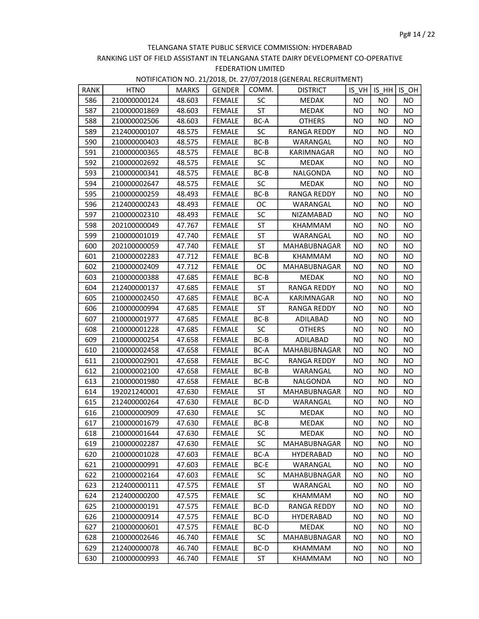| NOTIFICATION NO. 21/2018, Dt. 27/07/2018 (GENERAL RECRUITMENT) |  |  |  |  |
|----------------------------------------------------------------|--|--|--|--|
|----------------------------------------------------------------|--|--|--|--|

| <b>RANK</b> | <b>HTNO</b>  | <b>MARKS</b> | <b>GENDER</b> | COMM.     | <b>DISTRICT</b>    |           | $IS VH$ IS HH IS OH |           |
|-------------|--------------|--------------|---------------|-----------|--------------------|-----------|---------------------|-----------|
| 586         | 210000000124 | 48.603       | <b>FEMALE</b> | <b>SC</b> | MEDAK              | <b>NO</b> | NO.                 | NO.       |
| 587         | 210000001869 | 48.603       | FEMALE        | <b>ST</b> | MEDAK              | NO.       | NO                  | NO.       |
| 588         | 210000002506 | 48.603       | FEMALE        | BC-A      | <b>OTHERS</b>      | NO.       | NO.                 | NO.       |
| 589         | 212400000107 | 48.575       | FEMALE        | <b>SC</b> | <b>RANGA REDDY</b> | NO.       | <b>NO</b>           | <b>NO</b> |
| 590         | 210000000403 | 48.575       | <b>FEMALE</b> | BC-B      | WARANGAL           | NO.       | NO.                 | NO.       |
| 591         | 210000000365 | 48.575       | <b>FEMALE</b> | BC-B      | KARIMNAGAR         | NO.       | NO.                 | NO.       |
| 592         | 210000002692 | 48.575       | FEMALE        | <b>SC</b> | MEDAK              | NO.       | NO.                 | NO.       |
| 593         | 210000000341 | 48.575       | <b>FEMALE</b> | BC-B      | NALGONDA           | NO.       | NO                  | NO.       |
| 594         | 210000002647 | 48.575       | <b>FEMALE</b> | <b>SC</b> | <b>MEDAK</b>       | <b>NO</b> | <b>NO</b>           | NO.       |
| 595         | 210000000259 | 48.493       | <b>FEMALE</b> | BC-B      | <b>RANGA REDDY</b> | NO.       | NO                  | <b>NO</b> |
| 596         | 212400000243 | 48.493       | FEMALE        | OC.       | WARANGAL           | NO.       | NO.                 | NO.       |
| 597         | 210000002310 | 48.493       | FEMALE        | <b>SC</b> | NIZAMABAD          | NO.       | NO.                 | <b>NO</b> |
| 598         | 202100000049 | 47.767       | FEMALE        | ST        | KHAMMAM            | NO.       | NO.                 | NO.       |
| 599         | 210000001019 | 47.740       | <b>FEMALE</b> | ST        | WARANGAL           | NO.       | NO.                 | NO.       |
| 600         | 202100000059 | 47.740       | <b>FEMALE</b> | ST        | MAHABUBNAGAR       | <b>NO</b> | NO.                 | NO.       |
| 601         | 210000002283 | 47.712       | FEMALE        | BC-B      | KHAMMAM            | NO.       | NO.                 | <b>NO</b> |
| 602         | 210000002409 | 47.712       | FEMALE        | OC        | MAHABUBNAGAR       | NO.       | NO.                 | NO.       |
| 603         | 210000000388 | 47.685       | FEMALE        | BC-B      | <b>MEDAK</b>       | <b>NO</b> | <b>NO</b>           | NO.       |
| 604         | 212400000137 | 47.685       | <b>FEMALE</b> | <b>ST</b> | RANGA REDDY        | NO.       | NO.                 | <b>NO</b> |
| 605         | 210000002450 | 47.685       | FEMALE        | BC-A      | KARIMNAGAR         | NO.       | NO.                 | <b>NO</b> |
| 606         | 210000000994 | 47.685       | FEMALE        | ST        | <b>RANGA REDDY</b> | NO.       | NO                  | <b>NO</b> |
| 607         | 210000001977 | 47.685       | FEMALE        | BC-B      | ADILABAD           | NO.       | NO.                 | NO.       |
| 608         | 210000001228 | 47.685       | <b>FEMALE</b> | <b>SC</b> | <b>OTHERS</b>      | NO.       | NO.                 | NO.       |
| 609         | 210000000254 | 47.658       | <b>FEMALE</b> | BC-B      | ADILABAD           | <b>NO</b> | NO.                 | NO.       |
| 610         | 210000002458 | 47.658       | <b>FEMALE</b> | BC-A      | MAHABUBNAGAR       | <b>NO</b> | NO.                 | NO.       |
| 611         | 210000002901 | 47.658       | FEMALE        | BC-C      | RANGA REDDY        | NO.       | NO.                 | NO        |
| 612         | 210000002100 | 47.658       | FEMALE        | BC-B      | WARANGAL           | NO.       | <b>NO</b>           | NO.       |
| 613         | 210000001980 | 47.658       | <b>FEMALE</b> | BC-B      | NALGONDA           | NO.       | NO.                 | NO.       |
| 614         | 192021240001 | 47.630       | FEMALE        | ST        | MAHABUBNAGAR       | NO.       | NO.                 | <b>NO</b> |
| 615         | 212400000264 | 47.630       | FEMALE        | BC-D      | WARANGAL           | NO.       | NO.                 | NO.       |
| 616         | 210000000909 | 47.630       | <b>FEMALE</b> | <b>SC</b> | MEDAK              | NO.       | NO.                 | NO.       |
| 617         | 210000001679 | 47.630       | <b>FEMALE</b> | BC-B      | MEDAK              | NO.       | NO                  | NO.       |
| 618         | 210000001644 | 47.630       | FEMALE        | SC        | MEDAK              | <b>NO</b> | <b>NO</b>           | <b>NO</b> |
| 619         | 210000002287 | 47.630       | FEMALE        | SC.       | MAHABUBNAGAR       | NO.       | NO.                 | <b>NO</b> |
| 620         | 210000001028 | 47.603       | <b>FEMALE</b> | BC-A      | <b>HYDERABAD</b>   | NO.       | NO.                 | NO        |
| 621         | 210000000991 | 47.603       | <b>FEMALE</b> | BC-E      | WARANGAL           | ΝO        | <b>NO</b>           | NO.       |
| 622         | 210000002164 | 47.603       | <b>FEMALE</b> | <b>SC</b> | MAHABUBNAGAR       | <b>NO</b> | NO.                 | <b>NO</b> |
| 623         | 212400000111 | 47.575       | FEMALE        | ST        | WARANGAL           | NO.       | NO.                 | NO.       |
| 624         | 212400000200 | 47.575       | <b>FEMALE</b> | SC        | KHAMMAM            | NO        | NO.                 | <b>NO</b> |
| 625         | 210000000191 | 47.575       | <b>FEMALE</b> | BC-D      | RANGA REDDY        | NO        | NO.                 | NO        |
| 626         | 210000000914 | 47.575       | <b>FEMALE</b> | BC-D      | <b>HYDERABAD</b>   | NO        | NO                  | NO        |
| 627         | 210000000601 | 47.575       | FEMALE        | BC-D      | MEDAK              | NO        | NO                  | <b>NO</b> |
| 628         | 210000002646 | 46.740       | FEMALE        | <b>SC</b> | MAHABUBNAGAR       | <b>NO</b> | NO.                 | ΝO        |
| 629         | 212400000078 | 46.740       | FEMALE        | BC-D      | KHAMMAM            | NO.       | NO                  | <b>NO</b> |
| 630         | 210000000993 | 46.740       | <b>FEMALE</b> | ST        | KHAMMAM            | NO.       | NO.                 | NO        |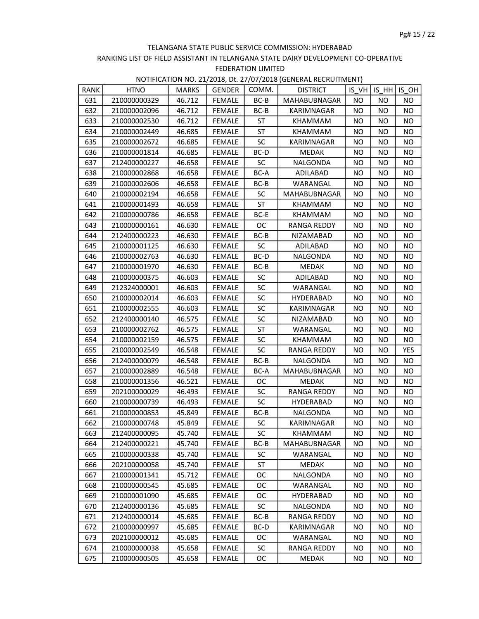| RANK | <b>HTNO</b>  | <b>MARKS</b> | <b>GENDER</b> | COMM.     | <b>DISTRICT</b>    |           | $IS VH$ IS $HH$ IS OH |           |
|------|--------------|--------------|---------------|-----------|--------------------|-----------|-----------------------|-----------|
| 631  | 210000000329 | 46.712       | <b>FEMALE</b> | $BC-B$    | MAHABUBNAGAR       | <b>NO</b> | NO.                   | NO.       |
| 632  | 210000002096 | 46.712       | FEMALE        | $BC-B$    | KARIMNAGAR         | NO.       | NO.                   | NO.       |
| 633  | 210000002530 | 46.712       | FEMALE        | ST        | KHAMMAM            | NO.       | NO.                   | NO.       |
| 634  | 210000002449 | 46.685       | <b>FEMALE</b> | ST        | KHAMMAM            | <b>NO</b> | NO                    | NO.       |
| 635  | 210000002672 | 46.685       | <b>FEMALE</b> | <b>SC</b> | <b>KARIMNAGAR</b>  | NO        | NO                    | NO.       |
| 636  | 210000001814 | 46.685       | <b>FEMALE</b> | BC-D      | <b>MEDAK</b>       | NO.       | NO.                   | NO        |
| 637  | 212400000227 | 46.658       | FEMALE        | <b>SC</b> | NALGONDA           | NO.       | NO.                   | NO.       |
| 638  | 210000002868 | 46.658       | <b>FEMALE</b> | BC-A      | ADILABAD           | <b>NO</b> | NO.                   | NO.       |
| 639  | 210000002606 | 46.658       | FEMALE        | BC-B      | WARANGAL           | <b>NO</b> | <b>NO</b>             | NO        |
| 640  | 210000002194 | 46.658       | <b>FEMALE</b> | <b>SC</b> | MAHABUBNAGAR       | NO        | NO                    | <b>NO</b> |
| 641  | 210000001493 | 46.658       | FEMALE        | ST        | KHAMMAM            | NO.       | NO.                   | NO.       |
| 642  | 210000000786 | 46.658       | FEMALE        | BC-E      | KHAMMAM            | NO.       | NO.                   | NO.       |
| 643  | 210000000161 | 46.630       | FEMALE        | OC.       | <b>RANGA REDDY</b> | ΝO        | NO.                   | NO.       |
| 644  | 212400000223 | 46.630       | <b>FEMALE</b> | BC-B      | NIZAMABAD          | NO.       | NO                    | NO.       |
| 645  | 210000001125 | 46.630       | <b>FEMALE</b> | <b>SC</b> | ADILABAD           | NO.       | NO.                   | NO.       |
| 646  | 210000002763 | 46.630       | FEMALE        | BC-D      | NALGONDA           | NO.       | NO.                   | NO.       |
| 647  | 210000001970 | 46.630       | FEMALE        | BC-B      | <b>MEDAK</b>       | NO.       | NO.                   | NO.       |
| 648  | 210000000375 | 46.603       | <b>FEMALE</b> | <b>SC</b> | ADILABAD           | <b>NO</b> | <b>NO</b>             | NO        |
| 649  | 212324000001 | 46.603       | <b>FEMALE</b> | <b>SC</b> | WARANGAL           | NO.       | NO.                   | <b>NO</b> |
| 650  | 210000002014 | 46.603       | FEMALE        | <b>SC</b> | HYDERABAD          | NO.       | NO.                   | NO.       |
| 651  | 210000002555 | 46.603       | <b>FEMALE</b> | <b>SC</b> | KARIMNAGAR         | NO.       | NO.                   | NO.       |
| 652  | 212400000140 | 46.575       | <b>FEMALE</b> | <b>SC</b> | NIZAMABAD          | ΝO        | NO.                   | NO.       |
| 653  | 210000002762 | 46.575       | <b>FEMALE</b> | ST        | WARANGAL           | NO.       | NO.                   | NO.       |
| 654  | 210000002159 | 46.575       | <b>FEMALE</b> | <b>SC</b> | KHAMMAM            | NO.       | NO.                   | NO.       |
| 655  | 210000002549 | 46.548       | FEMALE        | <b>SC</b> | <b>RANGA REDDY</b> | NO.       | NO.                   | YES       |
| 656  | 212400000079 | 46.548       | FEMALE        | BC-B      | NALGONDA           | NO.       | NO.                   | NO.       |
| 657  | 210000002889 | 46.548       | <b>FEMALE</b> | BC-A      | MAHABUBNAGAR       | NO        | NO                    | NO.       |
| 658  | 210000001356 | 46.521       | <b>FEMALE</b> | ОC        | <b>MEDAK</b>       | NO.       | NO                    | NO.       |
| 659  | 202100000029 | 46.493       | FEMALE        | <b>SC</b> | RANGA REDDY        | NO.       | NO.                   | NO.       |
| 660  | 210000000739 | 46.493       | FEMALE        | <b>SC</b> | HYDERABAD          | NO.       | NO.                   | NO        |
| 661  | 210000000853 | 45.849       | <b>FEMALE</b> | BC-B      | NALGONDA           | NO.       | NO.                   | NO.       |
| 662  | 210000000748 | 45.849       | <b>FEMALE</b> | <b>SC</b> | KARIMNAGAR         | NO        | ΝO                    | NO.       |
| 663  | 212400000095 | 45.740       | FEMALE        | SC        | KHAMMAM            | <b>NO</b> | <b>NO</b>             | <b>NO</b> |
| 664  | 212400000221 | 45.740       | FEMALE        | BC-B      | MAHABUBNAGAR       | NO.       | NO.                   | ΝO        |
| 665  | 210000000338 | 45.740       | <b>FEMALE</b> | SC        | WARANGAL           | NO.       | NO                    | NO.       |
| 666  | 202100000058 | 45.740       | <b>FEMALE</b> | ST        | <b>MEDAK</b>       | ΝO        | NO                    | NO.       |
| 667  | 210000001341 | 45.712       | <b>FEMALE</b> | ОC        | NALGONDA           | ΝO        | NO.                   | NO.       |
| 668  | 210000000545 | 45.685       | <b>FEMALE</b> | 0C        | WARANGAL           | NO.       | NO.                   | NO.       |
| 669  | 210000001090 | 45.685       | <b>FEMALE</b> | OC.       | HYDERABAD          | NO.       | NO.                   | NO.       |
| 670  | 212400000136 | 45.685       | <b>FEMALE</b> | SC        | NALGONDA           | ΝO        | ΝO                    | NO.       |
| 671  | 212400000014 | 45.685       | <b>FEMALE</b> | BC-B      | RANGA REDDY        | ΝO        | ΝO                    | NO.       |
| 672  | 210000000997 | 45.685       | FEMALE        | BC-D      | KARIMNAGAR         | NO        | NO                    | NO.       |
| 673  | 202100000012 | 45.685       | <b>FEMALE</b> | OC.       | WARANGAL           | NO.       | NO                    | NO.       |
| 674  | 210000000038 | 45.658       | FEMALE        | <b>SC</b> | <b>RANGA REDDY</b> | NO.       | NO                    | NO.       |
| 675  | 210000000505 | 45.658       | <b>FEMALE</b> | ОC        | <b>MEDAK</b>       | NO        | NO                    | NO.       |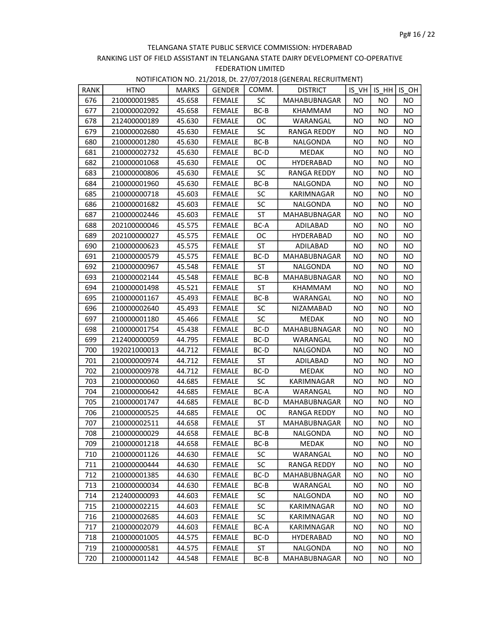| <b>RANK</b> | <b>HTNO</b>  | <b>MARKS</b> | <b>GENDER</b> | COMM.     | <b>DISTRICT</b>     |           | IS VHIIS HH | IS OH     |
|-------------|--------------|--------------|---------------|-----------|---------------------|-----------|-------------|-----------|
| 676         | 210000001985 | 45.658       | <b>FEMALE</b> | <b>SC</b> | MAHABUBNAGAR        | NO.       | NO.         | NO.       |
| 677         | 210000002092 | 45.658       | FEMALE        | BC-B      | KHAMMAM             | NO.       | NO.         | NO.       |
| 678         | 212400000189 | 45.630       | FEMALE        | OC.       | WARANGAL            | NO.       | NO.         | NO.       |
| 679         | 210000002680 | 45.630       | <b>FEMALE</b> | <b>SC</b> | RANGA REDDY         | ΝO        | NO          | NO.       |
| 680         | 210000001280 | 45.630       | <b>FEMALE</b> | BC-B      | NALGONDA            | NO.       | NO          | NO.       |
| 681         | 210000002732 | 45.630       | <b>FEMALE</b> | $BC-D$    | <b>MEDAK</b>        | NO.       | NO.         | <b>NO</b> |
| 682         | 210000001068 | 45.630       | <b>FEMALE</b> | OC.       | HYDERABAD           | NO.       | NO.         | NO        |
| 683         | 210000000806 | 45.630       | <b>FEMALE</b> | <b>SC</b> | RANGA REDDY         | NO.       | NO.         | NO.       |
| 684         | 210000001960 | 45.630       | FEMALE        | BC-B      | NALGONDA            | <b>NO</b> | NO          | NO.       |
| 685         | 210000000718 | 45.603       | <b>FEMALE</b> | <b>SC</b> | KARIMNAGAR          | <b>NO</b> | NO          | NO.       |
| 686         | 210000001682 | 45.603       | FEMALE        | SC        | NALGONDA            | NO.       | NO.         | NO.       |
| 687         | 210000002446 | 45.603       | FEMALE        | ST        | MAHABUBNAGAR        | NO.       | NO.         | NO.       |
| 688         | 202100000046 | 45.575       | <b>FEMALE</b> | BC-A      | ADILABAD            | NO.       | NO.         | NO.       |
| 689         | 202100000027 | 45.575       | <b>FEMALE</b> | ОC        | <b>HYDERABAD</b>    | <b>NO</b> | NO          | NO.       |
| 690         | 210000000623 | 45.575       | <b>FEMALE</b> | <b>ST</b> | ADILABAD            | <b>NO</b> | <b>NO</b>   | <b>NO</b> |
| 691         | 210000000579 | 45.575       | <b>FEMALE</b> | BC-D      | <b>MAHABUBNAGAR</b> | NO.       | NO.         | NO.       |
| 692         | 210000000967 | 45.548       | FEMALE        | ST        | NALGONDA            | NO.       | NO.         | NO.       |
| 693         | 210000002144 | 45.548       | FEMALE        | BC-B      | MAHABUBNAGAR        | NO        | NO          | NO.       |
| 694         | 210000001498 | 45.521       | <b>FEMALE</b> | <b>ST</b> | KHAMMAM             | NO.       | NO.         | NO.       |
| 695         | 210000001167 | 45.493       | FEMALE        | BC-B      | WARANGAL            | NO.       | NO.         | NO        |
| 696         | 210000002640 | 45.493       | FEMALE        | <b>SC</b> | NIZAMABAD           | NO.       | NO.         | NO.       |
| 697         | 210000001180 | 45.466       | <b>FEMALE</b> | <b>SC</b> | MEDAK               | <b>NO</b> | NO          | NO.       |
| 698         | 210000001754 | 45.438       | <b>FEMALE</b> | BC-D      | MAHABUBNAGAR        | <b>NO</b> | NO          | NO.       |
| 699         | 212400000059 | 44.795       | <b>FEMALE</b> | BC-D      | WARANGAL            | NO.       | NO          | NO.       |
| 700         | 192021000013 | 44.712       | <b>FEMALE</b> | BC-D      | NALGONDA            | NO.       | NO.         | NO        |
| 701         | 210000000974 | 44.712       | FEMALE        | ST        | ADILABAD            | NO.       | NO.         | NO.       |
| 702         | 210000000978 | 44.712       | <b>FEMALE</b> | BC-D      | <b>MEDAK</b>        | <b>NO</b> | NO          | NO.       |
| 703         | 210000000060 | 44.685       | <b>FEMALE</b> | <b>SC</b> | KARIMNAGAR          | NO.       | ΝO          | NO.       |
| 704         | 210000000642 | 44.685       | FEMALE        | BC-A      | WARANGAL            | NO.       | NO.         | NO        |
| 705         | 210000001747 | 44.685       | FEMALE        | BC-D      | MAHABUBNAGAR        | NO.       | NO.         | NO.       |
| 706         | 210000000525 | 44.685       | FEMALE        | OC.       | <b>RANGA REDDY</b>  | <b>NO</b> | NO.         | NO.       |
| 707         | 210000002511 | 44.658       | <b>FEMALE</b> | ST        | <b>MAHABUBNAGAR</b> | NO        | NO          | NO.       |
| 708         | 210000000029 | 44.658       | FEMALE        | BC-B      | NALGONDA            | <b>NO</b> | NO          | NO.       |
| 709         | 210000001218 | 44.658       | FEMALE        | BC-B      | MEDAK               | NO.       | NO.         | NO.       |
| 710         | 210000001126 | 44.630       | <b>FEMALE</b> | SC        | WARANGAL            | NO.       | ΝO          | NO.       |
| 711         | 210000000444 | 44.630       | <b>FEMALE</b> | <b>SC</b> | RANGA REDDY         | ΝO        | ΝO          | ΝO        |
| 712         | 210000001385 | 44.630       | <b>FEMALE</b> | BC-D      | MAHABUBNAGAR        | <b>NO</b> | NO          | <b>NO</b> |
| 713         | 210000000034 | 44.630       | <b>FEMALE</b> | BC-B      | WARANGAL            | NO.       | NO.         | NO.       |
| 714         | 212400000093 | 44.603       | <b>FEMALE</b> | <b>SC</b> | NALGONDA            | NO        | NO.         | <b>NO</b> |
| 715         | 210000002215 | 44.603       | FEMALE        | <b>SC</b> | KARIMNAGAR          | NO        | NO          | NO.       |
| 716         | 210000002685 | 44.603       | <b>FEMALE</b> | <b>SC</b> | KARIMNAGAR          | NO        | NO          | ΝO        |
| 717         | 210000002079 | 44.603       | <b>FEMALE</b> | BC-A      | KARIMNAGAR          | NO        | NO          | NO.       |
| 718         | 210000001005 | 44.575       | <b>FEMALE</b> | BC-D      | HYDERABAD           | NO.       | NO.         | <b>NO</b> |
| 719         | 210000000581 | 44.575       | <b>FEMALE</b> | ST        | NALGONDA            | NO.       | NO          | NO.       |
| 720         | 210000001142 | 44.548       | <b>FEMALE</b> | BC-B      | MAHABUBNAGAR        | NO.       | NO.         | NO.       |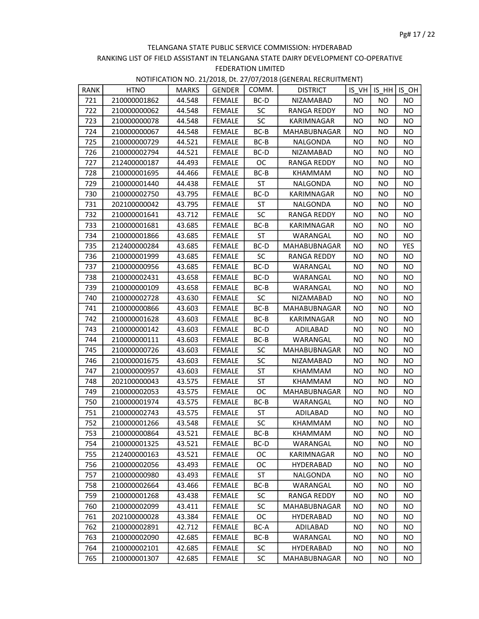| <b>RANK</b> | <b>HTNO</b>  | <b>MARKS</b> | <b>GENDER</b> | COMM.     | <b>DISTRICT</b>  |           | $IS VH$ IS HH | IS OH     |
|-------------|--------------|--------------|---------------|-----------|------------------|-----------|---------------|-----------|
| 721         | 210000001862 | 44.548       | <b>FEMALE</b> | BC-D      | NIZAMABAD        | <b>NO</b> | NO.           | NO.       |
| 722         | 210000000062 | 44.548       | <b>FEMALE</b> | <b>SC</b> | RANGA REDDY      | NO.       | NO.           | NO.       |
| 723         | 210000000078 | 44.548       | FEMALE        | <b>SC</b> | KARIMNAGAR       | NO.       | NO.           | NO.       |
| 724         | 210000000067 | 44.548       | <b>FEMALE</b> | BC-B      | MAHABUBNAGAR     | <b>NO</b> | NO.           | NO.       |
| 725         | 210000000729 | 44.521       | <b>FEMALE</b> | BC-B      | NALGONDA         | NO.       | NO.           | NO.       |
| 726         | 210000002794 | 44.521       | <b>FEMALE</b> | BC-D      | NIZAMABAD        | NO.       | NO.           | NO        |
| 727         | 212400000187 | 44.493       | FEMALE        | <b>OC</b> | RANGA REDDY      | NO.       | NO.           | NO.       |
| 728         | 210000001695 | 44.466       | <b>FEMALE</b> | BC-B      | KHAMMAM          | <b>NO</b> | NO            | NO.       |
| 729         | 210000001440 | 44.438       | <b>FEMALE</b> | ST        | <b>NALGONDA</b>  | <b>NO</b> | <b>NO</b>     | NO.       |
| 730         | 210000002750 | 43.795       | <b>FEMALE</b> | BC-D      | KARIMNAGAR       | NO.       | NO            | <b>NO</b> |
| 731         | 202100000042 | 43.795       | FEMALE        | ST        | NALGONDA         | NO.       | NO.           | NO.       |
| 732         | 210000001641 | 43.712       | FEMALE        | <b>SC</b> | RANGA REDDY      | NO.       | NO.           | NO.       |
| 733         | 210000001681 | 43.685       | <b>FEMALE</b> | BC-B      | KARIMNAGAR       | NO.       | NO.           | NO.       |
| 734         | 210000001866 | 43.685       | <b>FEMALE</b> | ST        | WARANGAL         | NO.       | NO.           | NO        |
| 735         | 212400000284 | 43.685       | <b>FEMALE</b> | BC-D      | MAHABUBNAGAR     | NO.       | NO.           | YES       |
| 736         | 210000001999 | 43.685       | FEMALE        | <b>SC</b> | RANGA REDDY      | NO.       | NO.           | NO.       |
| 737         | 210000000956 | 43.685       | FEMALE        | BC-D      | WARANGAL         | NO        | NO.           | NO.       |
| 738         | 210000002431 | 43.658       | <b>FEMALE</b> | BC-D      | WARANGAL         | <b>NO</b> | <b>NO</b>     | NO.       |
| 739         | 210000000109 | 43.658       | <b>FEMALE</b> | $BC-B$    | WARANGAL         | NO.       | NO.           | <b>NO</b> |
| 740         | 210000002728 | 43.630       | FEMALE        | <b>SC</b> | NIZAMABAD        | NO.       | NO.           | NO.       |
| 741         | 210000000866 | 43.603       | <b>FEMALE</b> | BC-B      | MAHABUBNAGAR     | NO.       | NO.           | NO.       |
| 742         | 210000001628 | 43.603       | <b>FEMALE</b> | BC-B      | KARIMNAGAR       | NO.       | NO.           | NO.       |
| 743         | 210000000142 | 43.603       | <b>FEMALE</b> | BC-D      | ADILABAD         | NO.       | NO.           | NO.       |
| 744         | 210000000111 | 43.603       | <b>FEMALE</b> | BC-B      | WARANGAL         | NO.       | NO.           | NO        |
| 745         | 210000000726 | 43.603       | <b>FEMALE</b> | <b>SC</b> | MAHABUBNAGAR     | NO.       | NO.           | NO.       |
| 746         | 210000001675 | 43.603       | FEMALE        | <b>SC</b> | NIZAMABAD        | NO.       | NO.           | NO.       |
| 747         | 210000000957 | 43.603       | <b>FEMALE</b> | ST        | KHAMMAM          | <b>NO</b> | <b>NO</b>     | NO.       |
| 748         | 202100000043 | 43.575       | FEMALE        | ST        | KHAMMAM          | NO.       | NO            | NO.       |
| 749         | 210000002053 | 43.575       | <b>FEMALE</b> | ОC        | MAHABUBNAGAR     | NO.       | NO.           | NO.       |
| 750         | 210000001974 | 43.575       | FEMALE        | BC-B      | WARANGAL         | NO.       | NO.           | NO        |
| 751         | 210000002743 | 43.575       | <b>FEMALE</b> | ST        | ADILABAD         | NO.       | NO.           | NO.       |
| 752         | 210000001266 | 43.548       | <b>FEMALE</b> | <b>SC</b> | KHAMMAM          | NO.       | NO            | NO.       |
| 753         | 210000000864 | 43.521       | FEMALE        | BC-B      | KHAMMAM          | $NO$      | <b>NO</b>     | <b>NO</b> |
| 754         | 210000001325 | 43.521       | <b>FEMALE</b> | BC-D      | WARANGAL         | NO.       | NO.           | <b>NO</b> |
| 755         | 212400000163 | 43.521       | <b>FEMALE</b> | OC.       | KARIMNAGAR       | NO.       | NO            | ΝO        |
| 756         | 210000002056 | 43.493       | <b>FEMALE</b> | ОC        | HYDERABAD        | NO.       | NO.           | NO.       |
| 757         | 210000000980 | 43.493       | FEMALE        | ST        | NALGONDA         | NO.       | NO.           | <b>NO</b> |
| 758         | 210000002664 | 43.466       | FEMALE        | BC-B      | WARANGAL         | NO.       | NO.           | NO.       |
| 759         | 210000001268 | 43.438       | FEMALE        | <b>SC</b> | RANGA REDDY      | NO.       | NO            | NO.       |
| 760         | 210000002099 | 43.411       | FEMALE        | <b>SC</b> | MAHABUBNAGAR     | NO.       | NO.           | NO.       |
| 761         | 202100000028 | 43.384       | FEMALE        | ОC        | <b>HYDERABAD</b> | NO.       | NO            | NO.       |
| 762         | 210000002891 | 42.712       | FEMALE        | BC-A      | ADILABAD         | NO.       | NO            | NO.       |
| 763         | 210000002090 | 42.685       | <b>FEMALE</b> | BC-B      | WARANGAL         | NO.       | NO.           | NO.       |
| 764         | 210000002101 | 42.685       | FEMALE        | <b>SC</b> | HYDERABAD        | NO.       | NO            | NO.       |
| 765         | 210000001307 | 42.685       | <b>FEMALE</b> | <b>SC</b> | MAHABUBNAGAR     | NO.       | NO            | NO.       |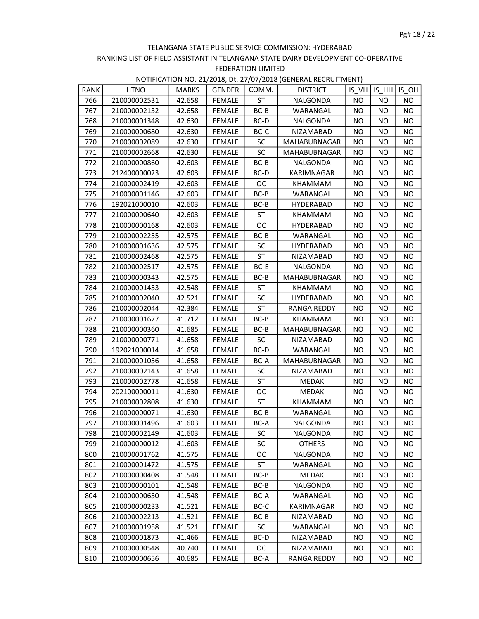| <b>RANK</b> | <b>HTNO</b>  | <b>MARKS</b> | <b>GENDER</b> | COMM.     | <b>DISTRICT</b> |           |           | IS VH IS $HH$ IS OH |
|-------------|--------------|--------------|---------------|-----------|-----------------|-----------|-----------|---------------------|
| 766         | 210000002531 | 42.658       | <b>FEMALE</b> | ST        | NALGONDA        | NO.       | NO        | NO.                 |
| 767         | 210000002132 | 42.658       | FEMALE        | $BC-B$    | WARANGAL        | <b>NO</b> | NO.       | NO.                 |
| 768         | 210000001348 | 42.630       | FEMALE        | BC-D      | NALGONDA        | NO.       | NO.       | NO                  |
| 769         | 210000000680 | 42.630       | <b>FEMALE</b> | BC-C      | NIZAMABAD       | NO.       | NO        | NO.                 |
| 770         | 210000002089 | 42.630       | <b>FEMALE</b> | SC.       | MAHABUBNAGAR    | <b>NO</b> | NO        | NO.                 |
| 771         | 210000002668 | 42.630       | <b>FEMALE</b> | <b>SC</b> | MAHABUBNAGAR    | NO.       | NO        | <b>NO</b>           |
| 772         | 210000000860 | 42.603       | FEMALE        | BC-B      | NALGONDA        | NO.       | NO.       | NO.                 |
| 773         | 212400000023 | 42.603       | FEMALE        | BC-D      | KARIMNAGAR      | NO.       | NO        | NO.                 |
| 774         | 210000002419 | 42.603       | <b>FEMALE</b> | ОC        | KHAMMAM         | NO.       | ΝO        | NO.                 |
| 775         | 210000001146 | 42.603       | <b>FEMALE</b> | $BC-B$    | WARANGAL        | NO.       | ΝO        | NO.                 |
| 776         | 192021000010 | 42.603       | FEMALE        | BC-B      | HYDERABAD       | <b>NO</b> | NO        | NO.                 |
| 777         | 210000000640 | 42.603       | FEMALE        | ST        | KHAMMAM         | NO.       | NO        | NO.                 |
| 778         | 210000000168 | 42.603       | FEMALE        | <b>OC</b> | HYDERABAD       | NO.       | NO.       | NO                  |
| 779         | 210000002255 | 42.575       | <b>FEMALE</b> | BC-B      | WARANGAL        | <b>NO</b> | NO        | NO.                 |
| 780         | 210000001636 | 42.575       | FEMALE        | <b>SC</b> | HYDERABAD       | NO.       | NO.       | <b>NO</b>           |
| 781         | 210000002468 | 42.575       | <b>FEMALE</b> | <b>ST</b> | NIZAMABAD       | NO.       | NO.       | NO.                 |
| 782         | 210000002517 | 42.575       | FEMALE        | BC-E      | NALGONDA        | NO.       | NO.       | NO.                 |
| 783         | 210000000343 | 42.575       | <b>FEMALE</b> | BC-B      | MAHABUBNAGAR    | NO.       | NO        | NO.                 |
| 784         | 210000001453 | 42.548       | <b>FEMALE</b> | ST        | KHAMMAM         | NO.       | NO        | NO.                 |
| 785         | 210000002040 | 42.521       | FEMALE        | <b>SC</b> | HYDERABAD       | NO.       | NO        | NO.                 |
| 786         | 210000002044 | 42.384       | FEMALE        | ST        | RANGA REDDY     | NO.       | NO        | NO.                 |
| 787         | 210000001677 | 41.712       | FEMALE        | BC-B      | KHAMMAM         | NO.       | NO        | NO.                 |
| 788         | 210000000360 | 41.685       | <b>FEMALE</b> | BC-B      | MAHABUBNAGAR    | <b>NO</b> | NO        | NO.                 |
| 789         | 210000000771 | 41.658       | FEMALE        | <b>SC</b> | NIZAMABAD       | NO.       | ΝO        | NO.                 |
| 790         | 192021000014 | 41.658       | <b>FEMALE</b> | BC-D      | WARANGAL        | NO.       | NO.       | NO.                 |
| 791         | 210000001056 | 41.658       | FEMALE        | BC-A      | MAHABUBNAGAR    | NO.       | NO.       | NO                  |
| 792         | 210000002143 | 41.658       | <b>FEMALE</b> | <b>SC</b> | NIZAMABAD       | NO.       | NO        | NO.                 |
| 793         | 210000002778 | 41.658       | FEMALE        | ST        | MEDAK           | NO        | NO        | NO                  |
| 794         | 202100000011 | 41.630       | FEMALE        | ОC        | <b>MEDAK</b>    | NO.       | NO        | <b>NO</b>           |
| 795         | 210000002808 | 41.630       | <b>FEMALE</b> | <b>ST</b> | KHAMMAM         | NO.       | NO.       | NO.                 |
| 796         | 210000000071 | 41.630       | FEMALE        | $BC-B$    | WARANGAL        | NO.       | NO.       | NO                  |
| 797         | 210000001496 | 41.603       | <b>FEMALE</b> | BC-A      | NALGONDA        | NO.       | NO        | NO.                 |
| 798         | 210000002149 | 41.603       | FEMALE        | SC        | NALGONDA        | <b>NO</b> | <b>NO</b> | NO                  |
| 799         | 210000000012 | 41.603       | FEMALE        | <b>SC</b> | <b>OTHERS</b>   | <b>NO</b> | NO.       | NO.                 |
| 800         | 210000001762 | 41.575       | FEMALE        | OС        | NALGONDA        | NO.       | ΝO        | NO.                 |
| 801         | 210000001472 | 41.575       | <b>FEMALE</b> | ST        | WARANGAL        | NO.       | ΝO        | NO.                 |
| 802         | 210000000408 | 41.548       | <b>FEMALE</b> | BC-B      | MEDAK           | NO.       | NO        | NO.                 |
| 803         | 210000000101 | 41.548       | <b>FEMALE</b> | BC-B      | NALGONDA        | NO.       | NO        | NO.                 |
| 804         | 210000000650 | 41.548       | <b>FEMALE</b> | BC-A      | WARANGAL        | NO.       | NO        | NO.                 |
| 805         | 210000000233 | 41.521       | FEMALE        | $BC-C$    | KARIMNAGAR      | NO.       | NO        | NO.                 |
| 806         | 210000002213 | 41.521       | <b>FEMALE</b> | BC-B      | NIZAMABAD       | NO.       | ΝO        | NO.                 |
| 807         | 210000001958 | 41.521       | FEMALE        | <b>SC</b> | WARANGAL        | NO        | NO        | NO                  |
| 808         | 210000001873 | 41.466       | <b>FEMALE</b> | BC-D      | NIZAMABAD       | NO.       | NO.       | NO.                 |
| 809         | 210000000548 | 40.740       | FEMALE        | <b>OC</b> | NIZAMABAD       | NO.       | ΝO        | NO.                 |
| 810         | 210000000656 | 40.685       | <b>FEMALE</b> | BC-A      | RANGA REDDY     | NO.       | NO.       | NO.                 |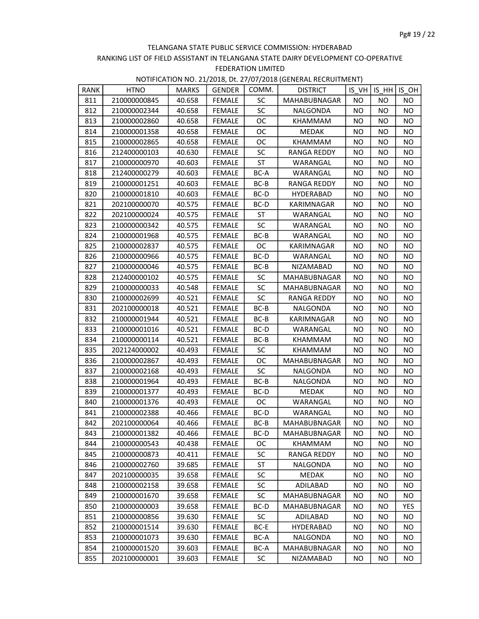| RANK | <b>HTNO</b>  | <b>MARKS</b> | <b>GENDER</b> | COMM.     | <b>DISTRICT</b> |           | $IS VH$ IS $HH$ IS OH |           |
|------|--------------|--------------|---------------|-----------|-----------------|-----------|-----------------------|-----------|
| 811  | 210000000845 | 40.658       | <b>FEMALE</b> | <b>SC</b> | MAHABUBNAGAR    | <b>NO</b> | NO.                   | NO.       |
| 812  | 210000002344 | 40.658       | FEMALE        | <b>SC</b> | NALGONDA        | NO.       | NO                    | NO.       |
| 813  | 210000002860 | 40.658       | FEMALE        | OC.       | KHAMMAM         | NO.       | NO.                   | NO        |
| 814  | 210000001358 | 40.658       | <b>FEMALE</b> | <b>OC</b> | <b>MEDAK</b>    | <b>NO</b> | NO                    | NO.       |
| 815  | 210000002865 | 40.658       | <b>FEMALE</b> | OC.       | <b>KHAMMAM</b>  | NO.       | NO                    | NO.       |
| 816  | 212400000103 | 40.630       | <b>FEMALE</b> | <b>SC</b> | RANGA REDDY     | NO.       | NO                    | NO.       |
| 817  | 210000000970 | 40.603       | FEMALE        | ST        | WARANGAL        | NO.       | NO.                   | NO.       |
| 818  | 212400000279 | 40.603       | FEMALE        | BC-A      | WARANGAL        | <b>NO</b> | <b>NO</b>             | NO        |
| 819  | 210000001251 | 40.603       | <b>FEMALE</b> | BC-B      | RANGA REDDY     | <b>NO</b> | <b>NO</b>             | NO.       |
| 820  | 210000001810 | 40.603       | <b>FEMALE</b> | BC-D      | HYDERABAD       | NO.       | NO                    | <b>NO</b> |
| 821  | 202100000070 | 40.575       | <b>FEMALE</b> | BC-D      | KARIMNAGAR      | NO.       | NO.                   | NO.       |
| 822  | 202100000024 | 40.575       | FEMALE        | ST        | WARANGAL        | NO.       | NO.                   | NO        |
| 823  | 210000000342 | 40.575       | <b>FEMALE</b> | <b>SC</b> | WARANGAL        | <b>NO</b> | NO                    | NO.       |
| 824  | 210000001968 | 40.575       | <b>FEMALE</b> | BC-B      | WARANGAL        | NO.       | NO                    | NO.       |
| 825  | 210000002837 | 40.575       | <b>FEMALE</b> | OC        | KARIMNAGAR      | NO.       | NO.                   | NO.       |
| 826  | 210000000966 | 40.575       | FEMALE        | BC-D      | WARANGAL        | NO.       | NO.                   | NO.       |
| 827  | 210000000046 | 40.575       | FEMALE        | BC-B      | NIZAMABAD       | NO.       | NO.                   | NO.       |
| 828  | 212400000102 | 40.575       | <b>FEMALE</b> | <b>SC</b> | MAHABUBNAGAR    | NO        | <b>NO</b>             | NO.       |
| 829  | 210000000033 | 40.548       | <b>FEMALE</b> | <b>SC</b> | MAHABUBNAGAR    | NO.       | NO.                   | <b>NO</b> |
| 830  | 210000002699 | 40.521       | FEMALE        | SC        | RANGA REDDY     | NO.       | NO.                   | NO.       |
| 831  | 202100000018 | 40.521       | FEMALE        | BC-B      | NALGONDA        | NO.       | NO.                   | NO.       |
| 832  | 210000001944 | 40.521       | <b>FEMALE</b> | BC-B      | KARIMNAGAR      | <b>NO</b> | ΝO                    | NO.       |
| 833  | 210000001016 | 40.521       | <b>FEMALE</b> | BC-D      | WARANGAL        | <b>NO</b> | NO                    | NO.       |
| 834  | 210000000114 | 40.521       | <b>FEMALE</b> | BC-B      | KHAMMAM         | NO.       | NO.                   | NO.       |
| 835  | 202124000002 | 40.493       | <b>FEMALE</b> | <b>SC</b> | KHAMMAM         | NO.       | NO.                   | NO.       |
| 836  | 210000002867 | 40.493       | FEMALE        | OC.       | MAHABUBNAGAR    | NO        | NO.                   | NO.       |
| 837  | 210000002168 | 40.493       | <b>FEMALE</b> | <b>SC</b> | NALGONDA        | <b>NO</b> | NO                    | NO.       |
| 838  | 210000001964 | 40.493       | <b>FEMALE</b> | BC-B      | NALGONDA        | NO.       | NO                    | NO.       |
| 839  | 210000001377 | 40.493       | FEMALE        | BC-D      | MEDAK           | NO.       | NO.                   | NO.       |
| 840  | 210000001376 | 40.493       | FEMALE        | OC        | WARANGAL        | NO.       | NO.                   | NO        |
| 841  | 210000002388 | 40.466       | <b>FEMALE</b> | BC-D      | WARANGAL        | ΝO        | ΝO                    | NO.       |
| 842  | 202100000064 | 40.466       | <b>FEMALE</b> | $BC-B$    | MAHABUBNAGAR    | NO        | ΝO                    | NO.       |
| 843  | 210000001382 | 40.466       | FEMALE        | BC-D      | MAHABUBNAGAR    | $NO$      | <b>NO</b>             | <b>NO</b> |
| 844  | 210000000543 | 40.438       | FEMALE        | OC.       | KHAMMAM         | NO.       | NO.                   | <b>NO</b> |
| 845  | 210000000873 | 40.411       | <b>FEMALE</b> | SC        | RANGA REDDY     | NO.       | NO                    | NO.       |
| 846  | 210000002760 | 39.685       | <b>FEMALE</b> | ST        | NALGONDA        | ΝO        | NO                    | NO.       |
| 847  | 202100000035 | 39.658       | <b>FEMALE</b> | <b>SC</b> | MEDAK           | ΝO        | NO.                   | NO.       |
| 848  | 210000002158 | 39.658       | <b>FEMALE</b> | <b>SC</b> | ADILABAD        | NO.       | NO.                   | NO.       |
| 849  | 210000001670 | 39.658       | <b>FEMALE</b> | SC        | MAHABUBNAGAR    | NO.       | NO                    | NO.       |
| 850  | 210000000003 | 39.658       | FEMALE        | BC-D      | MAHABUBNAGAR    | ΝO        | NO.                   | YES       |
| 851  | 210000000856 | 39.630       | <b>FEMALE</b> | <b>SC</b> | ADILABAD        | ΝO        | NO                    | NO.       |
| 852  | 210000001514 | 39.630       | <b>FEMALE</b> | BC-E      | HYDERABAD       | NO        | NO                    | NO.       |
| 853  | 210000001073 | 39.630       | <b>FEMALE</b> | BC-A      | NALGONDA        | NO.       | NO.                   | NO.       |
| 854  | 210000001520 | 39.603       | <b>FEMALE</b> | BC-A      | MAHABUBNAGAR    | NO.       | NO                    | NO.       |
| 855  | 202100000001 | 39.603       | <b>FEMALE</b> | <b>SC</b> | NIZAMABAD       | NO.       | NO.                   | NO.       |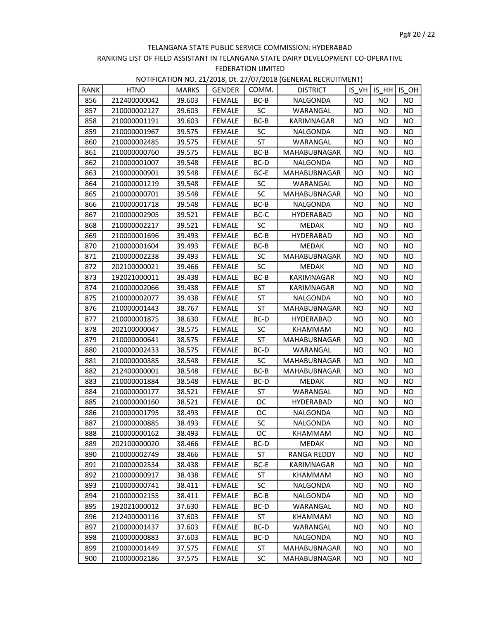| <b>RANK</b> | <b>HTNO</b>  | <b>MARKS</b> | <b>GENDER</b> | COMM.     | <b>DISTRICT</b>     |           | IS VH   IS HH   IS OH |           |
|-------------|--------------|--------------|---------------|-----------|---------------------|-----------|-----------------------|-----------|
| 856         | 212400000042 | 39.603       | <b>FEMALE</b> | BC-B      | NALGONDA            | NO.       | <b>NO</b>             | NO.       |
| 857         | 210000002127 | 39.603       | <b>FEMALE</b> | <b>SC</b> | WARANGAL            | NO.       | NO.                   | NO.       |
| 858         | 210000001191 | 39.603       | FEMALE        | BC-B      | KARIMNAGAR          | NO.       | NO                    | NO.       |
| 859         | 210000001967 | 39.575       | <b>FEMALE</b> | <b>SC</b> | NALGONDA            | <b>NO</b> | NO.                   | NO.       |
| 860         | 210000002485 | 39.575       | <b>FEMALE</b> | ST        | WARANGAL            | <b>NO</b> | <b>NO</b>             | NO        |
| 861         | 210000000760 | 39.575       | <b>FEMALE</b> | BC-B      | MAHABUBNAGAR        | NO.       | NO.                   | <b>NO</b> |
| 862         | 210000001007 | 39.548       | FEMALE        | BC-D      | NALGONDA            | NO.       | NO.                   | NO.       |
| 863         | 210000000901 | 39.548       | FEMALE        | BC-E      | <b>MAHABUBNAGAR</b> | NO.       | NO                    | NO        |
| 864         | 210000001219 | 39.548       | <b>FEMALE</b> | SC        | WARANGAL            | NO.       | NO.                   | NO.       |
| 865         | 210000000701 | 39.548       | <b>FEMALE</b> | <b>SC</b> | MAHABUBNAGAR        | NO.       | NO                    | NO.       |
| 866         | 210000001718 | 39.548       | FEMALE        | BC-B      | NALGONDA            | NO.       | NO                    | NO.       |
| 867         | 210000002905 | 39.521       | FEMALE        | BC-C      | HYDERABAD           | NO.       | NO                    | NO.       |
| 868         | 210000002217 | 39.521       | FEMALE        | <b>SC</b> | MEDAK               | NO.       | <b>NO</b>             | <b>NO</b> |
| 869         | 210000001696 | 39.493       | <b>FEMALE</b> | BC-B      | HYDERABAD           | <b>NO</b> | <b>NO</b>             | NO.       |
| 870         | 210000001604 | 39.493       | <b>FEMALE</b> | BC-B      | <b>MEDAK</b>        | NO.       | NO.                   | <b>NO</b> |
| 871         | 210000002238 | 39.493       | <b>FEMALE</b> | <b>SC</b> | MAHABUBNAGAR        | NO.       | NO.                   | NO.       |
| 872         | 202100000021 | 39.466       | FEMALE        | <b>SC</b> | <b>MEDAK</b>        | NO.       | NO.                   | NO.       |
| 873         | 192021000011 | 39.438       | <b>FEMALE</b> | BC-B      | KARIMNAGAR          | NO.       | NO.                   | NO.       |
| 874         | 210000002066 | 39.438       | <b>FEMALE</b> | ST        | KARIMNAGAR          | NO.       | NO                    | NO.       |
| 875         | 210000002077 | 39.438       | <b>FEMALE</b> | ST        | NALGONDA            | NO.       | NO                    | NO.       |
| 876         | 210000001443 | 38.767       | FEMALE        | ST        | MAHABUBNAGAR        | NO.       | NO.                   | NO.       |
| 877         | 210000001875 | 38.630       | <b>FEMALE</b> | BC-D      | HYDERABAD           | NO.       | NO.                   | NO.       |
| 878         | 202100000047 | 38.575       | <b>FEMALE</b> | SC        | KHAMMAM             | <b>NO</b> | NO.                   | NO.       |
| 879         | 210000000641 | 38.575       | FEMALE        | ST        | MAHABUBNAGAR        | NO.       | NO                    | NO.       |
| 880         | 210000002433 | 38.575       | <b>FEMALE</b> | BC-D      | WARANGAL            | NO.       | NO.                   | NO.       |
| 881         | 210000000385 | 38.548       | FEMALE        | <b>SC</b> | MAHABUBNAGAR        | NO.       | <b>NO</b>             | NO.       |
| 882         | 212400000001 | 38.548       | <b>FEMALE</b> | BC-B      | MAHABUBNAGAR        | ΝO        | NO.                   | NO.       |
| 883         | 210000001884 | 38.548       | <b>FEMALE</b> | BC-D      | <b>MEDAK</b>        | NO.       | NO                    | NO.       |
| 884         | 210000000177 | 38.521       | <b>FEMALE</b> | ST        | WARANGAL            | NO.       | NO                    | <b>NO</b> |
| 885         | 210000000160 | 38.521       | <b>FEMALE</b> | OC.       | <b>HYDERABAD</b>    | NO.       | NO.                   | NO        |
| 886         | 210000001795 | 38.493       | FEMALE        | OC.       | NALGONDA            | NO.       | NO.                   | NO.       |
| 887         | 210000000885 | 38.493       | FEMALE        | <b>SC</b> | NALGONDA            | NO.       | NO.                   | NO.       |
| 888         | 210000000162 | 38.493       | FEMALE        | ОC        | KHAMMAM             | <b>NO</b> | <b>NO</b>             | <b>NO</b> |
| 889         | 202100000020 | 38.466       | <b>FEMALE</b> | BC-D      | MEDAK               | NO.       | NO.                   | NO.       |
| 890         | 210000002749 | 38.466       | <b>FEMALE</b> | ST        | RANGA REDDY         | NO.       | NO                    | NO.       |
| 891         | 210000002534 | 38.438       | <b>FEMALE</b> | BC-E      | KARIMNAGAR          | NO.       | NO.                   | NO.       |
| 892         | 210000000917 | 38.438       | <b>FEMALE</b> | ST        | KHAMMAM             | ΝO        | <b>NO</b>             | NO.       |
| 893         | 210000000741 | 38.411       | <b>FEMALE</b> | <b>SC</b> | NALGONDA            | NO.       | NO.                   | NO.       |
| 894         | 210000002155 | 38.411       | <b>FEMALE</b> | $BC-B$    | NALGONDA            | NO.       | NO.                   | <b>NO</b> |
| 895         | 192021000012 | 37.630       | FEMALE        | BC-D      | WARANGAL            | NO.       | NO.                   | NO.       |
| 896         | 212400000116 | 37.603       | FEMALE        | ST        | KHAMMAM             | <b>NO</b> | NO.                   | NO.       |
| 897         | 210000001437 | 37.603       | <b>FEMALE</b> | BC-D      | WARANGAL            | NO        | NO                    | NO        |
| 898         | 210000000883 | 37.603       | <b>FEMALE</b> | BC-D      | NALGONDA            | NO.       | NO.                   | NO.       |
| 899         | 210000001449 | 37.575       | FEMALE        | ST        | MAHABUBNAGAR        | NO.       | NO                    | <b>NO</b> |
| 900         | 210000002186 | 37.575       | <b>FEMALE</b> | <b>SC</b> | <b>MAHABUBNAGAR</b> | NO.       | NO.                   | NO.       |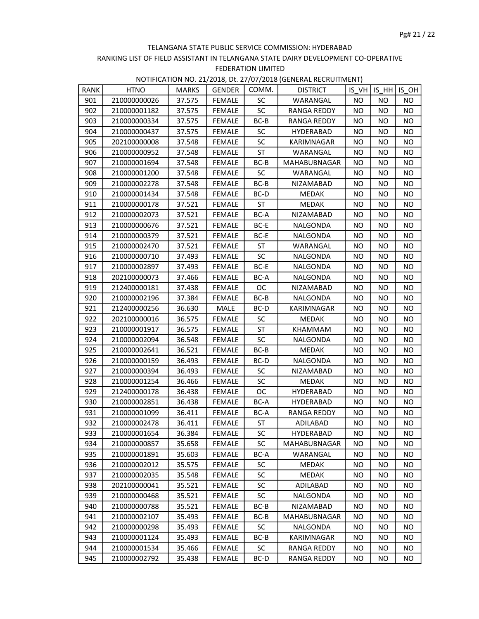| RANK | <b>HTNO</b>  | <b>MARKS</b> | <b>GENDER</b> | COMM.     | <b>DISTRICT</b>    |           | $IS VH$ IS $HH$ IS OH |           |
|------|--------------|--------------|---------------|-----------|--------------------|-----------|-----------------------|-----------|
| 901  | 210000000026 | 37.575       | <b>FEMALE</b> | <b>SC</b> | WARANGAL           | <b>NO</b> | NO.                   | <b>NO</b> |
| 902  | 210000001182 | 37.575       | FEMALE        | <b>SC</b> | <b>RANGA REDDY</b> | NO.       | NO                    | NO.       |
| 903  | 210000000334 | 37.575       | FEMALE        | BC-B      | RANGA REDDY        | NO.       | NO.                   | NO.       |
| 904  | 210000000437 | 37.575       | <b>FEMALE</b> | <b>SC</b> | HYDERABAD          | <b>NO</b> | NO                    | NO.       |
| 905  | 202100000008 | 37.548       | <b>FEMALE</b> | <b>SC</b> | KARIMNAGAR         | NO        | NO                    | NO.       |
| 906  | 210000000952 | 37.548       | <b>FEMALE</b> | ST        | WARANGAL           | NO.       | NO.                   | NO        |
| 907  | 210000001694 | 37.548       | FEMALE        | BC-B      | MAHABUBNAGAR       | NO.       | NO.                   | NO.       |
| 908  | 210000001200 | 37.548       | FEMALE        | SC        | WARANGAL           | <b>NO</b> | NO.                   | NO.       |
| 909  | 210000002278 | 37.548       | <b>FEMALE</b> | $BC-B$    | NIZAMABAD          | <b>NO</b> | <b>NO</b>             | NO.       |
| 910  | 210000001434 | 37.548       | <b>FEMALE</b> | BC-D      | MEDAK              | NO.       | NO                    | <b>NO</b> |
| 911  | 210000000178 | 37.521       | FEMALE        | ST        | MEDAK              | NO.       | NO                    | NO.       |
| 912  | 210000002073 | 37.521       | FEMALE        | BC-A      | NIZAMABAD          | NO.       | NO.                   | NO.       |
| 913  | 210000000676 | 37.521       | <b>FEMALE</b> | BC-E      | NALGONDA           | ΝO        | NO.                   | NO.       |
| 914  | 210000000379 | 37.521       | <b>FEMALE</b> | BC-E      | NALGONDA           | NO.       | NO.                   | NO        |
| 915  | 210000002470 | 37.521       | <b>FEMALE</b> | ST        | WARANGAL           | NO.       | NO.                   | NO.       |
| 916  | 210000000710 | 37.493       | FEMALE        | <b>SC</b> | NALGONDA           | NO.       | <b>NO</b>             | NO.       |
| 917  | 210000002897 | 37.493       | FEMALE        | BC-E      | NALGONDA           | NO.       | <b>NO</b>             | NO.       |
| 918  | 202100000073 | 37.466       | <b>FEMALE</b> | BC-A      | NALGONDA           | <b>NO</b> | NO                    | NO.       |
| 919  | 212400000181 | 37.438       | <b>FEMALE</b> | <b>OC</b> | NIZAMABAD          | NO.       | NO.                   | <b>NO</b> |
| 920  | 210000002196 | 37.384       | FEMALE        | BC-B      | NALGONDA           | NO.       | NO.                   | NO.       |
| 921  | 212400000256 | 36.630       | MALE          | BC-D      | KARIMNAGAR         | NO.       | NO.                   | NO.       |
| 922  | 202100000016 | 36.575       | <b>FEMALE</b> | <b>SC</b> | <b>MEDAK</b>       | ΝO        | NO.                   | NO.       |
| 923  | 210000001917 | 36.575       | <b>FEMALE</b> | ST        | KHAMMAM            | NO.       | NO.                   | NO.       |
| 924  | 210000002094 | 36.548       | FEMALE        | <b>SC</b> | NALGONDA           | NO.       | NO.                   | NO.       |
| 925  | 210000002641 | 36.521       | FEMALE        | $BC-B$    | MEDAK              | NO.       | NO.                   | NO.       |
| 926  | 210000000159 | 36.493       | FEMALE        | $BC-D$    | NALGONDA           | NO.       | NO.                   | NO.       |
| 927  | 210000000394 | 36.493       | <b>FEMALE</b> | <b>SC</b> | NIZAMABAD          | <b>NO</b> | NO                    | NO.       |
| 928  | 210000001254 | 36.466       | <b>FEMALE</b> | <b>SC</b> | MEDAK              | NO.       | NO                    | NO.       |
| 929  | 212400000178 | 36.438       | FEMALE        | ОC        | HYDERABAD          | NO.       | NO                    | NO        |
| 930  | 210000002851 | 36.438       | FEMALE        | BC-A      | HYDERABAD          | NO.       | NO.                   | NO.       |
| 931  | 210000001099 | 36.411       | <b>FEMALE</b> | BC-A      | <b>RANGA REDDY</b> | ΝO        | NO.                   | NO.       |
| 932  | 210000002478 | 36.411       | <b>FEMALE</b> | ST        | ADILABAD           | <b>NO</b> | NO.                   | NO.       |
| 933  | 210000001654 | 36.384       | FEMALE        | SC        | HYDERABAD          | <b>NO</b> | <b>NO</b>             | <b>NO</b> |
| 934  | 210000000857 | 35.658       | <b>FEMALE</b> | SC        | MAHABUBNAGAR       | NO.       | NO.                   | NO.       |
| 935  | 210000001891 | 35.603       | <b>FEMALE</b> | BC-A      | WARANGAL           | ΝO        | NO                    | NO.       |
| 936  | 210000002012 | 35.575       | <b>FEMALE</b> | <b>SC</b> | MEDAK              | ΝO        | NO                    | NO.       |
| 937  | 210000002035 | 35.548       | <b>FEMALE</b> | <b>SC</b> | MEDAK              | ΝO        | NO                    | <b>NO</b> |
| 938  | 202100000041 | 35.521       | <b>FEMALE</b> | <b>SC</b> | ADILABAD           | NO.       | NO.                   | NO.       |
| 939  | 210000000468 | 35.521       | <b>FEMALE</b> | SC        | NALGONDA           | NO.       | NO.                   | ΝO        |
| 940  | 210000000788 | 35.521       | <b>FEMALE</b> | BC-B      | NIZAMABAD          | ΝO        | NO.                   | NO.       |
| 941  | 210000002107 | 35.493       | <b>FEMALE</b> | BC-B      | MAHABUBNAGAR       | ΝO        | ΝO                    | ΝO        |
| 942  | 210000000298 | 35.493       | <b>FEMALE</b> | SC        | NALGONDA           | NO        | NO                    | <b>NO</b> |
| 943  | 210000001124 | 35.493       | <b>FEMALE</b> | BC-B      | KARIMNAGAR         | NO.       | NO.                   | NO.       |
| 944  | 210000001534 | 35.466       | FEMALE        | SC        | RANGA REDDY        | NO        | NO                    | NO.       |
| 945  | 210000002792 | 35.438       | FEMALE        | BC-D      | RANGA REDDY        | NO.       | NO                    | NO.       |